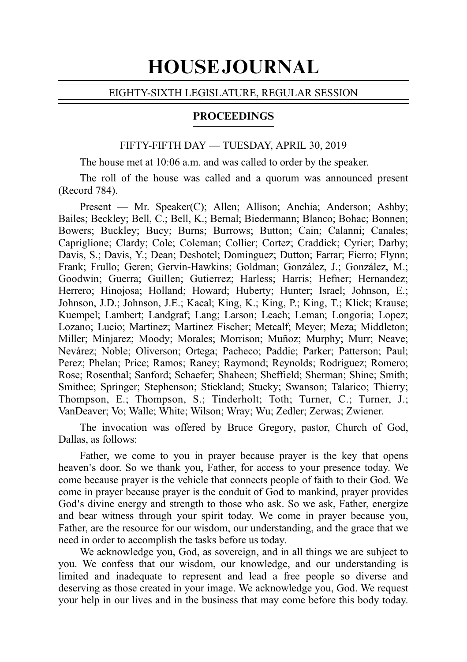# HOUSE JOURNAL

#### EIGHTY-SIXTH LEGISLATURE, REGULAR SESSION

## PROCEEDINGS

#### FIFTY-FIFTH DAY — TUESDAY, APRIL 30, 2019

The house met at 10:06 a.m. and was called to order by the speaker.

The roll of the house was called and a quorum was announced present (Record 784).

Present — Mr. Speaker(C); Allen; Allison; Anchia; Anderson; Ashby; Bailes; Beckley; Bell, C.; Bell, K.; Bernal; Biedermann; Blanco; Bohac; Bonnen; Bowers; Buckley; Bucy; Burns; Burrows; Button; Cain; Calanni; Canales; Capriglione; Clardy; Cole; Coleman; Collier; Cortez; Craddick; Cyrier; Darby; Davis, S.; Davis, Y.; Dean; Deshotel; Dominguez; Dutton; Farrar; Fierro; Flynn; Frank; Frullo; Geren; Gervin-Hawkins; Goldman; González, J.; González, M.; Goodwin; Guerra; Guillen; Gutierrez; Harless; Harris; Hefner; Hernandez; Herrero; Hinojosa; Holland; Howard; Huberty; Hunter; Israel; Johnson, E.; Johnson, J.D.; Johnson, J.E.; Kacal; King, K.; King, P.; King, T.; Klick; Krause; Kuempel; Lambert; Landgraf; Lang; Larson; Leach; Leman; Longoria; Lopez; Lozano; Lucio; Martinez; Martinez Fischer; Metcalf; Meyer; Meza; Middleton; Miller; Minjarez; Moody; Morales; Morrison; Muñoz; Murphy; Murr; Neave; Nevárez; Noble; Oliverson; Ortega; Pacheco; Paddie; Parker; Patterson; Paul; Perez; Phelan; Price; Ramos; Raney; Raymond; Reynolds; Rodriguez; Romero; Rose; Rosenthal; Sanford; Schaefer; Shaheen; Sheffield; Sherman; Shine; Smith; Smithee; Springer; Stephenson; Stickland; Stucky; Swanson; Talarico; Thierry; Thompson, E.; Thompson, S.; Tinderholt; Toth; Turner, C.; Turner, J.; VanDeaver; Vo; Walle; White; Wilson; Wray; Wu; Zedler; Zerwas; Zwiener.

The invocation was offered by Bruce Gregory, pastor, Church of God, Dallas, as follows:

Father, we come to you in prayer because prayer is the key that opens heaven's door. So we thank you, Father, for access to your presence today. We come because prayer is the vehicle that connects people of faith to their God. We come in prayer because prayer is the conduit of God to mankind, prayer provides God's divine energy and strength to those who ask. So we ask, Father, energize and bear witness through your spirit today. We come in prayer because you, Father, are the resource for our wisdom, our understanding, and the grace that we need in order to accomplish the tasks before us today.

We acknowledge you, God, as sovereign, and in all things we are subject to you. We confess that our wisdom, our knowledge, and our understanding is limited and inadequate to represent and lead a free people so diverse and deserving as those created in your image. We acknowledge you, God. We request your help in our lives and in the business that may come before this body today.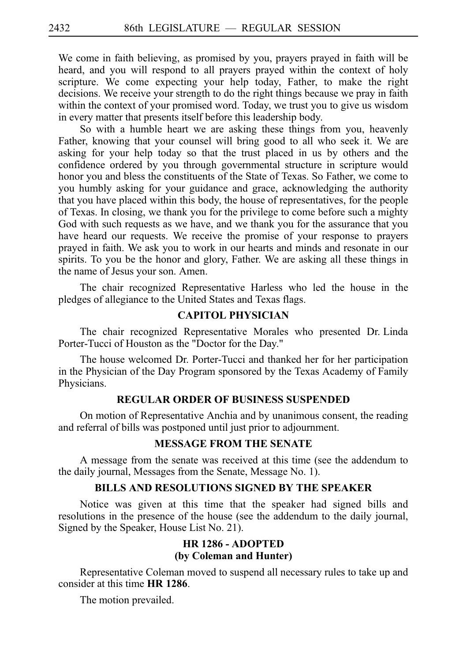We come in faith believing, as promised by you, prayers prayed in faith will be heard, and you will respond to all prayers prayed within the context of holy scripture. We come expecting your help today, Father, to make the right decisions. We receive your strength to do the right things because we pray in faith within the context of your promised word. Today, we trust you to give us wisdom in every matter that presents itself before this leadership body.

So with a humble heart we are asking these things from you, heavenly Father, knowing that your counsel will bring good to all who seek it. We are asking for your help today so that the trust placed in us by others and the confidence ordered by you through governmental structure in scripture would honor you and bless the constituents of the State of Texas. So Father, we come to you humbly asking for your guidance and grace, acknowledging the authority that you have placed within this body, the house of representatives, for the people of Texas. In closing, we thank you for the privilege to come before such a mighty God with such requests as we have, and we thank you for the assurance that you have heard our requests. We receive the promise of your response to prayers prayed in faith. We ask you to work in our hearts and minds and resonate in our spirits. To you be the honor and glory, Father. We are asking all these things in the name of Jesus your son. Amen.

The chair recognized Representative Harless who led the house in the pledges of allegiance to the United States and Texas flags.

#### **CAPITOL PHYSICIAN**

The chair recognized Representative Morales who presented Dr. Linda Porter-Tucci of Houston as the "Doctor for the Day."

The house welcomed Dr. Porter-Tucci and thanked her for her participation in the Physician of the Day Program sponsored by the Texas Academy of Family Physicians.

## **REGULAR ORDER OF BUSINESS SUSPENDED**

On motion of Representative Anchia and by unanimous consent, the reading and referral of bills was postponed until just prior to adjournment.

## **MESSAGE FROM THE SENATE**

A message from the senate was received at this time (see the addendum to the daily journal, Messages from the Senate, Message No. 1).

## **BILLS AND RESOLUTIONS SIGNED BY THE SPEAKER**

Notice was given at this time that the speaker had signed bills and resolutions in the presence of the house (see the addendum to the daily journal, Signed by the Speaker, House List No. 21).

# **HR 1286 - ADOPTED (by Coleman and Hunter)**

Representative Coleman moved to suspend all necessary rules to take up and consider at this time **HR** 1286.

The motion prevailed.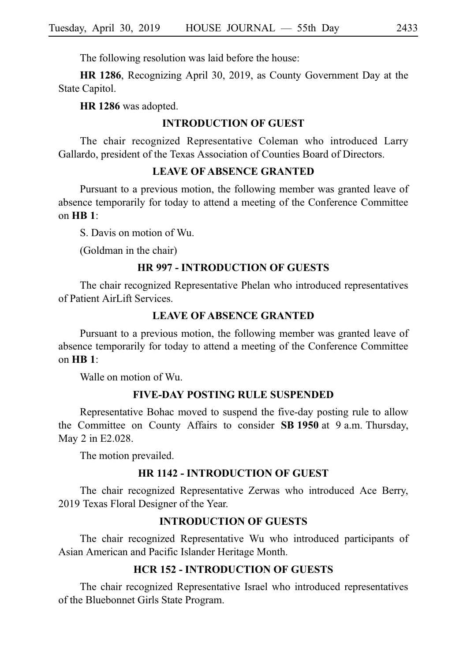The following resolution was laid before the house:

**HR 1286**, Recognizing April 30, 2019, as County Government Day at the State Capitol.

**HR 1286** was adopted.

## **INTRODUCTION OF GUEST**

The chair recognized Representative Coleman who introduced Larry Gallardo, president of the Texas Association of Counties Board of Directors.

## **LEAVE OF ABSENCE GRANTED**

Pursuant to a previous motion, the following member was granted leave of absence temporarily for today to attend a meeting of the Conference Committee on **HBi1**:

S. Davis on motion of Wu.

(Goldman in the chair)

#### **HRi997 - INTRODUCTION OF GUESTS**

The chair recognized Representative Phelan who introduced representatives of Patient AirLift Services.

## **LEAVE OF ABSENCE GRANTED**

Pursuant to a previous motion, the following member was granted leave of absence temporarily for today to attend a meeting of the Conference Committee on **HBi1**:

Walle on motion of Wu.

#### **FIVE-DAY POSTING RULE SUSPENDED**

Representative Bohac moved to suspend the five-day posting rule to allow the Committee on County Affairs to consider **SB 1950** at 9 a.m. Thursday, May 2 in E2.028.

The motion prevailed.

#### **HR 1142 - INTRODUCTION OF GUEST**

The chair recognized Representative Zerwas who introduced Ace Berry, 2019 Texas Floral Designer of the Year.

#### **INTRODUCTION OF GUESTS**

The chair recognized Representative Wu who introduced participants of Asian American and Pacific Islander Heritage Month.

## **HCRi152 - INTRODUCTION OF GUESTS**

The chair recognized Representative Israel who introduced representatives of the Bluebonnet Girls State Program.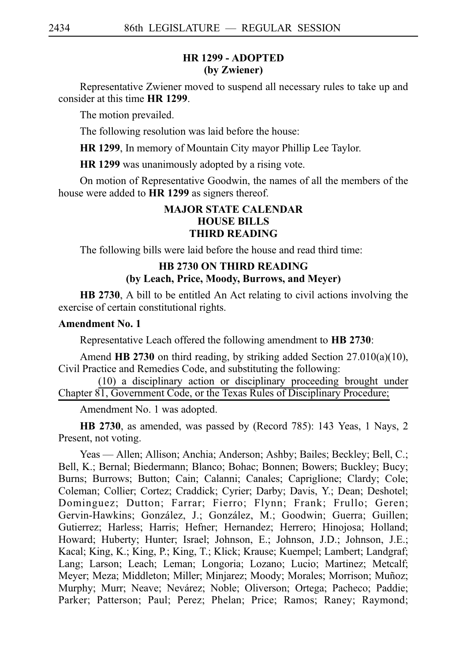## **HR 1299 - ADOPTED (by Zwiener)**

Representative Zwiener moved to suspend all necessary rules to take up and consider at this time **HR** 1299.

The motion prevailed.

The following resolution was laid before the house:

**HR 1299**, In memory of Mountain City mayor Phillip Lee Taylor.

**HR 1299** was unanimously adopted by a rising vote.

On motion of Representative Goodwin, the names of all the members of the house were added to **HR 1299** as signers thereof.

# **MAJOR STATE CALENDAR HOUSE BILLS THIRD READING**

The following bills were laid before the house and read third time:

# **HB 2730 ON THIRD READING (by Leach, Price, Moody, Burrows, and Meyer)**

**HB 2730**, A bill to be entitled An Act relating to civil actions involving the exercise of certain constitutional rights.

## **Amendment No. 1**

Representative Leach offered the following amendment to **HB 2730**:

Amend HB 2730 on third reading, by striking added Section 27.010(a)(10), Civil Practice and Remedies Code, and substituting the following:

(10) a disciplinary action or disciplinary proceeding brought under Chapter 81, Government Code, or the Texas Rules of Disciplinary Procedure;

Amendment No. 1 was adopted.

**HB 2730**, as amended, was passed by (Record 785): 143 Yeas, 1 Nays, 2 Present, not voting.

Yeas — Allen; Allison; Anchia; Anderson; Ashby; Bailes; Beckley; Bell, C.; Bell, K.; Bernal; Biedermann; Blanco; Bohac; Bonnen; Bowers; Buckley; Bucy; Burns; Burrows; Button; Cain; Calanni; Canales; Capriglione; Clardy; Cole; Coleman; Collier; Cortez; Craddick; Cyrier; Darby; Davis, Y.; Dean; Deshotel; Dominguez; Dutton; Farrar; Fierro; Flynn; Frank; Frullo; Geren; Gervin-Hawkins; González, J.; González, M.; Goodwin; Guerra; Guillen; Gutierrez; Harless; Harris; Hefner; Hernandez; Herrero; Hinojosa; Holland; Howard; Huberty; Hunter; Israel; Johnson, E.; Johnson, J.D.; Johnson, J.E.; Kacal; King, K.; King, P.; King, T.; Klick; Krause; Kuempel; Lambert; Landgraf; Lang; Larson; Leach; Leman; Longoria; Lozano; Lucio; Martinez; Metcalf; Meyer; Meza; Middleton; Miller; Minjarez; Moody; Morales; Morrison; Muñoz; Murphy; Murr; Neave; Nevárez; Noble; Oliverson; Ortega; Pacheco; Paddie; Parker; Patterson; Paul; Perez; Phelan; Price; Ramos; Raney; Raymond;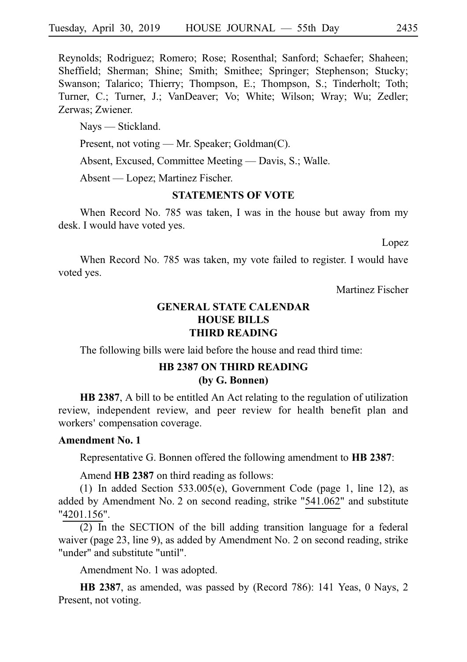Reynolds; Rodriguez; Romero; Rose; Rosenthal; Sanford; Schaefer; Shaheen; Sheffield; Sherman; Shine; Smith; Smithee; Springer; Stephenson; Stucky; Swanson; Talarico; Thierry; Thompson, E.; Thompson, S.; Tinderholt; Toth; Turner, C.; Turner, J.; VanDeaver; Vo; White; Wilson; Wray; Wu; Zedler; Zerwas; Zwiener.

Nays — Stickland.

Present, not voting — Mr. Speaker; Goldman(C).

Absent, Excused, Committee Meeting — Davis, S.; Walle.

Absent — Lopez; Martinez Fischer.

## **STATEMENTS OF VOTE**

When Record No. 785 was taken, I was in the house but away from my desk. I would have voted yes.

Lopez

When Record No. 785 was taken, my vote failed to register. I would have voted yes.

Martinez Fischer

# **GENERAL STATE CALENDAR HOUSE BILLS THIRD READING**

The following bills were laid before the house and read third time:

# **HB 2387 ON THIRD READING (by G. Bonnen)**

**HB 2387**, A bill to be entitled An Act relating to the regulation of utilization review, independent review, and peer review for health benefit plan and workers' compensation coverage.

## **Amendment No. 1**

Representative G. Bonnen offered the following amendment to **HB 2387**:

Amend **HB 2387** on third reading as follows:

(1) In added Section  $533.005(e)$ , Government Code (page 1, line 12), as added by Amendment No. 2 on second reading, strike "541.062" and substitute "4201.156".

 $(2)$  In the SECTION of the bill adding transition language for a federal waiver (page 23, line 9), as added by Amendment No. 2 on second reading, strike "under" and substitute "until".

Amendment No. 1 was adopted.

**HB 2387**, as amended, was passed by (Record 786): 141 Yeas, 0 Nays, 2 Present, not voting.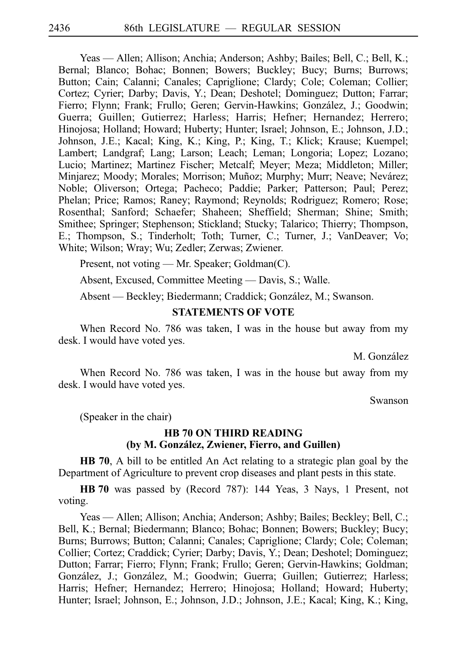Yeas — Allen; Allison; Anchia; Anderson; Ashby; Bailes; Bell, C.; Bell, K.; Bernal; Blanco; Bohac; Bonnen; Bowers; Buckley; Bucy; Burns; Burrows; Button; Cain; Calanni; Canales; Capriglione; Clardy; Cole; Coleman; Collier; Cortez; Cyrier; Darby; Davis, Y.; Dean; Deshotel; Dominguez; Dutton; Farrar; Fierro; Flynn; Frank; Frullo; Geren; Gervin-Hawkins; González, J.; Goodwin; Guerra; Guillen; Gutierrez; Harless; Harris; Hefner; Hernandez; Herrero; Hinojosa; Holland; Howard; Huberty; Hunter; Israel; Johnson, E.; Johnson, J.D.; Johnson, J.E.; Kacal; King, K.; King, P.; King, T.; Klick; Krause; Kuempel; Lambert; Landgraf; Lang; Larson; Leach; Leman; Longoria; Lopez; Lozano; Lucio; Martinez; Martinez Fischer; Metcalf; Meyer; Meza; Middleton; Miller; Minjarez; Moody; Morales; Morrison; Muñoz; Murphy; Murr; Neave; Nevárez; Noble; Oliverson; Ortega; Pacheco; Paddie; Parker; Patterson; Paul; Perez; Phelan; Price; Ramos; Raney; Raymond; Reynolds; Rodriguez; Romero; Rose; Rosenthal; Sanford; Schaefer; Shaheen; Sheffield; Sherman; Shine; Smith; Smithee; Springer; Stephenson; Stickland; Stucky; Talarico; Thierry; Thompson, E.; Thompson, S.; Tinderholt; Toth; Turner, C.; Turner, J.; VanDeaver; Vo; White; Wilson; Wray; Wu; Zedler; Zerwas; Zwiener.

Present, not voting — Mr. Speaker; Goldman(C).

Absent, Excused, Committee Meeting — Davis, S.; Walle.

Absent — Beckley; Biedermann; Craddick; González, M.; Swanson.

#### **STATEMENTS OF VOTE**

When Record No. 786 was taken, I was in the house but away from my desk. I would have voted yes.

M. González

When Record No. 786 was taken, I was in the house but away from my desk. I would have voted yes.

Swanson

(Speaker in the chair)

## **HB 70 ON THIRD READING (by M. Gonza´lez, Zwiener, Fierro, and Guillen)**

**HB 70**, A bill to be entitled An Act relating to a strategic plan goal by the Department of Agriculture to prevent crop diseases and plant pests in this state.

**HB** 70 was passed by (Record 787): 144 Yeas, 3 Nays, 1 Present, not voting.

Yeas — Allen; Allison; Anchia; Anderson; Ashby; Bailes; Beckley; Bell, C.; Bell, K.; Bernal; Biedermann; Blanco; Bohac; Bonnen; Bowers; Buckley; Bucy; Burns; Burrows; Button; Calanni; Canales; Capriglione; Clardy; Cole; Coleman; Collier; Cortez; Craddick; Cyrier; Darby; Davis, Y.; Dean; Deshotel; Dominguez; Dutton; Farrar; Fierro; Flynn; Frank; Frullo; Geren; Gervin-Hawkins; Goldman; González, J.; González, M.; Goodwin; Guerra; Guillen; Gutierrez; Harless; Harris; Hefner; Hernandez; Herrero; Hinojosa; Holland; Howard; Huberty; Hunter; Israel; Johnson, E.; Johnson, J.D.; Johnson, J.E.; Kacal; King, K.; King,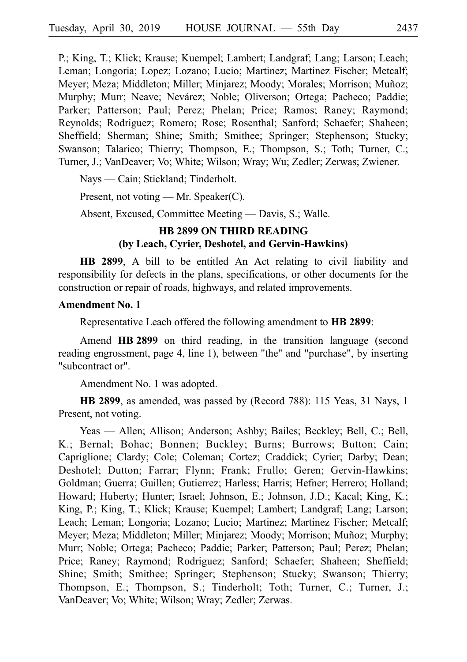P.; King, T.; Klick; Krause; Kuempel; Lambert; Landgraf; Lang; Larson; Leach; Leman; Longoria; Lopez; Lozano; Lucio; Martinez; Martinez Fischer; Metcalf; Meyer; Meza; Middleton; Miller; Minjarez; Moody; Morales; Morrison; Muñoz; Murphy; Murr; Neave; Nevárez; Noble; Oliverson; Ortega; Pacheco; Paddie; Parker; Patterson; Paul; Perez; Phelan; Price; Ramos; Raney; Raymond; Reynolds; Rodriguez; Romero; Rose; Rosenthal; Sanford; Schaefer; Shaheen; Sheffield; Sherman; Shine; Smith; Smithee; Springer; Stephenson; Stucky; Swanson; Talarico; Thierry; Thompson, E.; Thompson, S.; Toth; Turner, C.; Turner, J.; VanDeaver; Vo; White; Wilson; Wray; Wu; Zedler; Zerwas; Zwiener.

Nays — Cain; Stickland; Tinderholt.

Present, not voting — Mr. Speaker(C).

Absent, Excused, Committee Meeting — Davis, S.; Walle.

# **HB 2899 ON THIRD READING (by Leach, Cyrier, Deshotel, and Gervin-Hawkins)**

**HB 2899**, A bill to be entitled An Act relating to civil liability and responsibility for defects in the plans, specifications, or other documents for the construction or repair of roads, highways, and related improvements.

## **Amendment No. 1**

Representative Leach offered the following amendment to **HB 2899**:

Amend **HB 2899** on third reading, in the transition language (second reading engrossment, page 4, line 1), between "the" and "purchase", by inserting "subcontract or".

Amendment No. 1 was adopted.

**HB 2899**, as amended, was passed by (Record 788): 115 Yeas, 31 Nays, 1 Present, not voting.

Yeas — Allen; Allison; Anderson; Ashby; Bailes; Beckley; Bell, C.; Bell, K.; Bernal; Bohac; Bonnen; Buckley; Burns; Burrows; Button; Cain; Capriglione; Clardy; Cole; Coleman; Cortez; Craddick; Cyrier; Darby; Dean; Deshotel; Dutton; Farrar; Flynn; Frank; Frullo; Geren; Gervin-Hawkins; Goldman; Guerra; Guillen; Gutierrez; Harless; Harris; Hefner; Herrero; Holland; Howard; Huberty; Hunter; Israel; Johnson, E.; Johnson, J.D.; Kacal; King, K.; King, P.; King, T.; Klick; Krause; Kuempel; Lambert; Landgraf; Lang; Larson; Leach; Leman; Longoria; Lozano; Lucio; Martinez; Martinez Fischer; Metcalf; Meyer; Meza; Middleton; Miller; Minjarez; Moody; Morrison; Muñoz; Murphy; Murr; Noble; Ortega; Pacheco; Paddie; Parker; Patterson; Paul; Perez; Phelan; Price; Raney; Raymond; Rodriguez; Sanford; Schaefer; Shaheen; Sheffield; Shine; Smith; Smithee; Springer; Stephenson; Stucky; Swanson; Thierry; Thompson, E.; Thompson, S.; Tinderholt; Toth; Turner, C.; Turner, J.; VanDeaver; Vo; White; Wilson; Wray; Zedler; Zerwas.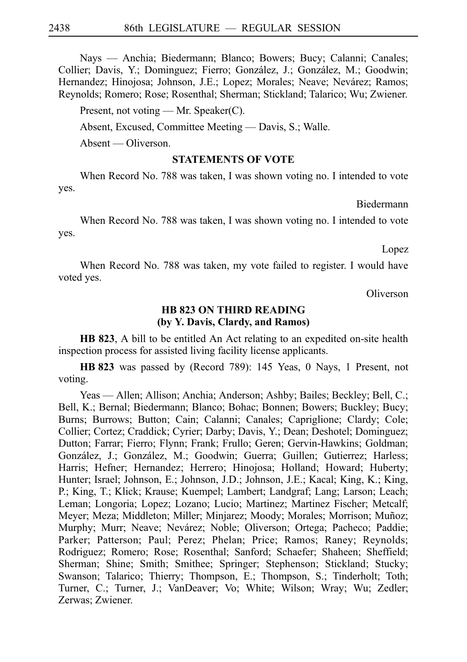Nays — Anchia; Biedermann; Blanco; Bowers; Bucy; Calanni; Canales; Collier; Davis, Y.; Dominguez; Fierro; González, J.; González, M.; Goodwin; Hernandez; Hinojosa; Johnson, J.E.; Lopez; Morales; Neave; Nevárez; Ramos; Reynolds; Romero; Rose; Rosenthal; Sherman; Stickland; Talarico; Wu; Zwiener.

Present, not voting — Mr. Speaker(C).

Absent, Excused, Committee Meeting — Davis, S.; Walle.

Absent — Oliverson.

#### **STATEMENTS OF VOTE**

When Record No. 788 was taken, I was shown voting no. I intended to vote yes.

Biedermann

When Record No. 788 was taken, I was shown voting no. I intended to vote yes.

Lopez

When Record No. 788 was taken, my vote failed to register. I would have voted yes.

Oliverson

#### **HB 823 ON THIRD READING (by Y. Davis, Clardy, and Ramos)**

**HB 823**, A bill to be entitled An Act relating to an expedited on-site health inspection process for assisted living facility license applicants.

**HBi823** was passed by (Record 789): 145 Yeas, 0 Nays, 1 Present, not voting.

Yeas — Allen; Allison; Anchia; Anderson; Ashby; Bailes; Beckley; Bell, C.; Bell, K.; Bernal; Biedermann; Blanco; Bohac; Bonnen; Bowers; Buckley; Bucy; Burns; Burrows; Button; Cain; Calanni; Canales; Capriglione; Clardy; Cole; Collier; Cortez; Craddick; Cyrier; Darby; Davis, Y.; Dean; Deshotel; Dominguez; Dutton; Farrar; Fierro; Flynn; Frank; Frullo; Geren; Gervin-Hawkins; Goldman; González, J.; González, M.; Goodwin; Guerra; Guillen; Gutierrez; Harless; Harris; Hefner; Hernandez; Herrero; Hinojosa; Holland; Howard; Huberty; Hunter; Israel; Johnson, E.; Johnson, J.D.; Johnson, J.E.; Kacal; King, K.; King, P.; King, T.; Klick; Krause; Kuempel; Lambert; Landgraf; Lang; Larson; Leach; Leman; Longoria; Lopez; Lozano; Lucio; Martinez; Martinez Fischer; Metcalf; Meyer; Meza; Middleton; Miller; Minjarez; Moody; Morales; Morrison; Muñoz; Murphy; Murr; Neave; Nevárez; Noble; Oliverson; Ortega; Pacheco; Paddie; Parker; Patterson; Paul; Perez; Phelan; Price; Ramos; Raney; Reynolds; Rodriguez; Romero; Rose; Rosenthal; Sanford; Schaefer; Shaheen; Sheffield; Sherman; Shine; Smith; Smithee; Springer; Stephenson; Stickland; Stucky; Swanson; Talarico; Thierry; Thompson, E.; Thompson, S.; Tinderholt; Toth; Turner, C.; Turner, J.; VanDeaver; Vo; White; Wilson; Wray; Wu; Zedler; Zerwas; Zwiener.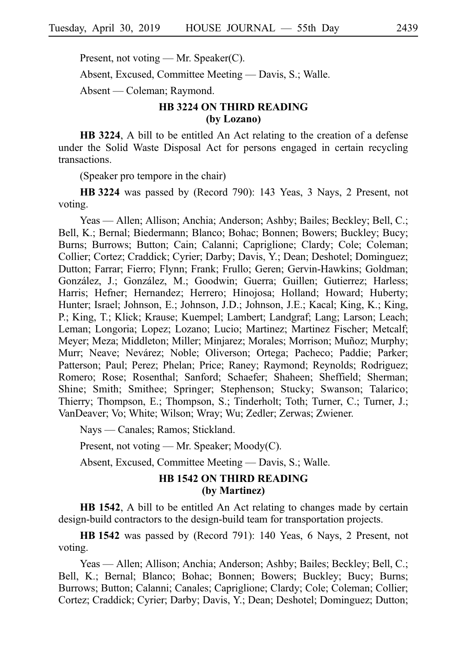Present, not voting — Mr. Speaker(C).

Absent, Excused, Committee Meeting — Davis, S.; Walle.

Absent — Coleman; Raymond.

# **HB 3224 ON THIRD READING (by Lozano)**

**HB 3224**, A bill to be entitled An Act relating to the creation of a defense under the Solid Waste Disposal Act for persons engaged in certain recycling transactions.

(Speaker pro tempore in the chair)

**HBi3224** was passed by (Record 790): 143 Yeas, 3 Nays, 2 Present, not voting.

Yeas — Allen; Allison; Anchia; Anderson; Ashby; Bailes; Beckley; Bell, C.; Bell, K.; Bernal; Biedermann; Blanco; Bohac; Bonnen; Bowers; Buckley; Bucy; Burns; Burrows; Button; Cain; Calanni; Capriglione; Clardy; Cole; Coleman; Collier; Cortez; Craddick; Cyrier; Darby; Davis, Y.; Dean; Deshotel; Dominguez; Dutton; Farrar; Fierro; Flynn; Frank; Frullo; Geren; Gervin-Hawkins; Goldman; González, J.; González, M.; Goodwin; Guerra; Guillen; Gutierrez; Harless; Harris; Hefner; Hernandez; Herrero; Hinojosa; Holland; Howard; Huberty; Hunter; Israel; Johnson, E.; Johnson, J.D.; Johnson, J.E.; Kacal; King, K.; King, P.; King, T.; Klick; Krause; Kuempel; Lambert; Landgraf; Lang; Larson; Leach; Leman; Longoria; Lopez; Lozano; Lucio; Martinez; Martinez Fischer; Metcalf; Meyer; Meza; Middleton; Miller; Minjarez; Morales; Morrison; Muñoz; Murphy; Murr; Neave; Nevárez; Noble; Oliverson; Ortega; Pacheco; Paddie; Parker; Patterson; Paul; Perez; Phelan; Price; Raney; Raymond; Reynolds; Rodriguez; Romero; Rose; Rosenthal; Sanford; Schaefer; Shaheen; Sheffield; Sherman; Shine; Smith; Smithee; Springer; Stephenson; Stucky; Swanson; Talarico; Thierry; Thompson, E.; Thompson, S.; Tinderholt; Toth; Turner, C.; Turner, J.; VanDeaver; Vo; White; Wilson; Wray; Wu; Zedler; Zerwas; Zwiener.

Nays — Canales; Ramos; Stickland.

Present, not voting — Mr. Speaker; Moody(C).

Absent, Excused, Committee Meeting — Davis, S.; Walle.

## **HB 1542 ON THIRD READING (by Martinez)**

**HB 1542**, A bill to be entitled An Act relating to changes made by certain design-build contractors to the design-build team for transportation projects.

**HBi1542** was passed by (Record 791): 140 Yeas, 6 Nays, 2 Present, not voting.

Yeas — Allen; Allison; Anchia; Anderson; Ashby; Bailes; Beckley; Bell, C.; Bell, K.; Bernal; Blanco; Bohac; Bonnen; Bowers; Buckley; Bucy; Burns; Burrows; Button; Calanni; Canales; Capriglione; Clardy; Cole; Coleman; Collier; Cortez; Craddick; Cyrier; Darby; Davis, Y.; Dean; Deshotel; Dominguez; Dutton;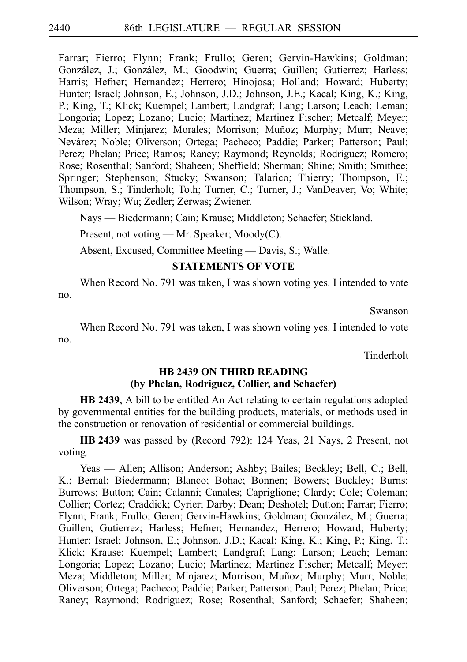Farrar; Fierro; Flynn; Frank; Frullo; Geren; Gervin-Hawkins; Goldman; González, J.; González, M.; Goodwin; Guerra; Guillen; Gutierrez; Harless; Harris; Hefner; Hernandez; Herrero; Hinojosa; Holland; Howard; Huberty; Hunter; Israel; Johnson, E.; Johnson, J.D.; Johnson, J.E.; Kacal; King, K.; King, P.; King, T.; Klick; Kuempel; Lambert; Landgraf; Lang; Larson; Leach; Leman; Longoria; Lopez; Lozano; Lucio; Martinez; Martinez Fischer; Metcalf; Meyer; Meza; Miller; Minjarez; Morales; Morrison; Muñoz; Murphy; Murr; Neave; Nevárez; Noble; Oliverson; Ortega; Pacheco; Paddie; Parker; Patterson; Paul; Perez; Phelan; Price; Ramos; Raney; Raymond; Reynolds; Rodriguez; Romero; Rose; Rosenthal; Sanford; Shaheen; Sheffield; Sherman; Shine; Smith; Smithee; Springer; Stephenson; Stucky; Swanson; Talarico; Thierry; Thompson, E.; Thompson, S.; Tinderholt; Toth; Turner, C.; Turner, J.; VanDeaver; Vo; White; Wilson; Wray; Wu; Zedler; Zerwas; Zwiener.

Nays — Biedermann; Cain; Krause; Middleton; Schaefer; Stickland.

Present, not voting — Mr. Speaker; Moody(C).

Absent, Excused, Committee Meeting — Davis, S.; Walle.

#### **STATEMENTS OF VOTE**

When Record No. 791 was taken, I was shown voting yes. I intended to vote no.

Swanson

When Record No. 791 was taken, I was shown voting yes. I intended to vote no.

Tinderholt

## **HB 2439 ON THIRD READING (by Phelan, Rodriguez, Collier, and Schaefer)**

**HB 2439**, A bill to be entitled An Act relating to certain regulations adopted by governmental entities for the building products, materials, or methods used in the construction or renovation of residential or commercial buildings.

**HB 2439** was passed by (Record 792): 124 Yeas, 21 Nays, 2 Present, not voting.

Yeas — Allen; Allison; Anderson; Ashby; Bailes; Beckley; Bell, C.; Bell, K.; Bernal; Biedermann; Blanco; Bohac; Bonnen; Bowers; Buckley; Burns; Burrows; Button; Cain; Calanni; Canales; Capriglione; Clardy; Cole; Coleman; Collier; Cortez; Craddick; Cyrier; Darby; Dean; Deshotel; Dutton; Farrar; Fierro; Flynn; Frank; Frullo; Geren; Gervin-Hawkins; Goldman; González, M.; Guerra; Guillen; Gutierrez; Harless; Hefner; Hernandez; Herrero; Howard; Huberty; Hunter; Israel; Johnson, E.; Johnson, J.D.; Kacal; King, K.; King, P.; King, T.; Klick; Krause; Kuempel; Lambert; Landgraf; Lang; Larson; Leach; Leman; Longoria; Lopez; Lozano; Lucio; Martinez; Martinez Fischer; Metcalf; Meyer; Meza; Middleton; Miller; Minjarez; Morrison; Muñoz; Murphy; Murr; Noble; Oliverson; Ortega; Pacheco; Paddie; Parker; Patterson; Paul; Perez; Phelan; Price; Raney; Raymond; Rodriguez; Rose; Rosenthal; Sanford; Schaefer; Shaheen;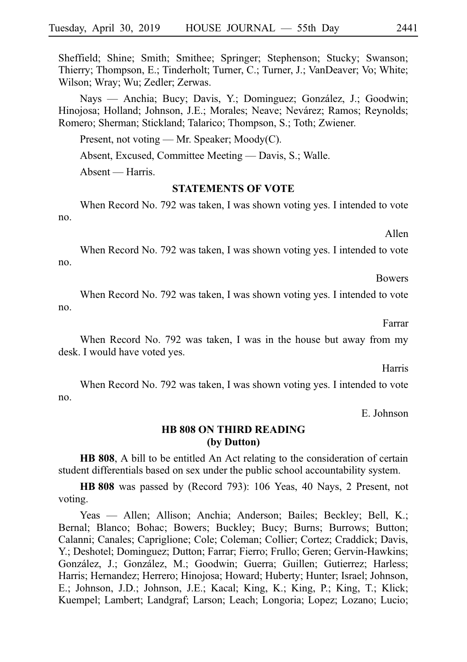Sheffield; Shine; Smith; Smithee; Springer; Stephenson; Stucky; Swanson; Thierry; Thompson, E.; Tinderholt; Turner, C.; Turner, J.; VanDeaver; Vo; White; Wilson; Wray; Wu; Zedler; Zerwas.

Nays — Anchia; Bucy; Davis, Y.; Dominguez; González, J.; Goodwin; Hinojosa; Holland; Johnson, J.E.; Morales; Neave; Nevárez; Ramos; Reynolds; Romero; Sherman; Stickland; Talarico; Thompson, S.; Toth; Zwiener.

Present, not voting — Mr. Speaker; Moody(C).

Absent, Excused, Committee Meeting — Davis, S.; Walle.

Absent — Harris.

#### **STATEMENTS OF VOTE**

When Record No. 792 was taken, I was shown voting yes. I intended to vote no.

Allen

When Record No. 792 was taken, I was shown voting yes. I intended to vote no.

Bowers

When Record No. 792 was taken, I was shown voting yes. I intended to vote no.

Farrar

When Record No. 792 was taken, I was in the house but away from my desk. I would have voted yes.

Harris

When Record No. 792 was taken, I was shown voting yes. I intended to vote no.

E. Johnson

## **HB 808 ON THIRD READING (by Dutton)**

**HB 808**, A bill to be entitled An Act relating to the consideration of certain student differentials based on sex under the public school accountability system.

**HBi808** was passed by (Record 793): 106 Yeas, 40 Nays, 2 Present, not voting.

Yeas — Allen; Allison; Anchia; Anderson; Bailes; Beckley; Bell, K.; Bernal; Blanco; Bohac; Bowers; Buckley; Bucy; Burns; Burrows; Button; Calanni; Canales; Capriglione; Cole; Coleman; Collier; Cortez; Craddick; Davis, Y.; Deshotel; Dominguez; Dutton; Farrar; Fierro; Frullo; Geren; Gervin-Hawkins; González, J.; González, M.; Goodwin; Guerra; Guillen; Gutierrez; Harless; Harris; Hernandez; Herrero; Hinojosa; Howard; Huberty; Hunter; Israel; Johnson, E.; Johnson, J.D.; Johnson, J.E.; Kacal; King, K.; King, P.; King, T.; Klick; Kuempel; Lambert; Landgraf; Larson; Leach; Longoria; Lopez; Lozano; Lucio;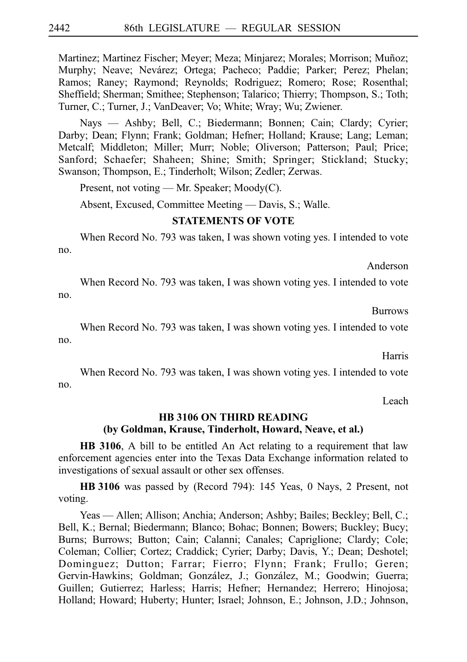Martinez; Martinez Fischer; Meyer; Meza; Minjarez; Morales; Morrison; Muñoz; Murphy; Neave; Nevárez; Ortega; Pacheco; Paddie; Parker; Perez; Phelan; Ramos; Raney; Raymond; Reynolds; Rodriguez; Romero; Rose; Rosenthal; Sheffield; Sherman; Smithee; Stephenson; Talarico; Thierry; Thompson, S.; Toth; Turner, C.; Turner, J.; VanDeaver; Vo; White; Wray; Wu; Zwiener.

Nays — Ashby; Bell, C.; Biedermann; Bonnen; Cain; Clardy; Cyrier; Darby; Dean; Flynn; Frank; Goldman; Hefner; Holland; Krause; Lang; Leman; Metcalf; Middleton; Miller; Murr; Noble; Oliverson; Patterson; Paul; Price; Sanford; Schaefer; Shaheen; Shine; Smith; Springer; Stickland; Stucky; Swanson; Thompson, E.; Tinderholt; Wilson; Zedler; Zerwas.

Present, not voting — Mr. Speaker; Moody(C).

Absent, Excused, Committee Meeting — Davis, S.; Walle.

#### **STATEMENTS OF VOTE**

When Record No. 793 was taken, I was shown voting yes. I intended to vote no.

Anderson

When Record No. 793 was taken, I was shown voting yes. I intended to vote no.

Burrows

When Record No. 793 was taken, I was shown voting yes. I intended to vote no.

Harris

When Record No. 793 was taken, I was shown voting yes. I intended to vote no.

Leach

## **HB 3106 ON THIRD READING (by Goldman, Krause, Tinderholt, Howard, Neave, et al.)**

**HB 3106**, A bill to be entitled An Act relating to a requirement that law enforcement agencies enter into the Texas Data Exchange information related to investigations of sexual assault or other sex offenses.

**HBi3106** was passed by (Record 794): 145 Yeas, 0 Nays, 2 Present, not voting.

Yeas — Allen; Allison; Anchia; Anderson; Ashby; Bailes; Beckley; Bell, C.; Bell, K.; Bernal; Biedermann; Blanco; Bohac; Bonnen; Bowers; Buckley; Bucy; Burns; Burrows; Button; Cain; Calanni; Canales; Capriglione; Clardy; Cole; Coleman; Collier; Cortez; Craddick; Cyrier; Darby; Davis, Y.; Dean; Deshotel; Dominguez; Dutton; Farrar; Fierro; Flynn; Frank; Frullo; Geren; Gervin-Hawkins; Goldman; González, J.; González, M.; Goodwin; Guerra; Guillen; Gutierrez; Harless; Harris; Hefner; Hernandez; Herrero; Hinojosa; Holland; Howard; Huberty; Hunter; Israel; Johnson, E.; Johnson, J.D.; Johnson,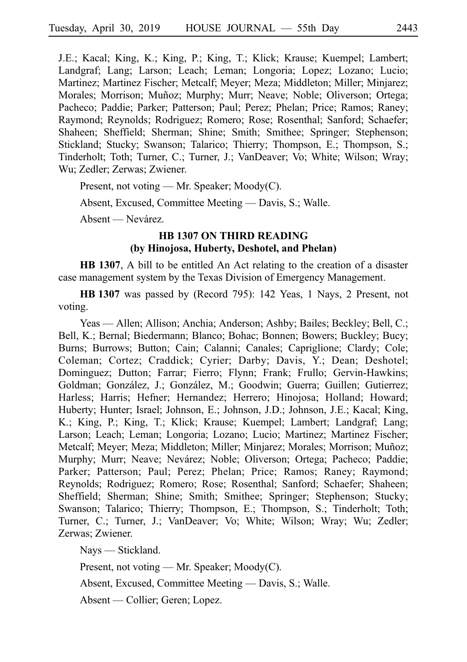J.E.; Kacal; King, K.; King, P.; King, T.; Klick; Krause; Kuempel; Lambert; Landgraf; Lang; Larson; Leach; Leman; Longoria; Lopez; Lozano; Lucio; Martinez; Martinez Fischer; Metcalf; Meyer; Meza; Middleton; Miller; Minjarez; Morales; Morrison; Muñoz; Murphy; Murr; Neave; Noble; Oliverson; Ortega; Pacheco; Paddie; Parker; Patterson; Paul; Perez; Phelan; Price; Ramos; Raney; Raymond; Reynolds; Rodriguez; Romero; Rose; Rosenthal; Sanford; Schaefer; Shaheen; Sheffield; Sherman; Shine; Smith; Smithee; Springer; Stephenson; Stickland; Stucky; Swanson; Talarico; Thierry; Thompson, E.; Thompson, S.; Tinderholt; Toth; Turner, C.; Turner, J.; VanDeaver; Vo; White; Wilson; Wray; Wu; Zedler; Zerwas; Zwiener.

Present, not voting — Mr. Speaker; Moody(C).

Absent, Excused, Committee Meeting — Davis, S.; Walle.

Absent — Nevárez.

## **HB 1307 ON THIRD READING (by Hinojosa, Huberty, Deshotel, and Phelan)**

**HB 1307**, A bill to be entitled An Act relating to the creation of a disaster case management system by the Texas Division of Emergency Management.

**HBi1307** was passed by (Record 795): 142 Yeas, 1 Nays, 2 Present, not voting.

Yeas — Allen; Allison; Anchia; Anderson; Ashby; Bailes; Beckley; Bell, C.; Bell, K.; Bernal; Biedermann; Blanco; Bohac; Bonnen; Bowers; Buckley; Bucy; Burns; Burrows; Button; Cain; Calanni; Canales; Capriglione; Clardy; Cole; Coleman; Cortez; Craddick; Cyrier; Darby; Davis, Y.; Dean; Deshotel; Dominguez; Dutton; Farrar; Fierro; Flynn; Frank; Frullo; Gervin-Hawkins; Goldman; González, J.; González, M.; Goodwin; Guerra; Guillen; Gutierrez; Harless; Harris; Hefner; Hernandez; Herrero; Hinojosa; Holland; Howard; Huberty; Hunter; Israel; Johnson, E.; Johnson, J.D.; Johnson, J.E.; Kacal; King, K.; King, P.; King, T.; Klick; Krause; Kuempel; Lambert; Landgraf; Lang; Larson; Leach; Leman; Longoria; Lozano; Lucio; Martinez; Martinez Fischer; Metcalf; Meyer; Meza; Middleton; Miller; Minjarez; Morales; Morrison; Muñoz; Murphy; Murr; Neave; Nevárez; Noble; Oliverson; Ortega; Pacheco; Paddie; Parker; Patterson; Paul; Perez; Phelan; Price; Ramos; Raney; Raymond; Reynolds; Rodriguez; Romero; Rose; Rosenthal; Sanford; Schaefer; Shaheen; Sheffield; Sherman; Shine; Smith; Smithee; Springer; Stephenson; Stucky; Swanson; Talarico; Thierry; Thompson, E.; Thompson, S.; Tinderholt; Toth; Turner, C.; Turner, J.; VanDeaver; Vo; White; Wilson; Wray; Wu; Zedler; Zerwas; Zwiener.

Nays — Stickland.

Present, not voting — Mr. Speaker; Moody(C).

Absent, Excused, Committee Meeting — Davis, S.; Walle.

Absent — Collier; Geren; Lopez.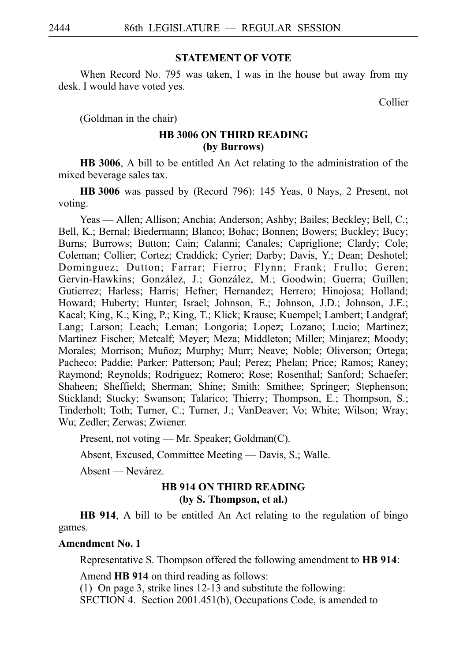## **STATEMENT OF VOTE**

When Record No. 795 was taken, I was in the house but away from my desk. I would have voted yes.

Collier

(Goldman in the chair)

# **HB 3006 ON THIRD READING (by Burrows)**

**HB 3006**, A bill to be entitled An Act relating to the administration of the mixed beverage sales tax.

**HBi3006** was passed by (Record 796): 145 Yeas, 0 Nays, 2 Present, not voting.

Yeas — Allen; Allison; Anchia; Anderson; Ashby; Bailes; Beckley; Bell, C.; Bell, K.; Bernal; Biedermann; Blanco; Bohac; Bonnen; Bowers; Buckley; Bucy; Burns; Burrows; Button; Cain; Calanni; Canales; Capriglione; Clardy; Cole; Coleman; Collier; Cortez; Craddick; Cyrier; Darby; Davis, Y.; Dean; Deshotel; Dominguez; Dutton; Farrar; Fierro; Flynn; Frank; Frullo; Geren; Gervin-Hawkins; González, J.; González, M.; Goodwin; Guerra; Guillen; Gutierrez; Harless; Harris; Hefner; Hernandez; Herrero; Hinojosa; Holland; Howard; Huberty; Hunter; Israel; Johnson, E.; Johnson, J.D.; Johnson, J.E.; Kacal; King, K.; King, P.; King, T.; Klick; Krause; Kuempel; Lambert; Landgraf; Lang; Larson; Leach; Leman; Longoria; Lopez; Lozano; Lucio; Martinez; Martinez Fischer; Metcalf; Meyer; Meza; Middleton; Miller; Minjarez; Moody; Morales; Morrison; Muñoz; Murphy; Murr; Neave; Noble; Oliverson; Ortega; Pacheco; Paddie; Parker; Patterson; Paul; Perez; Phelan; Price; Ramos; Raney; Raymond; Reynolds; Rodriguez; Romero; Rose; Rosenthal; Sanford; Schaefer; Shaheen; Sheffield; Sherman; Shine; Smith; Smithee; Springer; Stephenson; Stickland; Stucky; Swanson; Talarico; Thierry; Thompson, E.; Thompson, S.; Tinderholt; Toth; Turner, C.; Turner, J.; VanDeaver; Vo; White; Wilson; Wray; Wu; Zedler; Zerwas; Zwiener.

Present, not voting — Mr. Speaker; Goldman(C).

Absent, Excused, Committee Meeting — Davis, S.; Walle.

Absent — Nevárez.

# **HB 914 ON THIRD READING (by S. Thompson, et al.)**

**HB 914**, A bill to be entitled An Act relating to the regulation of bingo games.

#### **Amendment No. 1**

Representative S. Thompson offered the following amendment to **HB 914**:

Amend **HB 914** on third reading as follows: (1) On page 3, strike lines  $12-13$  and substitute the following: SECTION 4. Section 2001.451(b), Occupations Code, is amended to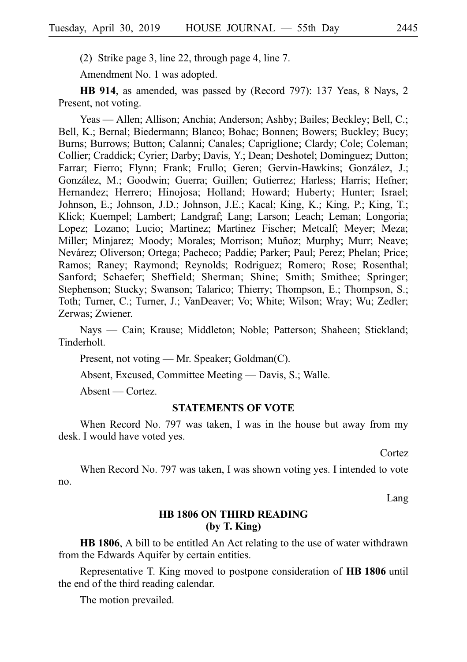(2) Strike page 3, line 22, through page 4, line 7.

Amendment No. 1 was adopted.

**HB 914**, as amended, was passed by (Record 797): 137 Yeas, 8 Nays, 2 Present, not voting.

Yeas — Allen; Allison; Anchia; Anderson; Ashby; Bailes; Beckley; Bell, C.; Bell, K.; Bernal; Biedermann; Blanco; Bohac; Bonnen; Bowers; Buckley; Bucy; Burns; Burrows; Button; Calanni; Canales; Capriglione; Clardy; Cole; Coleman; Collier; Craddick; Cyrier; Darby; Davis, Y.; Dean; Deshotel; Dominguez; Dutton; Farrar; Fierro; Flynn; Frank; Frullo; Geren; Gervin-Hawkins; González, J.; González, M.; Goodwin; Guerra; Guillen; Gutierrez; Harless; Harris; Hefner; Hernandez; Herrero; Hinojosa; Holland; Howard; Huberty; Hunter; Israel; Johnson, E.; Johnson, J.D.; Johnson, J.E.; Kacal; King, K.; King, P.; King, T.; Klick; Kuempel; Lambert; Landgraf; Lang; Larson; Leach; Leman; Longoria; Lopez; Lozano; Lucio; Martinez; Martinez Fischer; Metcalf; Meyer; Meza; Miller; Minjarez; Moody; Morales; Morrison; Muñoz; Murphy; Murr; Neave; Nevárez; Oliverson; Ortega; Pacheco; Paddie; Parker; Paul; Perez; Phelan; Price; Ramos; Raney; Raymond; Reynolds; Rodriguez; Romero; Rose; Rosenthal; Sanford; Schaefer; Sheffield; Sherman; Shine; Smith; Smithee; Springer; Stephenson; Stucky; Swanson; Talarico; Thierry; Thompson, E.; Thompson, S.; Toth; Turner, C.; Turner, J.; VanDeaver; Vo; White; Wilson; Wray; Wu; Zedler; Zerwas; Zwiener.

Nays — Cain; Krause; Middleton; Noble; Patterson; Shaheen; Stickland; Tinderholt.

Present, not voting — Mr. Speaker; Goldman(C).

Absent, Excused, Committee Meeting — Davis, S.; Walle.

Absent — Cortez.

#### **STATEMENTS OF VOTE**

When Record No. 797 was taken, I was in the house but away from my desk. I would have voted yes.

Cortez

When Record No. 797 was taken, I was shown voting yes. I intended to vote no.

Lang

## **HB 1806 ON THIRD READING (by T. King)**

**HB 1806**, A bill to be entitled An Act relating to the use of water withdrawn from the Edwards Aquifer by certain entities.

Representative T. King moved to postpone consideration of **HB 1806** until the end of the third reading calendar.

The motion prevailed.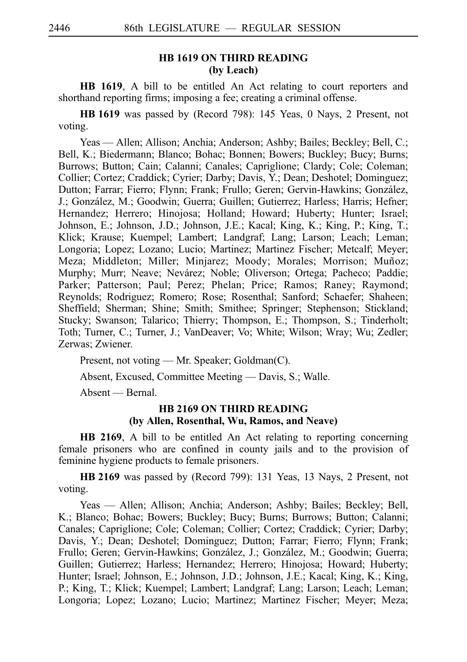## **HB 1619 ON THIRD READING (by Leach)**

**HB 1619**, A bill to be entitled An Act relating to court reporters and shorthand reporting firms; imposing a fee; creating a criminal offense.

**HBi1619** was passed by (Record 798): 145 Yeas, 0 Nays, 2 Present, not voting.

Yeas — Allen; Allison; Anchia; Anderson; Ashby; Bailes; Beckley; Bell, C.; Bell, K.; Biedermann; Blanco; Bohac; Bonnen; Bowers; Buckley; Bucy; Burns; Burrows; Button; Cain; Calanni; Canales; Capriglione; Clardy; Cole; Coleman; Collier; Cortez; Craddick; Cyrier; Darby; Davis, Y.; Dean; Deshotel; Dominguez; Dutton; Farrar; Fierro; Flynn; Frank; Frullo; Geren; Gervin-Hawkins; González, J.; González, M.; Goodwin; Guerra; Guillen; Gutierrez; Harless; Harris; Hefner; Hernandez; Herrero; Hinojosa; Holland; Howard; Huberty; Hunter; Israel; Johnson, E.; Johnson, J.D.; Johnson, J.E.; Kacal; King, K.; King, P.; King, T.; Klick; Krause; Kuempel; Lambert; Landgraf; Lang; Larson; Leach; Leman; Longoria; Lopez; Lozano; Lucio; Martinez; Martinez Fischer; Metcalf; Meyer; Meza; Middleton; Miller; Minjarez; Moody; Morales; Morrison; Muñoz; Murphy; Murr; Neave; Nevárez; Noble; Oliverson; Ortega; Pacheco; Paddie; Parker; Patterson; Paul; Perez; Phelan; Price; Ramos; Raney; Raymond; Reynolds; Rodriguez; Romero; Rose; Rosenthal; Sanford; Schaefer; Shaheen; Sheffield; Sherman; Shine; Smith; Smithee; Springer; Stephenson; Stickland; Stucky; Swanson; Talarico; Thierry; Thompson, E.; Thompson, S.; Tinderholt; Toth; Turner, C.; Turner, J.; VanDeaver; Vo; White; Wilson; Wray; Wu; Zedler; Zerwas; Zwiener.

Present, not voting — Mr. Speaker; Goldman(C).

Absent, Excused, Committee Meeting — Davis, S.; Walle.

Absent — Bernal.

## **HB 2169 ON THIRD READING (by Allen, Rosenthal, Wu, Ramos, and Neave)**

**HB 2169**, A bill to be entitled An Act relating to reporting concerning female prisoners who are confined in county jails and to the provision of feminine hygiene products to female prisoners.

**HBi2169** was passed by (Record 799): 131 Yeas, 13 Nays, 2 Present, not voting.

Yeas — Allen; Allison; Anchia; Anderson; Ashby; Bailes; Beckley; Bell, K.; Blanco; Bohac; Bowers; Buckley; Bucy; Burns; Burrows; Button; Calanni; Canales; Capriglione; Cole; Coleman; Collier; Cortez; Craddick; Cyrier; Darby; Davis, Y.; Dean; Deshotel; Dominguez; Dutton; Farrar; Fierro; Flynn; Frank; Frullo; Geren; Gervin-Hawkins; González, J.; González, M.; Goodwin; Guerra; Guillen; Gutierrez; Harless; Hernandez; Herrero; Hinojosa; Howard; Huberty; Hunter; Israel; Johnson, E.; Johnson, J.D.; Johnson, J.E.; Kacal; King, K.; King, P.; King, T.; Klick; Kuempel; Lambert; Landgraf; Lang; Larson; Leach; Leman; Longoria; Lopez; Lozano; Lucio; Martinez; Martinez Fischer; Meyer; Meza;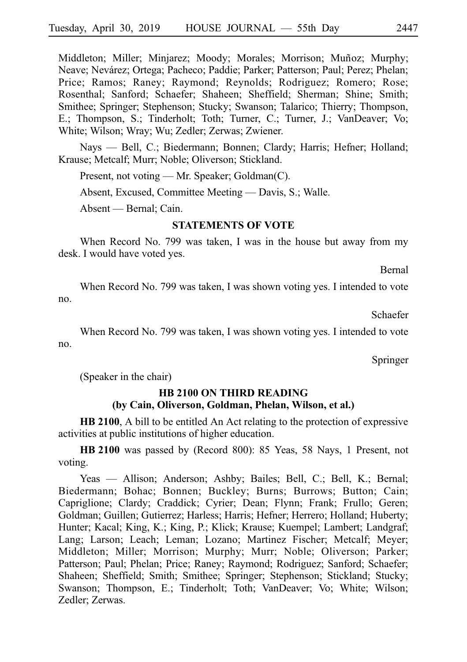Middleton; Miller; Minjarez; Moody; Morales; Morrison; Muñoz; Murphy; Neave; Nevárez; Ortega; Pacheco; Paddie; Parker; Patterson; Paul; Perez; Phelan; Price; Ramos; Raney; Raymond; Reynolds; Rodriguez; Romero; Rose; Rosenthal; Sanford; Schaefer; Shaheen; Sheffield; Sherman; Shine; Smith; Smithee; Springer; Stephenson; Stucky; Swanson; Talarico; Thierry; Thompson, E.; Thompson, S.; Tinderholt; Toth; Turner, C.; Turner, J.; VanDeaver; Vo; White; Wilson; Wray; Wu; Zedler; Zerwas; Zwiener.

Nays — Bell, C.; Biedermann; Bonnen; Clardy; Harris; Hefner; Holland; Krause; Metcalf; Murr; Noble; Oliverson; Stickland.

Present, not voting — Mr. Speaker; Goldman(C).

Absent, Excused, Committee Meeting — Davis, S.; Walle.

Absent — Bernal; Cain.

#### **STATEMENTS OF VOTE**

When Record No. 799 was taken, I was in the house but away from my desk. I would have voted yes.

Bernal

When Record No. 799 was taken, I was shown voting yes. I intended to vote no.

Schaefer

When Record No. 799 was taken, I was shown voting yes. I intended to vote no.

Springer

(Speaker in the chair)

# **HB 2100 ON THIRD READING (by Cain, Oliverson, Goldman, Phelan, Wilson, et al.)**

**HB 2100**, A bill to be entitled An Act relating to the protection of expressive activities at public institutions of higher education.

HB 2100 was passed by (Record 800): 85 Yeas, 58 Nays, 1 Present, not voting.

Yeas — Allison; Anderson; Ashby; Bailes; Bell, C.; Bell, K.; Bernal; Biedermann; Bohac; Bonnen; Buckley; Burns; Burrows; Button; Cain; Capriglione; Clardy; Craddick; Cyrier; Dean; Flynn; Frank; Frullo; Geren; Goldman; Guillen; Gutierrez; Harless; Harris; Hefner; Herrero; Holland; Huberty; Hunter; Kacal; King, K.; King, P.; Klick; Krause; Kuempel; Lambert; Landgraf; Lang; Larson; Leach; Leman; Lozano; Martinez Fischer; Metcalf; Meyer; Middleton; Miller; Morrison; Murphy; Murr; Noble; Oliverson; Parker; Patterson; Paul; Phelan; Price; Raney; Raymond; Rodriguez; Sanford; Schaefer; Shaheen; Sheffield; Smith; Smithee; Springer; Stephenson; Stickland; Stucky; Swanson; Thompson, E.; Tinderholt; Toth; VanDeaver; Vo; White; Wilson; Zedler; Zerwas.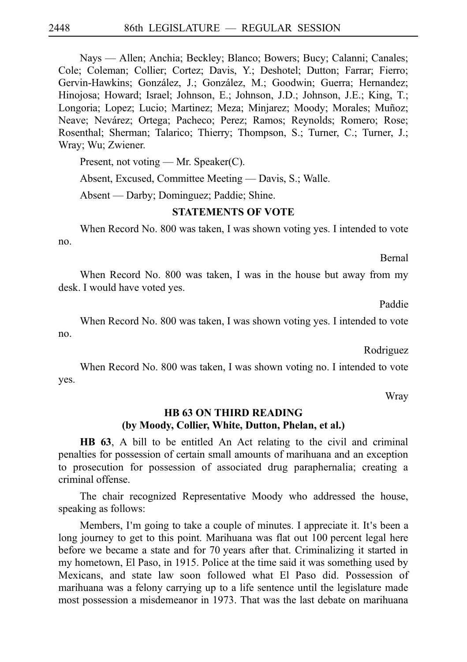Nays — Allen; Anchia; Beckley; Blanco; Bowers; Bucy; Calanni; Canales; Cole; Coleman; Collier; Cortez; Davis, Y.; Deshotel; Dutton; Farrar; Fierro; Gervin-Hawkins; González, J.; González, M.; Goodwin; Guerra; Hernandez; Hinojosa; Howard; Israel; Johnson, E.; Johnson, J.D.; Johnson, J.E.; King, T.; Longoria; Lopez; Lucio; Martinez; Meza; Minjarez; Moody; Morales; Muñoz; Neave; Nevárez; Ortega; Pacheco; Perez; Ramos; Reynolds; Romero; Rose; Rosenthal; Sherman; Talarico; Thierry; Thompson, S.; Turner, C.; Turner, J.; Wray; Wu; Zwiener.

Present, not voting — Mr. Speaker(C).

Absent, Excused, Committee Meeting — Davis, S.; Walle.

Absent — Darby; Dominguez; Paddie; Shine.

#### **STATEMENTS OF VOTE**

When Record No. 800 was taken, I was shown voting yes. I intended to vote no.

Bernal

When Record No. 800 was taken, I was in the house but away from my desk. I would have voted yes.

Paddie

When Record No. 800 was taken, I was shown voting yes. I intended to vote no.

Rodriguez

When Record No. 800 was taken, I was shown voting no. I intended to vote yes.

Wray

# **HB 63 ON THIRD READING (by Moody, Collier, White, Dutton, Phelan, et al.)**

**HB 63**, A bill to be entitled An Act relating to the civil and criminal penalties for possession of certain small amounts of marihuana and an exception to prosecution for possession of associated drug paraphernalia; creating a criminal offense.

The chair recognized Representative Moody who addressed the house, speaking as follows:

Members, I'm going to take a couple of minutes. I appreciate it. It's been a long journey to get to this point. Marihuana was flat out 100 percent legal here before we became a state and for 70 years after that. Criminalizing it started in my hometown, El Paso, in 1915. Police at the time said it was something used by Mexicans, and state law soon followed what El Paso did. Possession of marihuana was a felony carrying up to a life sentence until the legislature made most possession a misdemeanor in 1973. That was the last debate on marihuana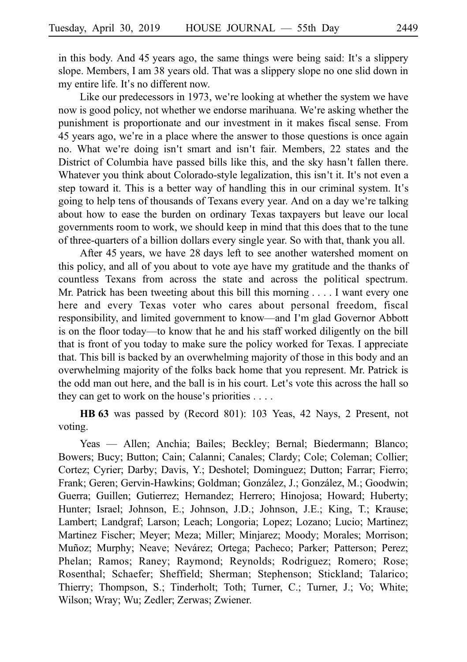in this body. And 45 years ago, the same things were being said: It's a slippery slope. Members, I am 38 years old. That was a slippery slope no one slid down in my entire life. It's no different now.

Like our predecessors in 1973, we're looking at whether the system we have now is good policy, not whether we endorse marihuana. We're asking whether the punishment is proportionate and our investment in it makes fiscal sense. From 45 years ago, we're in a place where the answer to those questions is once again no. What we're doing isn't smart and isn't fair. Members, 22 states and the District of Columbia have passed bills like this, and the sky hasn't fallen there. Whatever you think about Colorado-style legalization, this isn't it. It's not even a step toward it. This is a better way of handling this in our criminal system. It's going to help tens of thousands of Texans every year. And on a day we re talking ' about how to ease the burden on ordinary Texas taxpayers but leave our local governments room to work, we should keep in mind that this does that to the tune of three-quarters of a billion dollars every single year. So with that, thank you all.

After 45 years, we have 28 days left to see another watershed moment on this policy, and all of you about to vote aye have my gratitude and the thanks of countless Texans from across the state and across the political spectrum. Mr. Patrick has been tweeting about this bill this morning  $\ldots$ . I want every one here and every Texas voter who cares about personal freedom, fiscal responsibility, and limited government to know—and I'm glad Governor Abbott is on the floor today––to know that he and his staff worked diligently on the bill that is front of you today to make sure the policy worked for Texas. I appreciate that. This bill is backed by an overwhelming majority of those in this body and an overwhelming majority of the folks back home that you represent. Mr. Patrick is the odd man out here, and the ball is in his court. Let's vote this across the hall so they can get to work on the house's priorities  $\ldots$ .

**HBi63** was passed by (Record 801): 103 Yeas, 42 Nays, 2 Present, not voting.

Yeas — Allen; Anchia; Bailes; Beckley; Bernal; Biedermann; Blanco; Bowers; Bucy; Button; Cain; Calanni; Canales; Clardy; Cole; Coleman; Collier; Cortez; Cyrier; Darby; Davis, Y.; Deshotel; Dominguez; Dutton; Farrar; Fierro; Frank; Geren; Gervin-Hawkins; Goldman; González, J.; González, M.; Goodwin; Guerra; Guillen; Gutierrez; Hernandez; Herrero; Hinojosa; Howard; Huberty; Hunter; Israel; Johnson, E.; Johnson, J.D.; Johnson, J.E.; King, T.; Krause; Lambert; Landgraf; Larson; Leach; Longoria; Lopez; Lozano; Lucio; Martinez; Martinez Fischer; Meyer; Meza; Miller; Minjarez; Moody; Morales; Morrison; Muñoz; Murphy; Neave; Nevárez; Ortega; Pacheco; Parker; Patterson; Perez; Phelan; Ramos; Raney; Raymond; Reynolds; Rodriguez; Romero; Rose; Rosenthal; Schaefer; Sheffield; Sherman; Stephenson; Stickland; Talarico; Thierry; Thompson, S.; Tinderholt; Toth; Turner, C.; Turner, J.; Vo; White; Wilson; Wray; Wu; Zedler; Zerwas; Zwiener.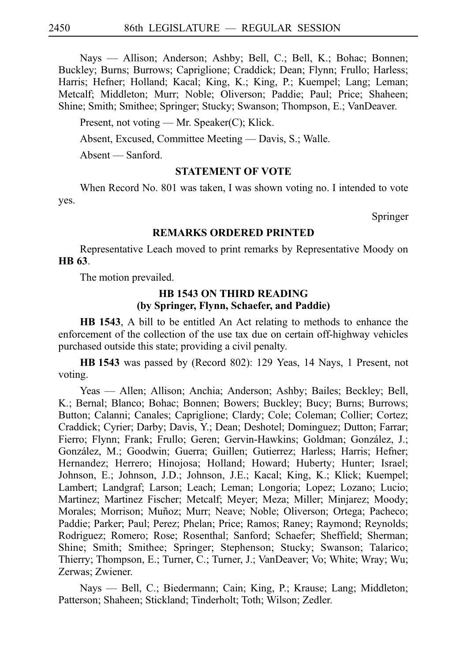Nays — Allison; Anderson; Ashby; Bell, C.; Bell, K.; Bohac; Bonnen; Buckley; Burns; Burrows; Capriglione; Craddick; Dean; Flynn; Frullo; Harless; Harris; Hefner; Holland; Kacal; King, K.; King, P.; Kuempel; Lang; Leman; Metcalf; Middleton; Murr; Noble; Oliverson; Paddie; Paul; Price; Shaheen; Shine; Smith; Smithee; Springer; Stucky; Swanson; Thompson, E.; VanDeaver.

Present, not voting — Mr. Speaker(C); Klick.

Absent, Excused, Committee Meeting — Davis, S.; Walle.

Absent — Sanford.

# **STATEMENT OF VOTE**

When Record No. 801 was taken, I was shown voting no. I intended to vote yes.

Springer

## **REMARKS ORDERED PRINTED**

Representative Leach moved to print remarks by Representative Moody on **HB** 63.

The motion prevailed.

## **HB 1543 ON THIRD READING (by Springer, Flynn, Schaefer, and Paddie)**

**HB 1543**, A bill to be entitled An Act relating to methods to enhance the enforcement of the collection of the use tax due on certain off-highway vehicles purchased outside this state; providing a civil penalty.

**HBi1543** was passed by (Record 802): 129 Yeas, 14 Nays, 1 Present, not voting.

Yeas — Allen; Allison; Anchia; Anderson; Ashby; Bailes; Beckley; Bell, K.; Bernal; Blanco; Bohac; Bonnen; Bowers; Buckley; Bucy; Burns; Burrows; Button; Calanni; Canales; Capriglione; Clardy; Cole; Coleman; Collier; Cortez; Craddick; Cyrier; Darby; Davis, Y.; Dean; Deshotel; Dominguez; Dutton; Farrar; Fierro; Flynn; Frank; Frullo; Geren; Gervin-Hawkins; Goldman; González, J.; González, M.; Goodwin; Guerra; Guillen; Gutierrez; Harless; Harris; Hefner; Hernandez; Herrero; Hinojosa; Holland; Howard; Huberty; Hunter; Israel; Johnson, E.; Johnson, J.D.; Johnson, J.E.; Kacal; King, K.; Klick; Kuempel; Lambert; Landgraf; Larson; Leach; Leman; Longoria; Lopez; Lozano; Lucio; Martinez; Martinez Fischer; Metcalf; Meyer; Meza; Miller; Minjarez; Moody; Morales; Morrison; Muñoz; Murr; Neave; Noble; Oliverson; Ortega; Pacheco; Paddie; Parker; Paul; Perez; Phelan; Price; Ramos; Raney; Raymond; Reynolds; Rodriguez; Romero; Rose; Rosenthal; Sanford; Schaefer; Sheffield; Sherman; Shine; Smith; Smithee; Springer; Stephenson; Stucky; Swanson; Talarico; Thierry; Thompson, E.; Turner, C.; Turner, J.; VanDeaver; Vo; White; Wray; Wu; Zerwas; Zwiener.

Nays — Bell, C.; Biedermann; Cain; King, P.; Krause; Lang; Middleton; Patterson; Shaheen; Stickland; Tinderholt; Toth; Wilson; Zedler.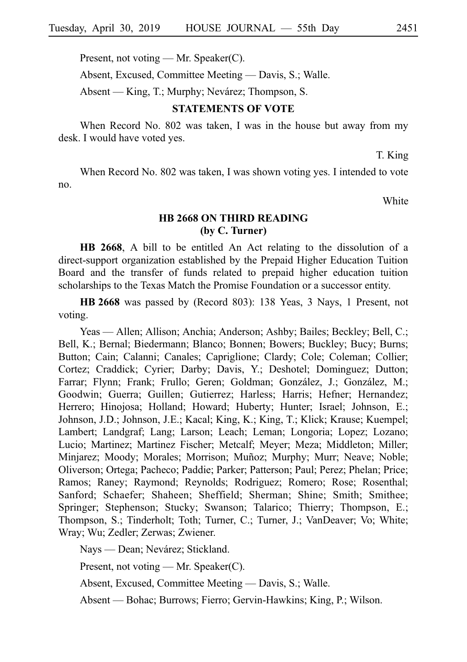Present, not voting — Mr. Speaker(C).

Absent, Excused, Committee Meeting — Davis, S.; Walle.

Absent — King, T.; Murphy; Nevárez; Thompson, S.

## **STATEMENTS OF VOTE**

When Record No. 802 was taken, I was in the house but away from my desk. I would have voted yes.

T. King

When Record No. 802 was taken, I was shown voting yes. I intended to vote no.

White

# **HB 2668 ON THIRD READING (by C. Turner)**

**HB 2668**, A bill to be entitled An Act relating to the dissolution of a direct-support organization established by the Prepaid Higher Education Tuition Board and the transfer of funds related to prepaid higher education tuition scholarships to the Texas Match the Promise Foundation or a successor entity.

**HB** 2668 was passed by (Record 803): 138 Yeas, 3 Nays, 1 Present, not voting.

Yeas — Allen; Allison; Anchia; Anderson; Ashby; Bailes; Beckley; Bell, C.; Bell, K.; Bernal; Biedermann; Blanco; Bonnen; Bowers; Buckley; Bucy; Burns; Button; Cain; Calanni; Canales; Capriglione; Clardy; Cole; Coleman; Collier; Cortez; Craddick; Cyrier; Darby; Davis, Y.; Deshotel; Dominguez; Dutton; Farrar; Flynn; Frank; Frullo; Geren; Goldman; González, J.; González, M.; Goodwin; Guerra; Guillen; Gutierrez; Harless; Harris; Hefner; Hernandez; Herrero; Hinojosa; Holland; Howard; Huberty; Hunter; Israel; Johnson, E.; Johnson, J.D.; Johnson, J.E.; Kacal; King, K.; King, T.; Klick; Krause; Kuempel; Lambert; Landgraf; Lang; Larson; Leach; Leman; Longoria; Lopez; Lozano; Lucio; Martinez; Martinez Fischer; Metcalf; Meyer; Meza; Middleton; Miller; Minjarez; Moody; Morales; Morrison; Muñoz; Murphy; Murr; Neave; Noble; Oliverson; Ortega; Pacheco; Paddie; Parker; Patterson; Paul; Perez; Phelan; Price; Ramos; Raney; Raymond; Reynolds; Rodriguez; Romero; Rose; Rosenthal; Sanford; Schaefer; Shaheen; Sheffield; Sherman; Shine; Smith; Smithee; Springer; Stephenson; Stucky; Swanson; Talarico; Thierry; Thompson, E.; Thompson, S.; Tinderholt; Toth; Turner, C.; Turner, J.; VanDeaver; Vo; White; Wray; Wu; Zedler; Zerwas; Zwiener.

Nays — Dean; Nevárez; Stickland.

Present, not voting — Mr. Speaker(C).

Absent, Excused, Committee Meeting — Davis, S.; Walle.

Absent — Bohac; Burrows; Fierro; Gervin-Hawkins; King, P.; Wilson.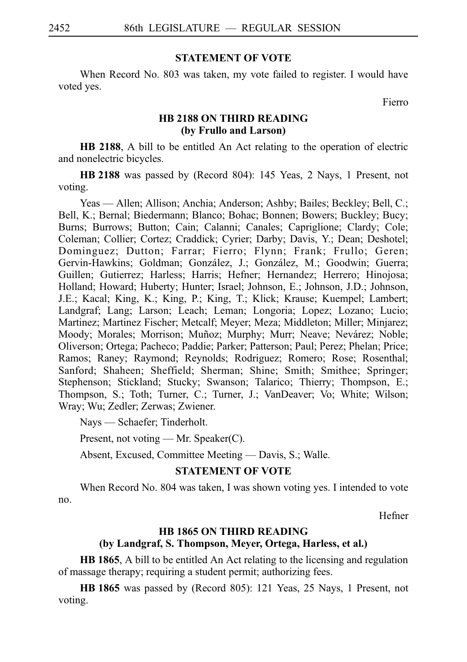#### **STATEMENT OF VOTE**

When Record No. 803 was taken, my vote failed to register. I would have voted yes.

Fierro

## **HB 2188 ON THIRD READING (by Frullo and Larson)**

**HB 2188**, A bill to be entitled An Act relating to the operation of electric and nonelectric bicycles.

**HB** 2188 was passed by (Record 804): 145 Yeas, 2 Nays, 1 Present, not voting.

Yeas — Allen; Allison; Anchia; Anderson; Ashby; Bailes; Beckley; Bell, C.; Bell, K.; Bernal; Biedermann; Blanco; Bohac; Bonnen; Bowers; Buckley; Bucy; Burns; Burrows; Button; Cain; Calanni; Canales; Capriglione; Clardy; Cole; Coleman; Collier; Cortez; Craddick; Cyrier; Darby; Davis, Y.; Dean; Deshotel; Dominguez; Dutton; Farrar; Fierro; Flynn; Frank; Frullo; Geren; Gervin-Hawkins; Goldman; González, J.; González, M.; Goodwin; Guerra; Guillen; Gutierrez; Harless; Harris; Hefner; Hernandez; Herrero; Hinojosa; Holland; Howard; Huberty; Hunter; Israel; Johnson, E.; Johnson, J.D.; Johnson, J.E.; Kacal; King, K.; King, P.; King, T.; Klick; Krause; Kuempel; Lambert; Landgraf; Lang; Larson; Leach; Leman; Longoria; Lopez; Lozano; Lucio; Martinez; Martinez Fischer; Metcalf; Meyer; Meza; Middleton; Miller; Minjarez; Moody; Morales; Morrison; Muñoz; Murphy; Murr; Neave; Nevárez; Noble; Oliverson; Ortega; Pacheco; Paddie; Parker; Patterson; Paul; Perez; Phelan; Price; Ramos; Raney; Raymond; Reynolds; Rodriguez; Romero; Rose; Rosenthal; Sanford; Shaheen; Sheffield; Sherman; Shine; Smith; Smithee; Springer; Stephenson; Stickland; Stucky; Swanson; Talarico; Thierry; Thompson, E.; Thompson, S.; Toth; Turner, C.; Turner, J.; VanDeaver; Vo; White; Wilson; Wray; Wu; Zedler; Zerwas; Zwiener.

Nays — Schaefer; Tinderholt.

Present, not voting — Mr. Speaker(C).

Absent, Excused, Committee Meeting — Davis, S.; Walle.

## **STATEMENT OF VOTE**

When Record No. 804 was taken, I was shown voting yes. I intended to vote no.

Hefner

## **HB 1865 ON THIRD READING**

## **(by Landgraf, S. Thompson, Meyer, Ortega, Harless, et al.)**

**HB 1865**, A bill to be entitled An Act relating to the licensing and regulation of massage therapy; requiring a student permit; authorizing fees.

**HBi1865** was passed by (Record 805): 121 Yeas, 25 Nays, 1 Present, not voting.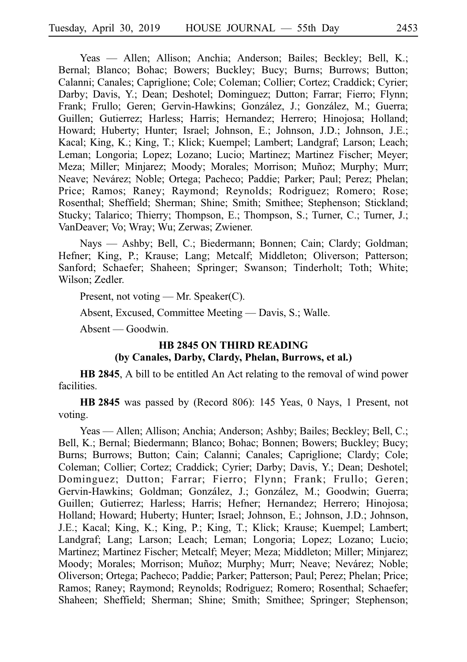Yeas — Allen; Allison; Anchia; Anderson; Bailes; Beckley; Bell, K.; Bernal; Blanco; Bohac; Bowers; Buckley; Bucy; Burns; Burrows; Button; Calanni; Canales; Capriglione; Cole; Coleman; Collier; Cortez; Craddick; Cyrier; Darby; Davis, Y.; Dean; Deshotel; Dominguez; Dutton; Farrar; Fierro; Flynn; Frank; Frullo; Geren; Gervin-Hawkins; González, J.; González, M.; Guerra; Guillen; Gutierrez; Harless; Harris; Hernandez; Herrero; Hinojosa; Holland; Howard; Huberty; Hunter; Israel; Johnson, E.; Johnson, J.D.; Johnson, J.E.; Kacal; King, K.; King, T.; Klick; Kuempel; Lambert; Landgraf; Larson; Leach; Leman; Longoria; Lopez; Lozano; Lucio; Martinez; Martinez Fischer; Meyer; Meza; Miller; Minjarez; Moody; Morales; Morrison; Muñoz; Murphy; Murr; Neave; Nevárez; Noble; Ortega; Pacheco; Paddie; Parker; Paul; Perez; Phelan; Price; Ramos; Raney; Raymond; Reynolds; Rodriguez; Romero; Rose; Rosenthal; Sheffield; Sherman; Shine; Smith; Smithee; Stephenson; Stickland; Stucky; Talarico; Thierry; Thompson, E.; Thompson, S.; Turner, C.; Turner, J.; VanDeaver; Vo; Wray; Wu; Zerwas; Zwiener.

Nays — Ashby; Bell, C.; Biedermann; Bonnen; Cain; Clardy; Goldman; Hefner; King, P.; Krause; Lang; Metcalf; Middleton; Oliverson; Patterson; Sanford; Schaefer; Shaheen; Springer; Swanson; Tinderholt; Toth; White; Wilson; Zedler.

Present, not voting — Mr. Speaker(C).

Absent, Excused, Committee Meeting — Davis, S.; Walle.

Absent — Goodwin.

## **HB 2845 ON THIRD READING (by Canales, Darby, Clardy, Phelan, Burrows, et al.)**

**HB 2845**, A bill to be entitled An Act relating to the removal of wind power facilities.

**HB 2845** was passed by (Record 806): 145 Yeas, 0 Nays, 1 Present, not voting.

Yeas — Allen; Allison; Anchia; Anderson; Ashby; Bailes; Beckley; Bell, C.; Bell, K.; Bernal; Biedermann; Blanco; Bohac; Bonnen; Bowers; Buckley; Bucy; Burns; Burrows; Button; Cain; Calanni; Canales; Capriglione; Clardy; Cole; Coleman; Collier; Cortez; Craddick; Cyrier; Darby; Davis, Y.; Dean; Deshotel; Dominguez; Dutton; Farrar; Fierro; Flynn; Frank; Frullo; Geren; Gervin-Hawkins; Goldman; González, J.; González, M.; Goodwin; Guerra; Guillen; Gutierrez; Harless; Harris; Hefner; Hernandez; Herrero; Hinojosa; Holland; Howard; Huberty; Hunter; Israel; Johnson, E.; Johnson, J.D.; Johnson, J.E.; Kacal; King, K.; King, P.; King, T.; Klick; Krause; Kuempel; Lambert; Landgraf; Lang; Larson; Leach; Leman; Longoria; Lopez; Lozano; Lucio; Martinez; Martinez Fischer; Metcalf; Meyer; Meza; Middleton; Miller; Minjarez; Moody; Morales; Morrison; Muñoz; Murphy; Murr; Neave; Nevárez; Noble; Oliverson; Ortega; Pacheco; Paddie; Parker; Patterson; Paul; Perez; Phelan; Price; Ramos; Raney; Raymond; Reynolds; Rodriguez; Romero; Rosenthal; Schaefer; Shaheen; Sheffield; Sherman; Shine; Smith; Smithee; Springer; Stephenson;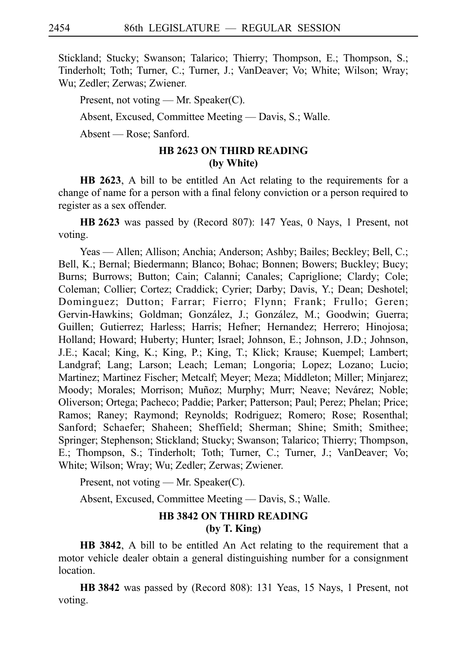Stickland; Stucky; Swanson; Talarico; Thierry; Thompson, E.; Thompson, S.; Tinderholt; Toth; Turner, C.; Turner, J.; VanDeaver; Vo; White; Wilson; Wray; Wu; Zedler; Zerwas; Zwiener.

Present, not voting — Mr. Speaker(C).

Absent, Excused, Committee Meeting — Davis, S.; Walle.

Absent — Rose; Sanford.

# **HB 2623 ON THIRD READING (by White)**

**HB 2623**, A bill to be entitled An Act relating to the requirements for a change of name for a person with a final felony conviction or a person required to register as a sex offender.

**HB 2623** was passed by (Record 807): 147 Yeas, 0 Nays, 1 Present, not voting.

Yeas — Allen; Allison; Anchia; Anderson; Ashby; Bailes; Beckley; Bell, C.; Bell, K.; Bernal; Biedermann; Blanco; Bohac; Bonnen; Bowers; Buckley; Bucy; Burns; Burrows; Button; Cain; Calanni; Canales; Capriglione; Clardy; Cole; Coleman; Collier; Cortez; Craddick; Cyrier; Darby; Davis, Y.; Dean; Deshotel; Dominguez; Dutton; Farrar; Fierro; Flynn; Frank; Frullo; Geren; Gervin-Hawkins; Goldman; González, J.; González, M.; Goodwin; Guerra; Guillen; Gutierrez; Harless; Harris; Hefner; Hernandez; Herrero; Hinojosa; Holland; Howard; Huberty; Hunter; Israel; Johnson, E.; Johnson, J.D.; Johnson, J.E.; Kacal; King, K.; King, P.; King, T.; Klick; Krause; Kuempel; Lambert; Landgraf; Lang; Larson; Leach; Leman; Longoria; Lopez; Lozano; Lucio; Martinez; Martinez Fischer; Metcalf; Meyer; Meza; Middleton; Miller; Minjarez; Moody; Morales; Morrison; Muñoz; Murphy; Murr; Neave; Nevárez; Noble; Oliverson; Ortega; Pacheco; Paddie; Parker; Patterson; Paul; Perez; Phelan; Price; Ramos; Raney; Raymond; Reynolds; Rodriguez; Romero; Rose; Rosenthal; Sanford; Schaefer; Shaheen; Sheffield; Sherman; Shine; Smith; Smithee; Springer; Stephenson; Stickland; Stucky; Swanson; Talarico; Thierry; Thompson, E.; Thompson, S.; Tinderholt; Toth; Turner, C.; Turner, J.; VanDeaver; Vo; White; Wilson; Wray; Wu; Zedler; Zerwas; Zwiener.

Present, not voting — Mr. Speaker(C).

Absent, Excused, Committee Meeting — Davis, S.; Walle.

# **HB 3842 ON THIRD READING (by T. King)**

**HB 3842**, A bill to be entitled An Act relating to the requirement that a motor vehicle dealer obtain a general distinguishing number for a consignment location.

**HBi3842** was passed by (Record 808): 131 Yeas, 15 Nays, 1 Present, not voting.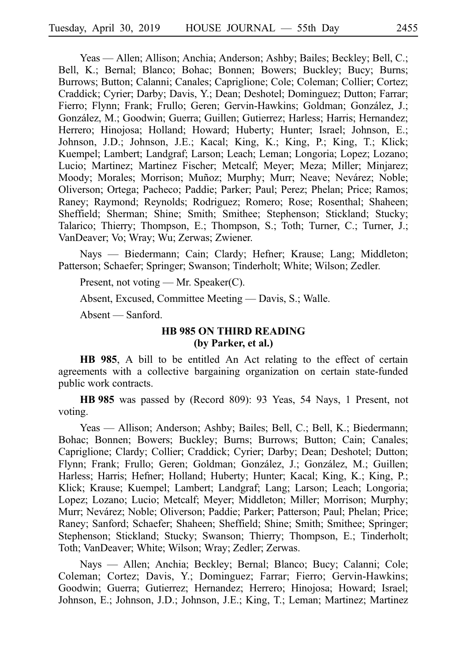Yeas — Allen; Allison; Anchia; Anderson; Ashby; Bailes; Beckley; Bell, C.; Bell, K.; Bernal; Blanco; Bohac; Bonnen; Bowers; Buckley; Bucy; Burns; Burrows; Button; Calanni; Canales; Capriglione; Cole; Coleman; Collier; Cortez; Craddick; Cyrier; Darby; Davis, Y.; Dean; Deshotel; Dominguez; Dutton; Farrar; Fierro; Flynn; Frank; Frullo; Geren; Gervin-Hawkins; Goldman; González, J.; González, M.; Goodwin; Guerra; Guillen; Gutierrez; Harless; Harris; Hernandez; Herrero; Hinojosa; Holland; Howard; Huberty; Hunter; Israel; Johnson, E.; Johnson, J.D.; Johnson, J.E.; Kacal; King, K.; King, P.; King, T.; Klick; Kuempel; Lambert; Landgraf; Larson; Leach; Leman; Longoria; Lopez; Lozano; Lucio; Martinez; Martinez Fischer; Metcalf; Meyer; Meza; Miller; Minjarez; Moody; Morales; Morrison; Muñoz; Murphy; Murr; Neave; Nevárez; Noble; Oliverson; Ortega; Pacheco; Paddie; Parker; Paul; Perez; Phelan; Price; Ramos; Raney; Raymond; Reynolds; Rodriguez; Romero; Rose; Rosenthal; Shaheen; Sheffield; Sherman; Shine; Smith; Smithee; Stephenson; Stickland; Stucky; Talarico; Thierry; Thompson, E.; Thompson, S.; Toth; Turner, C.; Turner, J.; VanDeaver; Vo; Wray; Wu; Zerwas; Zwiener.

Nays — Biedermann; Cain; Clardy; Hefner; Krause; Lang; Middleton; Patterson; Schaefer; Springer; Swanson; Tinderholt; White; Wilson; Zedler.

Present, not voting — Mr. Speaker(C).

Absent, Excused, Committee Meeting — Davis, S.; Walle.

Absent — Sanford.

## **HB 985 ON THIRD READING (by Parker, et al.)**

**HB 985**, A bill to be entitled An Act relating to the effect of certain agreements with a collective bargaining organization on certain state-funded public work contracts.

**HBi985** was passed by (Record 809): 93 Yeas, 54 Nays, 1 Present, not voting.

Yeas — Allison; Anderson; Ashby; Bailes; Bell, C.; Bell, K.; Biedermann; Bohac; Bonnen; Bowers; Buckley; Burns; Burrows; Button; Cain; Canales; Capriglione; Clardy; Collier; Craddick; Cyrier; Darby; Dean; Deshotel; Dutton; Flynn; Frank; Frullo; Geren; Goldman; González, J.; González, M.; Guillen; Harless; Harris; Hefner; Holland; Huberty; Hunter; Kacal; King, K.; King, P.; Klick; Krause; Kuempel; Lambert; Landgraf; Lang; Larson; Leach; Longoria; Lopez; Lozano; Lucio; Metcalf; Meyer; Middleton; Miller; Morrison; Murphy; Murr; Nevárez; Noble; Oliverson; Paddie; Parker; Patterson; Paul; Phelan; Price; Raney; Sanford; Schaefer; Shaheen; Sheffield; Shine; Smith; Smithee; Springer; Stephenson; Stickland; Stucky; Swanson; Thierry; Thompson, E.; Tinderholt; Toth; VanDeaver; White; Wilson; Wray; Zedler; Zerwas.

Nays — Allen; Anchia; Beckley; Bernal; Blanco; Bucy; Calanni; Cole; Coleman; Cortez; Davis, Y.; Dominguez; Farrar; Fierro; Gervin-Hawkins; Goodwin; Guerra; Gutierrez; Hernandez; Herrero; Hinojosa; Howard; Israel; Johnson, E.; Johnson, J.D.; Johnson, J.E.; King, T.; Leman; Martinez; Martinez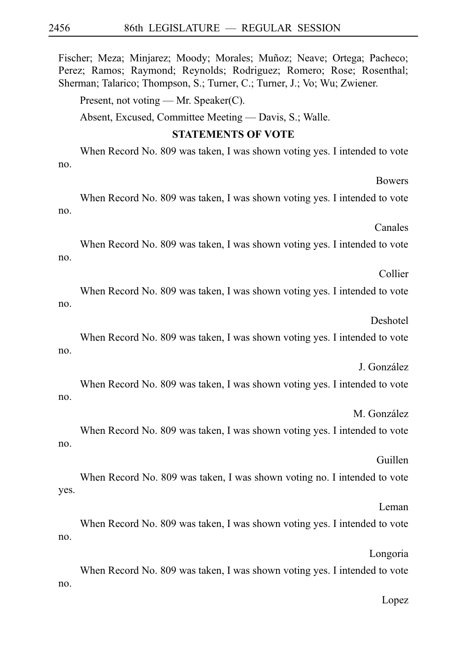Fischer; Meza; Minjarez; Moody; Morales; Muñoz; Neave; Ortega; Pacheco; Perez; Ramos; Raymond; Reynolds; Rodriguez; Romero; Rose; Rosenthal; Sherman; Talarico; Thompson, S.; Turner, C.; Turner, J.; Vo; Wu; Zwiener.

Present, not voting — Mr. Speaker(C).

Absent, Excused, Committee Meeting — Davis, S.; Walle.

**STATEMENTS OF VOTE**

When Record No. 809 was taken, I was shown voting yes. I intended to vote no.

When Record No. 809 was taken, I was shown voting yes. I intended to vote no.

Canales

Bowers

When Record No. 809 was taken, I was shown voting yes. I intended to vote no.

Collier

When Record No. 809 was taken, I was shown voting yes. I intended to vote no.

Deshotel

When Record No. 809 was taken, I was shown voting yes. I intended to vote no.

J. González

When Record No. 809 was taken, I was shown voting yes. I intended to vote no.

M. González

When Record No. 809 was taken, I was shown voting yes. I intended to vote no.

Guillen

When Record No. 809 was taken, I was shown voting no. I intended to vote yes.

Leman

When Record No. 809 was taken, I was shown voting yes. I intended to vote no.

Longoria

When Record No. 809 was taken, I was shown voting yes. I intended to vote no.

Lopez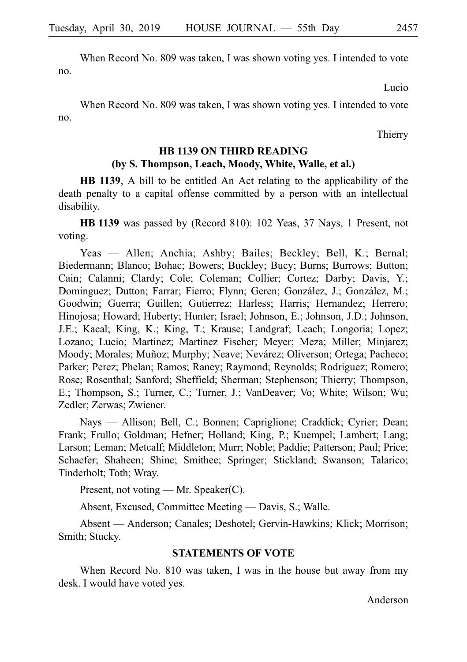When Record No. 809 was taken, I was shown voting yes. I intended to vote no.

Lucio

When Record No. 809 was taken, I was shown voting yes. I intended to vote no.

Thierry

# **HB 1139 ON THIRD READING (by S. Thompson, Leach, Moody, White, Walle, et al.)**

**HB 1139**, A bill to be entitled An Act relating to the applicability of the death penalty to a capital offense committed by a person with an intellectual disability.

**HBi1139** was passed by (Record 810): 102 Yeas, 37 Nays, 1 Present, not voting.

Yeas — Allen; Anchia; Ashby; Bailes; Beckley; Bell, K.; Bernal; Biedermann; Blanco; Bohac; Bowers; Buckley; Bucy; Burns; Burrows; Button; Cain; Calanni; Clardy; Cole; Coleman; Collier; Cortez; Darby; Davis, Y.; Dominguez; Dutton; Farrar; Fierro; Flynn; Geren; González, J.; González, M.; Goodwin; Guerra; Guillen; Gutierrez; Harless; Harris; Hernandez; Herrero; Hinojosa; Howard; Huberty; Hunter; Israel; Johnson, E.; Johnson, J.D.; Johnson, J.E.; Kacal; King, K.; King, T.; Krause; Landgraf; Leach; Longoria; Lopez; Lozano; Lucio; Martinez; Martinez Fischer; Meyer; Meza; Miller; Minjarez; Moody; Morales; Muñoz; Murphy; Neave; Nevárez; Oliverson; Ortega; Pacheco; Parker; Perez; Phelan; Ramos; Raney; Raymond; Reynolds; Rodriguez; Romero; Rose; Rosenthal; Sanford; Sheffield; Sherman; Stephenson; Thierry; Thompson, E.; Thompson, S.; Turner, C.; Turner, J.; VanDeaver; Vo; White; Wilson; Wu; Zedler; Zerwas; Zwiener.

Nays — Allison; Bell, C.; Bonnen; Capriglione; Craddick; Cyrier; Dean; Frank; Frullo; Goldman; Hefner; Holland; King, P.; Kuempel; Lambert; Lang; Larson; Leman; Metcalf; Middleton; Murr; Noble; Paddie; Patterson; Paul; Price; Schaefer; Shaheen; Shine; Smithee; Springer; Stickland; Swanson; Talarico; Tinderholt; Toth; Wray.

Present, not voting — Mr. Speaker(C).

Absent, Excused, Committee Meeting — Davis, S.; Walle.

Absent — Anderson; Canales; Deshotel; Gervin-Hawkins; Klick; Morrison; Smith; Stucky.

#### **STATEMENTS OF VOTE**

When Record No. 810 was taken, I was in the house but away from my desk. I would have voted yes.

Anderson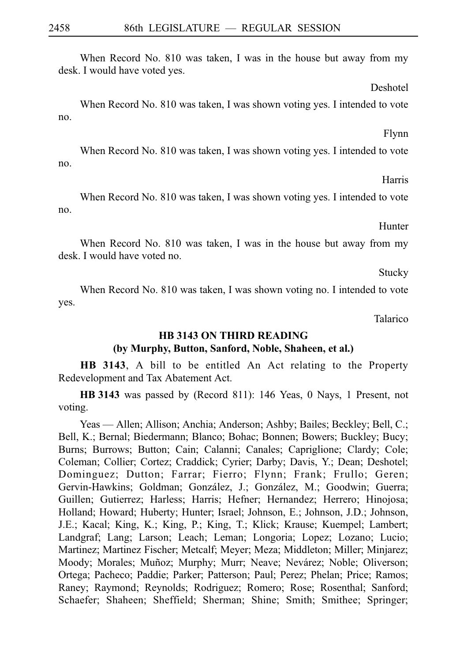When Record No. 810 was taken, I was in the house but away from my desk. I would have voted yes.

Deshotel

Flynn

When Record No. 810 was taken, I was shown voting yes. I intended to vote no.

Harris

When Record No. 810 was taken, I was shown voting yes. I intended to vote no.

Hunter

When Record No. 810 was taken, I was in the house but away from my desk. I would have voted no.

Stucky

When Record No. 810 was taken, I was shown voting no. I intended to vote yes.

Talarico

# **HB 3143 ON THIRD READING (by Murphy, Button, Sanford, Noble, Shaheen, et al.)**

**HB 3143**, A bill to be entitled An Act relating to the Property Redevelopment and Tax Abatement Act.

**HB** 3143 was passed by (Record 811): 146 Yeas, 0 Nays, 1 Present, not voting.

Yeas — Allen; Allison; Anchia; Anderson; Ashby; Bailes; Beckley; Bell, C.; Bell, K.; Bernal; Biedermann; Blanco; Bohac; Bonnen; Bowers; Buckley; Bucy; Burns; Burrows; Button; Cain; Calanni; Canales; Capriglione; Clardy; Cole; Coleman; Collier; Cortez; Craddick; Cyrier; Darby; Davis, Y.; Dean; Deshotel; Dominguez; Dutton; Farrar; Fierro; Flynn; Frank; Frullo; Geren; Gervin-Hawkins; Goldman; González, J.; González, M.; Goodwin; Guerra; Guillen; Gutierrez; Harless; Harris; Hefner; Hernandez; Herrero; Hinojosa; Holland; Howard; Huberty; Hunter; Israel; Johnson, E.; Johnson, J.D.; Johnson, J.E.; Kacal; King, K.; King, P.; King, T.; Klick; Krause; Kuempel; Lambert; Landgraf; Lang; Larson; Leach; Leman; Longoria; Lopez; Lozano; Lucio; Martinez; Martinez Fischer; Metcalf; Meyer; Meza; Middleton; Miller; Minjarez; Moody; Morales; Muñoz; Murphy; Murr; Neave; Nevárez; Noble; Oliverson; Ortega; Pacheco; Paddie; Parker; Patterson; Paul; Perez; Phelan; Price; Ramos; Raney; Raymond; Reynolds; Rodriguez; Romero; Rose; Rosenthal; Sanford; Schaefer; Shaheen; Sheffield; Sherman; Shine; Smith; Smithee; Springer;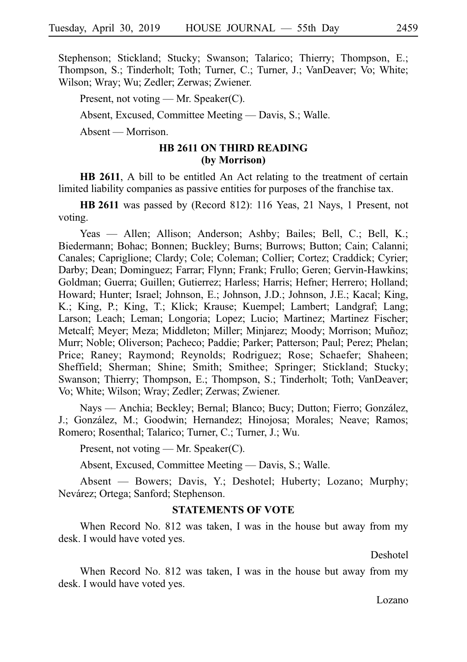Stephenson; Stickland; Stucky; Swanson; Talarico; Thierry; Thompson, E.; Thompson, S.; Tinderholt; Toth; Turner, C.; Turner, J.; VanDeaver; Vo; White; Wilson; Wray; Wu; Zedler; Zerwas; Zwiener.

Present, not voting — Mr. Speaker(C).

Absent, Excused, Committee Meeting — Davis, S.; Walle.

Absent — Morrison.

#### **HB 2611 ON THIRD READING (by Morrison)**

**HB 2611**, A bill to be entitled An Act relating to the treatment of certain limited liability companies as passive entities for purposes of the franchise tax.

**HB 2611** was passed by (Record 812): 116 Yeas, 21 Nays, 1 Present, not voting.

Yeas — Allen; Allison; Anderson; Ashby; Bailes; Bell, C.; Bell, K.; Biedermann; Bohac; Bonnen; Buckley; Burns; Burrows; Button; Cain; Calanni; Canales; Capriglione; Clardy; Cole; Coleman; Collier; Cortez; Craddick; Cyrier; Darby; Dean; Dominguez; Farrar; Flynn; Frank; Frullo; Geren; Gervin-Hawkins; Goldman; Guerra; Guillen; Gutierrez; Harless; Harris; Hefner; Herrero; Holland; Howard; Hunter; Israel; Johnson, E.; Johnson, J.D.; Johnson, J.E.; Kacal; King, K.; King, P.; King, T.; Klick; Krause; Kuempel; Lambert; Landgraf; Lang; Larson; Leach; Leman; Longoria; Lopez; Lucio; Martinez; Martinez Fischer; Metcalf; Meyer; Meza; Middleton; Miller; Minjarez; Moody; Morrison; Muñoz; Murr; Noble; Oliverson; Pacheco; Paddie; Parker; Patterson; Paul; Perez; Phelan; Price; Raney; Raymond; Reynolds; Rodriguez; Rose; Schaefer; Shaheen; Sheffield; Sherman; Shine; Smith; Smithee; Springer; Stickland; Stucky; Swanson; Thierry; Thompson, E.; Thompson, S.; Tinderholt; Toth; VanDeaver; Vo; White; Wilson; Wray; Zedler; Zerwas; Zwiener.

Nays — Anchia; Beckley; Bernal; Blanco; Bucy; Dutton; Fierro; González, J.; González, M.; Goodwin; Hernandez; Hinojosa; Morales; Neave; Ramos; Romero; Rosenthal; Talarico; Turner, C.; Turner, J.; Wu.

Present, not voting — Mr. Speaker(C).

Absent, Excused, Committee Meeting — Davis, S.; Walle.

Absent — Bowers; Davis, Y.; Deshotel; Huberty; Lozano; Murphy; Nevárez; Ortega; Sanford; Stephenson.

### **STATEMENTS OF VOTE**

When Record No. 812 was taken, I was in the house but away from my desk. I would have voted yes.

Deshotel

When Record No. 812 was taken, I was in the house but away from my desk. I would have voted yes.

Lozano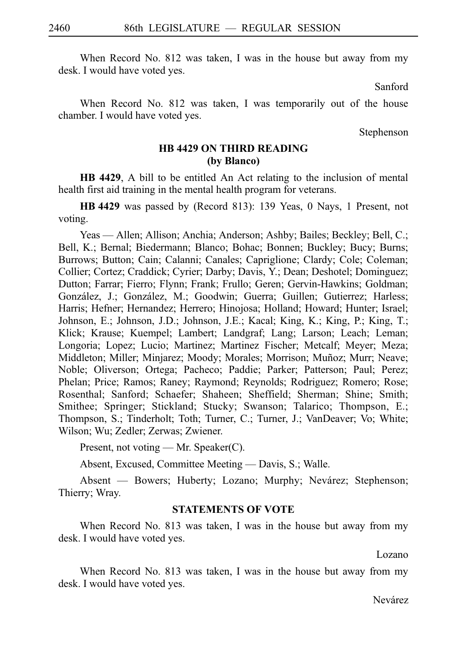When Record No. 812 was taken, I was in the house but away from my desk. I would have voted yes.

Sanford

When Record No. 812 was taken, I was temporarily out of the house chamber. I would have voted yes.

Stephenson

## **HB 4429 ON THIRD READING (by Blanco)**

**HB 4429**, A bill to be entitled An Act relating to the inclusion of mental health first aid training in the mental health program for veterans.

**HBi4429** was passed by (Record 813): 139 Yeas, 0 Nays, 1 Present, not voting.

Yeas — Allen; Allison; Anchia; Anderson; Ashby; Bailes; Beckley; Bell, C.; Bell, K.; Bernal; Biedermann; Blanco; Bohac; Bonnen; Buckley; Bucy; Burns; Burrows; Button; Cain; Calanni; Canales; Capriglione; Clardy; Cole; Coleman; Collier; Cortez; Craddick; Cyrier; Darby; Davis, Y.; Dean; Deshotel; Dominguez; Dutton; Farrar; Fierro; Flynn; Frank; Frullo; Geren; Gervin-Hawkins; Goldman; González, J.; González, M.; Goodwin; Guerra; Guillen; Gutierrez; Harless; Harris; Hefner; Hernandez; Herrero; Hinojosa; Holland; Howard; Hunter; Israel; Johnson, E.; Johnson, J.D.; Johnson, J.E.; Kacal; King, K.; King, P.; King, T.; Klick; Krause; Kuempel; Lambert; Landgraf; Lang; Larson; Leach; Leman; Longoria; Lopez; Lucio; Martinez; Martinez Fischer; Metcalf; Meyer; Meza; Middleton; Miller; Minjarez; Moody; Morales; Morrison; Muñoz; Murr; Neave; Noble; Oliverson; Ortega; Pacheco; Paddie; Parker; Patterson; Paul; Perez; Phelan; Price; Ramos; Raney; Raymond; Reynolds; Rodriguez; Romero; Rose; Rosenthal; Sanford; Schaefer; Shaheen; Sheffield; Sherman; Shine; Smith; Smithee; Springer; Stickland; Stucky; Swanson; Talarico; Thompson, E.; Thompson, S.; Tinderholt; Toth; Turner, C.; Turner, J.; VanDeaver; Vo; White; Wilson; Wu; Zedler; Zerwas; Zwiener.

Present, not voting — Mr. Speaker(C).

Absent, Excused, Committee Meeting — Davis, S.; Walle.

Absent — Bowers; Huberty; Lozano; Murphy; Nevárez; Stephenson; Thierry; Wray.

#### **STATEMENTS OF VOTE**

When Record No. 813 was taken, I was in the house but away from my desk. I would have voted yes.

Lozano

When Record No. 813 was taken, I was in the house but away from my desk. I would have voted yes.

Nevárez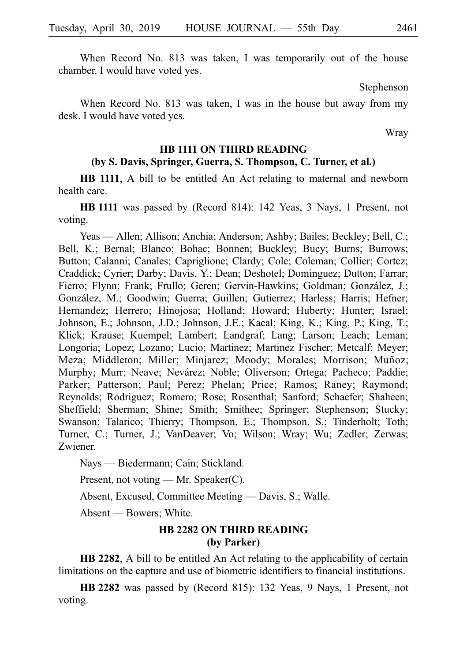When Record No. 813 was taken, I was temporarily out of the house chamber. I would have voted yes.

Stephenson

When Record No. 813 was taken, I was in the house but away from my desk. I would have voted yes.

Wray

#### **HB 1111 ON THIRD READING**

## **(by S. Davis, Springer, Guerra, S. Thompson, C. Turner, et al.)**

**HB 1111**, A bill to be entitled An Act relating to maternal and newborn health care.

**HBi1111** was passed by (Record 814): 142 Yeas, 3 Nays, 1 Present, not voting.

Yeas — Allen; Allison; Anchia; Anderson; Ashby; Bailes; Beckley; Bell, C.; Bell, K.; Bernal; Blanco; Bohac; Bonnen; Buckley; Bucy; Burns; Burrows; Button; Calanni; Canales; Capriglione; Clardy; Cole; Coleman; Collier; Cortez; Craddick; Cyrier; Darby; Davis, Y.; Dean; Deshotel; Dominguez; Dutton; Farrar; Fierro; Flynn; Frank; Frullo; Geren; Gervin-Hawkins; Goldman; González, J.; González, M.; Goodwin; Guerra; Guillen; Gutierrez; Harless; Harris; Hefner; Hernandez; Herrero; Hinojosa; Holland; Howard; Huberty; Hunter; Israel; Johnson, E.; Johnson, J.D.; Johnson, J.E.; Kacal; King, K.; King, P.; King, T.; Klick; Krause; Kuempel; Lambert; Landgraf; Lang; Larson; Leach; Leman; Longoria; Lopez; Lozano; Lucio; Martinez; Martinez Fischer; Metcalf; Meyer; Meza; Middleton; Miller; Minjarez; Moody; Morales; Morrison; Muñoz; Murphy; Murr; Neave; Nevárez; Noble; Oliverson; Ortega; Pacheco; Paddie; Parker; Patterson; Paul; Perez; Phelan; Price; Ramos; Raney; Raymond; Reynolds; Rodriguez; Romero; Rose; Rosenthal; Sanford; Schaefer; Shaheen; Sheffield; Sherman; Shine; Smith; Smithee; Springer; Stephenson; Stucky; Swanson; Talarico; Thierry; Thompson, E.; Thompson, S.; Tinderholt; Toth; Turner, C.; Turner, J.; VanDeaver; Vo; Wilson; Wray; Wu; Zedler; Zerwas; Zwiener.

Nays — Biedermann; Cain; Stickland.

Present, not voting — Mr. Speaker(C).

Absent, Excused, Committee Meeting — Davis, S.; Walle.

Absent — Bowers; White.

## **HB 2282 ON THIRD READING (by Parker)**

**HB 2282**, A bill to be entitled An Act relating to the applicability of certain limitations on the capture and use of biometric identifiers to financial institutions.

**HBi2282** was passed by (Record 815): 132 Yeas, 9 Nays, 1 Present, not voting.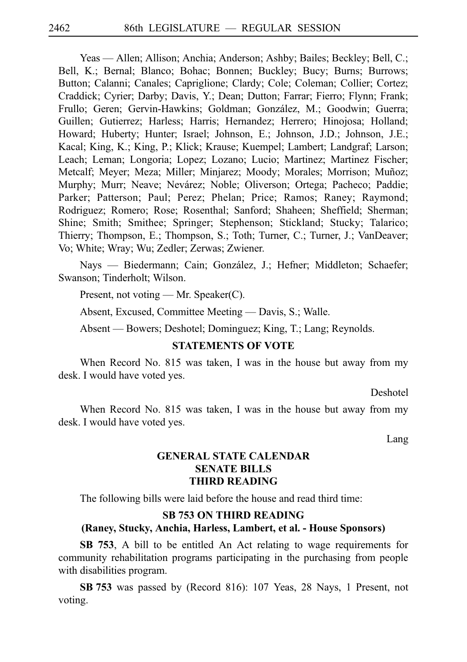Yeas — Allen; Allison; Anchia; Anderson; Ashby; Bailes; Beckley; Bell, C.; Bell, K.; Bernal; Blanco; Bohac; Bonnen; Buckley; Bucy; Burns; Burrows; Button; Calanni; Canales; Capriglione; Clardy; Cole; Coleman; Collier; Cortez; Craddick; Cyrier; Darby; Davis, Y.; Dean; Dutton; Farrar; Fierro; Flynn; Frank; Frullo; Geren; Gervin-Hawkins; Goldman; González, M.; Goodwin; Guerra; Guillen; Gutierrez; Harless; Harris; Hernandez; Herrero; Hinojosa; Holland; Howard; Huberty; Hunter; Israel; Johnson, E.; Johnson, J.D.; Johnson, J.E.; Kacal; King, K.; King, P.; Klick; Krause; Kuempel; Lambert; Landgraf; Larson; Leach; Leman; Longoria; Lopez; Lozano; Lucio; Martinez; Martinez Fischer; Metcalf; Meyer; Meza; Miller; Minjarez; Moody; Morales; Morrison; Muñoz; Murphy; Murr; Neave; Nevárez; Noble; Oliverson; Ortega; Pacheco; Paddie; Parker; Patterson; Paul; Perez; Phelan; Price; Ramos; Raney; Raymond; Rodriguez; Romero; Rose; Rosenthal; Sanford; Shaheen; Sheffield; Sherman; Shine; Smith; Smithee; Springer; Stephenson; Stickland; Stucky; Talarico; Thierry; Thompson, E.; Thompson, S.; Toth; Turner, C.; Turner, J.; VanDeaver; Vo; White; Wray; Wu; Zedler; Zerwas; Zwiener.

Nays — Biedermann; Cain; González, J.; Hefner; Middleton; Schaefer; Swanson; Tinderholt; Wilson.

Present, not voting — Mr. Speaker(C).

Absent, Excused, Committee Meeting — Davis, S.; Walle.

Absent — Bowers; Deshotel; Dominguez; King, T.; Lang; Reynolds.

#### **STATEMENTS OF VOTE**

When Record No. 815 was taken, I was in the house but away from my desk. I would have voted yes.

Deshotel

When Record No. 815 was taken, I was in the house but away from my desk. I would have voted yes.

Lang

# **GENERAL STATE CALENDAR SENATE BILLS THIRD READING**

The following bills were laid before the house and read third time:

# **SB 753 ON THIRD READING**

#### **(Raney, Stucky, Anchia, Harless, Lambert, et al. - House Sponsors)**

**SB 753**, A bill to be entitled An Act relating to wage requirements for community rehabilitation programs participating in the purchasing from people with disabilities program.

**SBi753** was passed by (Record 816): 107 Yeas, 28 Nays, 1 Present, not voting.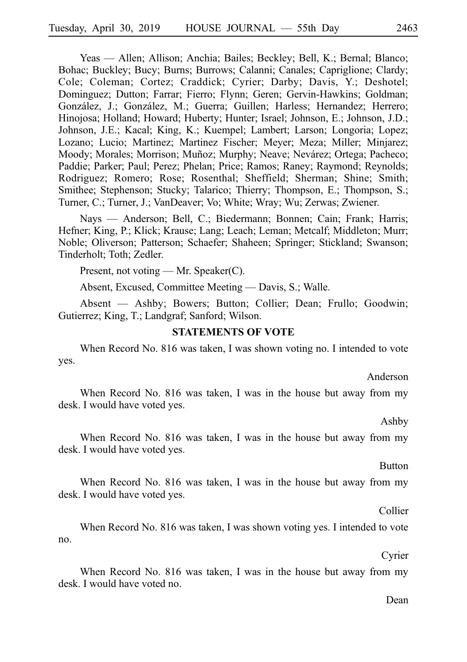Yeas — Allen; Allison; Anchia; Bailes; Beckley; Bell, K.; Bernal; Blanco; Bohac; Buckley; Bucy; Burns; Burrows; Calanni; Canales; Capriglione; Clardy; Cole; Coleman; Cortez; Craddick; Cyrier; Darby; Davis, Y.; Deshotel; Dominguez; Dutton; Farrar; Fierro; Flynn; Geren; Gervin-Hawkins; Goldman; González, J.; González, M.; Guerra; Guillen; Harless; Hernandez; Herrero; Hinojosa; Holland; Howard; Huberty; Hunter; Israel; Johnson, E.; Johnson, J.D.; Johnson, J.E.; Kacal; King, K.; Kuempel; Lambert; Larson; Longoria; Lopez; Lozano; Lucio; Martinez; Martinez Fischer; Meyer; Meza; Miller; Minjarez; Moody; Morales; Morrison; Muñoz; Murphy; Neave; Nevárez; Ortega; Pacheco; Paddie; Parker; Paul; Perez; Phelan; Price; Ramos; Raney; Raymond; Reynolds; Rodriguez; Romero; Rose; Rosenthal; Sheffield; Sherman; Shine; Smith; Smithee; Stephenson; Stucky; Talarico; Thierry; Thompson, E.; Thompson, S.; Turner, C.; Turner, J.; VanDeaver; Vo; White; Wray; Wu; Zerwas; Zwiener.

Nays — Anderson; Bell, C.; Biedermann; Bonnen; Cain; Frank; Harris; Hefner; King, P.; Klick; Krause; Lang; Leach; Leman; Metcalf; Middleton; Murr; Noble; Oliverson; Patterson; Schaefer; Shaheen; Springer; Stickland; Swanson; Tinderholt; Toth; Zedler.

Present, not voting — Mr. Speaker(C).

Absent, Excused, Committee Meeting — Davis, S.; Walle.

Absent — Ashby; Bowers; Button; Collier; Dean; Frullo; Goodwin; Gutierrez; King, T.; Landgraf; Sanford; Wilson.

#### **STATEMENTS OF VOTE**

When Record No. 816 was taken, I was shown voting no. I intended to vote yes.

Anderson

When Record No. 816 was taken, I was in the house but away from my desk. I would have voted yes.

Ashby

When Record No. 816 was taken, I was in the house but away from my desk. I would have voted yes.

Button

When Record No. 816 was taken, I was in the house but away from my desk. I would have voted yes.

Collier

When Record No. 816 was taken, I was shown voting yes. I intended to vote no.

Cyrier

When Record No. 816 was taken, I was in the house but away from my desk. I would have voted no.

Dean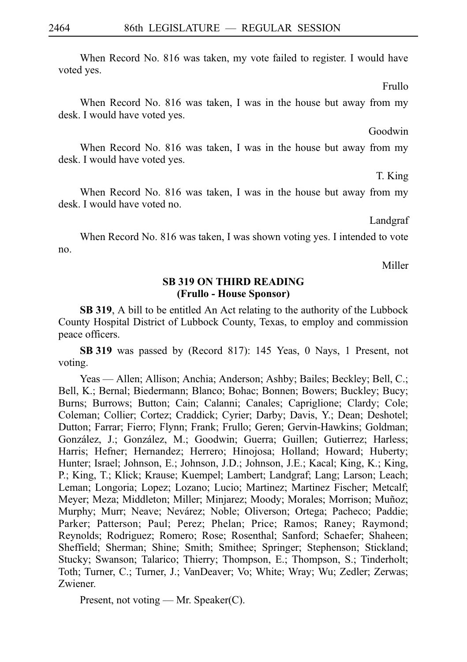When Record No. 816 was taken, my vote failed to register. I would have voted yes.

Frullo

When Record No. 816 was taken, I was in the house but away from my desk. I would have voted yes.

Goodwin

When Record No. 816 was taken, I was in the house but away from my desk. I would have voted yes.

T. King

When Record No. 816 was taken, I was in the house but away from my desk. I would have voted no.

Landgraf

When Record No. 816 was taken, I was shown voting yes. I intended to vote no.

Miller

## **SB 319 ON THIRD READING (Frullo - House Sponsor)**

**SB 319**, A bill to be entitled An Act relating to the authority of the Lubbock County Hospital District of Lubbock County, Texas, to employ and commission peace officers.

**SBi319** was passed by (Record 817): 145 Yeas, 0 Nays, 1 Present, not voting.

Yeas — Allen; Allison; Anchia; Anderson; Ashby; Bailes; Beckley; Bell, C.; Bell, K.; Bernal; Biedermann; Blanco; Bohac; Bonnen; Bowers; Buckley; Bucy; Burns; Burrows; Button; Cain; Calanni; Canales; Capriglione; Clardy; Cole; Coleman; Collier; Cortez; Craddick; Cyrier; Darby; Davis, Y.; Dean; Deshotel; Dutton; Farrar; Fierro; Flynn; Frank; Frullo; Geren; Gervin-Hawkins; Goldman; González, J.; González, M.; Goodwin; Guerra; Guillen; Gutierrez; Harless; Harris; Hefner; Hernandez; Herrero; Hinojosa; Holland; Howard; Huberty; Hunter; Israel; Johnson, E.; Johnson, J.D.; Johnson, J.E.; Kacal; King, K.; King, P.; King, T.; Klick; Krause; Kuempel; Lambert; Landgraf; Lang; Larson; Leach; Leman; Longoria; Lopez; Lozano; Lucio; Martinez; Martinez Fischer; Metcalf; Meyer; Meza; Middleton; Miller; Minjarez; Moody; Morales; Morrison; Muñoz; Murphy; Murr; Neave; Nevárez; Noble; Oliverson; Ortega; Pacheco; Paddie; Parker; Patterson; Paul; Perez; Phelan; Price; Ramos; Raney; Raymond; Reynolds; Rodriguez; Romero; Rose; Rosenthal; Sanford; Schaefer; Shaheen; Sheffield; Sherman; Shine; Smith; Smithee; Springer; Stephenson; Stickland; Stucky; Swanson; Talarico; Thierry; Thompson, E.; Thompson, S.; Tinderholt; Toth; Turner, C.; Turner, J.; VanDeaver; Vo; White; Wray; Wu; Zedler; Zerwas; Zwiener.

Present, not voting — Mr. Speaker(C).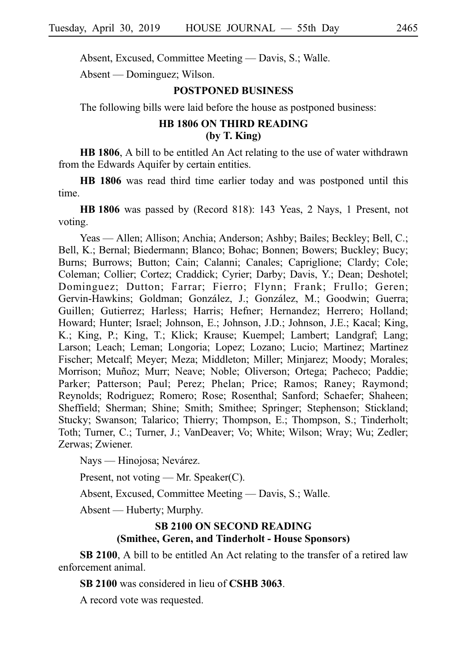Absent, Excused, Committee Meeting — Davis, S.; Walle.

Absent — Dominguez; Wilson.

## **POSTPONED BUSINESS**

The following bills were laid before the house as postponed business:

# **HB 1806 ON THIRD READING (by T. King)**

**HB 1806**, A bill to be entitled An Act relating to the use of water withdrawn from the Edwards Aquifer by certain entities.

**HB 1806** was read third time earlier today and was postponed until this time.

**HBi1806** was passed by (Record 818): 143 Yeas, 2 Nays, 1 Present, not voting.

Yeas — Allen; Allison; Anchia; Anderson; Ashby; Bailes; Beckley; Bell, C.; Bell, K.; Bernal; Biedermann; Blanco; Bohac; Bonnen; Bowers; Buckley; Bucy; Burns; Burrows; Button; Cain; Calanni; Canales; Capriglione; Clardy; Cole; Coleman; Collier; Cortez; Craddick; Cyrier; Darby; Davis, Y.; Dean; Deshotel; Dominguez; Dutton; Farrar; Fierro; Flynn; Frank; Frullo; Geren; Gervin-Hawkins; Goldman; González, J.; González, M.; Goodwin; Guerra; Guillen; Gutierrez; Harless; Harris; Hefner; Hernandez; Herrero; Holland; Howard; Hunter; Israel; Johnson, E.; Johnson, J.D.; Johnson, J.E.; Kacal; King, K.; King, P.; King, T.; Klick; Krause; Kuempel; Lambert; Landgraf; Lang; Larson; Leach; Leman; Longoria; Lopez; Lozano; Lucio; Martinez; Martinez Fischer; Metcalf; Meyer; Meza; Middleton; Miller; Minjarez; Moody; Morales; Morrison; Muñoz; Murr; Neave; Noble; Oliverson; Ortega; Pacheco; Paddie; Parker; Patterson; Paul; Perez; Phelan; Price; Ramos; Raney; Raymond; Reynolds; Rodriguez; Romero; Rose; Rosenthal; Sanford; Schaefer; Shaheen; Sheffield; Sherman; Shine; Smith; Smithee; Springer; Stephenson; Stickland; Stucky; Swanson; Talarico; Thierry; Thompson, E.; Thompson, S.; Tinderholt; Toth; Turner, C.; Turner, J.; VanDeaver; Vo; White; Wilson; Wray; Wu; Zedler; Zerwas; Zwiener.

Nays — Hinojosa; Nevárez.

Present, not voting — Mr. Speaker(C).

Absent, Excused, Committee Meeting — Davis, S.; Walle.

Absent — Huberty; Murphy.

## **SB 2100 ON SECOND READING (Smithee, Geren, and Tinderholt - House Sponsors)**

**SB 2100**, A bill to be entitled An Act relating to the transfer of a retired law enforcement animal.

**SB 2100** was considered in lieu of **CSHB 3063**.

A record vote was requested.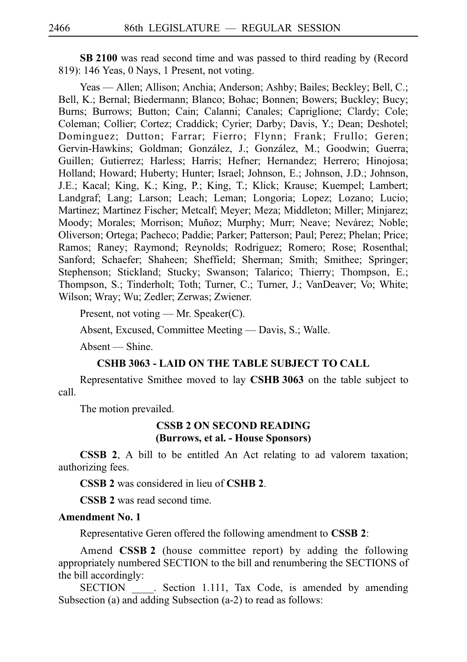**SB 2100** was read second time and was passed to third reading by (Record 819): 146 Yeas, 0 Nays, 1 Present, not voting.

Yeas — Allen; Allison; Anchia; Anderson; Ashby; Bailes; Beckley; Bell, C.; Bell, K.; Bernal; Biedermann; Blanco; Bohac; Bonnen; Bowers; Buckley; Bucy; Burns; Burrows; Button; Cain; Calanni; Canales; Capriglione; Clardy; Cole; Coleman; Collier; Cortez; Craddick; Cyrier; Darby; Davis, Y.; Dean; Deshotel; Dominguez; Dutton; Farrar; Fierro; Flynn; Frank; Frullo; Geren; Gervin-Hawkins; Goldman; González, J.; González, M.; Goodwin; Guerra; Guillen; Gutierrez; Harless; Harris; Hefner; Hernandez; Herrero; Hinojosa; Holland; Howard; Huberty; Hunter; Israel; Johnson, E.; Johnson, J.D.; Johnson, J.E.; Kacal; King, K.; King, P.; King, T.; Klick; Krause; Kuempel; Lambert; Landgraf; Lang; Larson; Leach; Leman; Longoria; Lopez; Lozano; Lucio; Martinez; Martinez Fischer; Metcalf; Meyer; Meza; Middleton; Miller; Minjarez; Moody; Morales; Morrison; Muñoz; Murphy; Murr; Neave; Nevárez; Noble; Oliverson; Ortega; Pacheco; Paddie; Parker; Patterson; Paul; Perez; Phelan; Price; Ramos; Raney; Raymond; Reynolds; Rodriguez; Romero; Rose; Rosenthal; Sanford; Schaefer; Shaheen; Sheffield; Sherman; Smith; Smithee; Springer; Stephenson; Stickland; Stucky; Swanson; Talarico; Thierry; Thompson, E.; Thompson, S.; Tinderholt; Toth; Turner, C.; Turner, J.; VanDeaver; Vo; White; Wilson; Wray; Wu; Zedler; Zerwas; Zwiener.

Present, not voting — Mr. Speaker(C).

Absent, Excused, Committee Meeting — Davis, S.; Walle.

Absent — Shine.

#### **CSHB 3063 - LAID ON THE TABLE SUBJECT TO CALL**

Representative Smithee moved to lay **CSHBi3063** on the table subject to call.

The motion prevailed.

#### **CSSB 2 ON SECOND READING (Burrows, et al. - House Sponsors)**

**CSSB 2**, A bill to be entitled An Act relating to ad valorem taxation; authorizing fees.

**CSSB 2** was considered in lieu of **CSHB 2**.

**CSSB 2** was read second time.

## **Amendment No. 1**

Representative Geren offered the following amendment to **CSSB 2**:

Amend **CSSB 2** (house committee report) by adding the following appropriately numbered SECTION to the bill and renumbering the SECTIONS of the bill accordingly:

SECTION . Section 1.111, Tax Code, is amended by amending Subsection (a) and adding Subsection (a-2) to read as follows: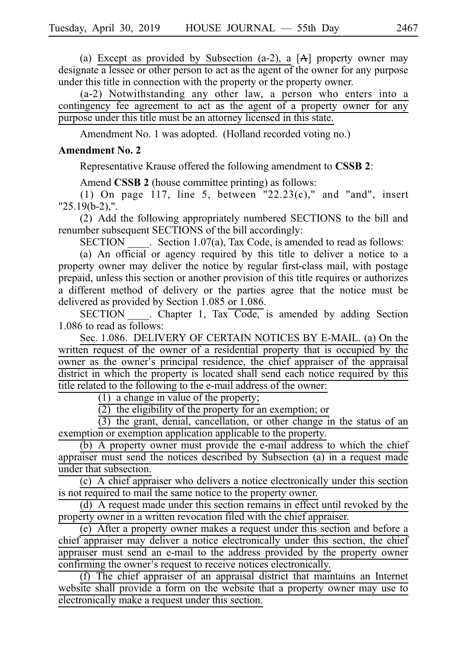(a) Except as provided by Subsection (a-2), a  $[A]$  property owner may designate a lessee or other person to act as the agent of the owner for any purpose under this title in connection with the property or the property owner.

 $(a-2)$  Notwithstanding any other law, a person who enters into a contingency fee agreement to act as the agent of a property owner for any purpose under this title must be an attorney licensed in this state.

Amendment No. 1 was adopted. (Holland recorded voting no.)

## **Amendment No. 2**

Representative Krause offered the following amendment to **CSSBi2**:

Amend **CSSB 2** (house committee printing) as follows:

(1) On page 117, line 5, between "22.23(c)," and "and", insert "25.19(b-2),".

(2) Add the following appropriately numbered SECTIONS to the bill and renumber subsequent SECTIONS of the bill accordingly:

 $SECTION . Section 1.07(a), Tax Code, is amended to read as follows:$ 

(a) An official or agency required by this title to deliver a notice to a property owner may deliver the notice by regular first-class mail, with postage prepaid, unless this section or another provision of this title requires or authorizes a different method of delivery or the parties agree that the notice must be delivered as provided by Section 1.085 or 1.086.

SECTION Chapter 1, Tax Code, is amended by adding Section 1.086 to read as follows:

Sec. 1.086. DELIVERY OF CERTAIN NOTICES BY E-MAIL. (a) On the written request of the owner of a residential property that is occupied by the owner as the owner's principal residence, the chief appraiser of the appraisal district in which the property is located shall send each notice required by this title related to the following to the e-mail address of the owner:

 $(1)$  a change in value of the property;

 $(2)$  the eligibility of the property for an exemption; or

 $(3)$  the grant, denial, cancellation, or other change in the status of an exemption or exemption application applicable to the property.

 $\overrightarrow{b}$  A property owner must provide the e-mail address to which the chief appraiser must send the notices described by Subsection (a) in a request made under that subsection.

 $(c)$  A chief appraiser who delivers a notice electronically under this section is not required to mail the same notice to the property owner.

(d) A request made under this section remains in effect until revoked by the property owner in a written revocation filed with the chief appraiser.

(e) After a property owner makes a request under this section and before a chief appraiser may deliver a notice electronically under this section, the chief appraiser must send an e-mail to the address provided by the property owner confirming the owner's request to receive notices electronically.

 $(f)$  The chief appraiser of an appraisal district that maintains an Internet website shall provide a form on the website that a property owner may use to electronically make a request under this section.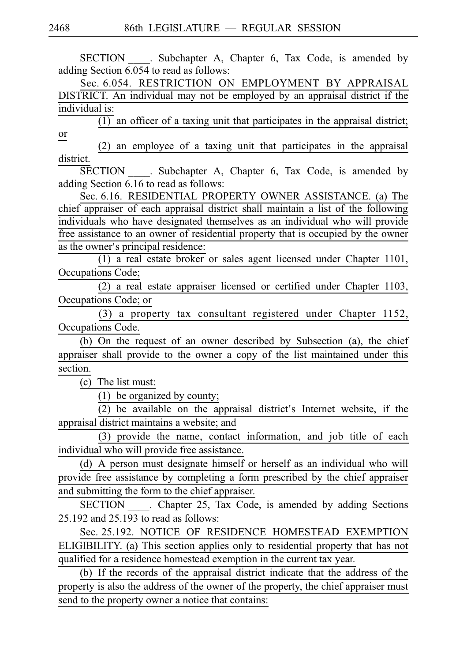SECTION . Subchapter A, Chapter 6, Tax Code, is amended by adding Section 6.054 to read as follows:

Sec. 6.054. RESTRICTION ON EMPLOYMENT BY APPRAISAL DISTRICT. An individual may not be employed by an appraisal district if the individual is:

 $\overline{(1)}$  an officer of a taxing unit that participates in the appraisal district; or

 $(2)$  an employee of a taxing unit that participates in the appraisal district.

SECTION \_\_\_\_. Subchapter A, Chapter 6, Tax Code, is amended by adding Section 6.16 to read as follows:

Sec. 6.16. RESIDENTIAL PROPERTY OWNER ASSISTANCE. (a) The chief appraiser of each appraisal district shall maintain a list of the following individuals who have designated themselves as an individual who will provide free assistance to an owner of residential property that is occupied by the owner as the owner's principal residence:

 $(1)$  a real estate broker or sales agent licensed under Chapter 1101, Occupations Code;

 $(2)$  a real estate appraiser licensed or certified under Chapter 1103, Occupations Code; or

 $(3)$  a property tax consultant registered under Chapter 1152, Occupations Code.

(b) On the request of an owner described by Subsection (a), the chief appraiser shall provide to the owner a copy of the list maintained under this section.

 $(c)$  The list must:

(1) be organized by county;

 $\overline{(2)}$  be available on the appraisal district's Internet website, if the appraisal district maintains a website; and

 $(3)$  provide the name, contact information, and job title of each individual who will provide free assistance.

 $(d)$  A person must designate himself or herself as an individual who will provide free assistance by completing a form prescribed by the chief appraiser and submitting the form to the chief appraiser.

SECTION Chapter 25, Tax Code, is amended by adding Sections 25.192 and 25.193 to read as follows:

Sec. 25.192. NOTICE OF RESIDENCE HOMESTEAD EXEMPTION ELIGIBILITY. (a) This section applies only to residential property that has not qualified for a residence homestead exemption in the current tax year.

(b) If the records of the appraisal district indicate that the address of the property is also the address of the owner of the property, the chief appraiser must send to the property owner a notice that contains: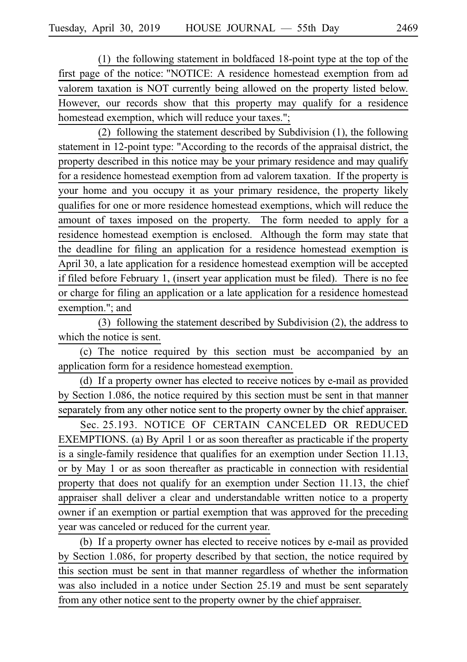$(1)$  the following statement in boldfaced 18-point type at the top of the first page of the notice: "NOTICE: A residence homestead exemption from ad valorem taxation is NOT currently being allowed on the property listed below. However, our records show that this property may qualify for a residence homestead exemption, which will reduce your taxes.";

(2) following the statement described by Subdivision  $(1)$ , the following statement in 12-point type: "According to the records of the appraisal district, the property described in this notice may be your primary residence and may qualify for a residence homestead exemption from ad valorem taxation. If the property is your home and you occupy it as your primary residence, the property likely qualifies for one or more residence homestead exemptions, which will reduce the amount of taxes imposed on the property. The form needed to apply for a residence homestead exemption is enclosed. Although the form may state that the deadline for filing an application for a residence homestead exemption is April 30, a late application for a residence homestead exemption will be accepted if filed before February 1, (insert year application must be filed). There is no fee or charge for filing an application or a late application for a residence homestead exemption."; and

(3) following the statement described by Subdivision  $(2)$ , the address to which the notice is sent.

(c) The notice required by this section must be accompanied by an application form for a residence homestead exemption.

(d) If a property owner has elected to receive notices by e-mail as provided by Section 1.086, the notice required by this section must be sent in that manner separately from any other notice sent to the property owner by the chief appraiser.

Sec. 25.193. NOTICE OF CERTAIN CANCELED OR REDUCED EXEMPTIONS. (a) By April 1 or as soon thereafter as practicable if the property is a single-family residence that qualifies for an exemption under Section 11.13, or by May 1 or as soon thereafter as practicable in connection with residential property that does not qualify for an exemption under Section 11.13, the chief appraiser shall deliver a clear and understandable written notice to a property owner if an exemption or partial exemption that was approved for the preceding year was canceled or reduced for the current year.

(b) If a property owner has elected to receive notices by e-mail as provided by Section 1.086, for property described by that section, the notice required by this section must be sent in that manner regardless of whether the information was also included in a notice under Section 25.19 and must be sent separately from any other notice sent to the property owner by the chief appraiser.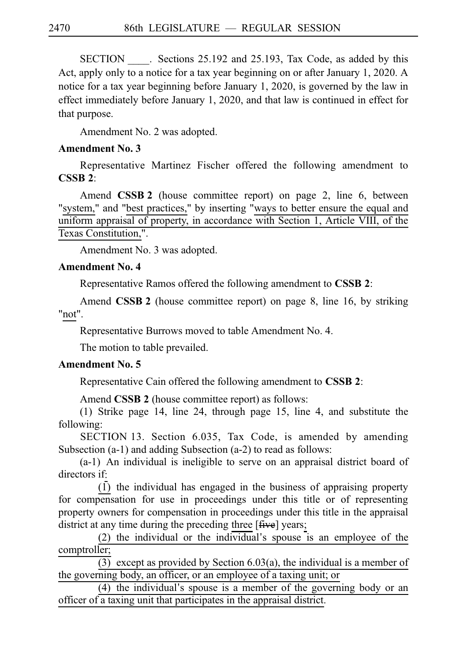SECTION Sections 25.192 and 25.193, Tax Code, as added by this Act, apply only to a notice for a tax year beginning on or after January 1, 2020. A notice for a tax year beginning before January 1, 2020, is governed by the law in effect immediately before January 1, 2020, and that law is continued in effect for that purpose.

Amendment No. 2 was adopted.

# **Amendment No. 3**

Representative Martinez Fischer offered the following amendment to **CSSBi2**:

Amend **CSSB 2** (house committee report) on page 2, line 6, between "system," and "best practices," by inserting "ways to better ensure the equal and uniform appraisal of property, in accordance with Section 1, Article VIII, of the Texas Constitution,".

Amendment No. 3 was adopted.

# **Amendment No. 4**

Representative Ramos offered the following amendment to **CSSBi2**:

Amend **CSSB 2** (house committee report) on page 8, line 16, by striking "not".

Representative Burrows moved to table Amendment No. 4.

The motion to table prevailed.

# **Amendment No. 5**

Representative Cain offered the following amendment to **CSSB 2**:

Amend **CSSB 2** (house committee report) as follows:

(1) Strike page 14, line 24, through page 15, line 4, and substitute the following:

SECTION 13. Section 6.035, Tax Code, is amended by amending Subsection (a-1) and adding Subsection (a-2) to read as follows:

 $(a-1)$  An individual is ineligible to serve on an appraisal district board of directors if:

 $(1)$  the individual has engaged in the business of appraising property for compensation for use in proceedings under this title or of representing property owners for compensation in proceedings under this title in the appraisal district at any time during the preceding three [ $f{five}$ ] years;

 $(2)$  the individual or the individual's spouse is an employee of the comptroller;

(3) except as provided by Section 6.03(a), the individual is a member of the governing body, an officer, or an employee of a taxing unit; or

 $(4)$  the individual's spouse is a member of the governing body or an officer of a taxing unit that participates in the appraisal district.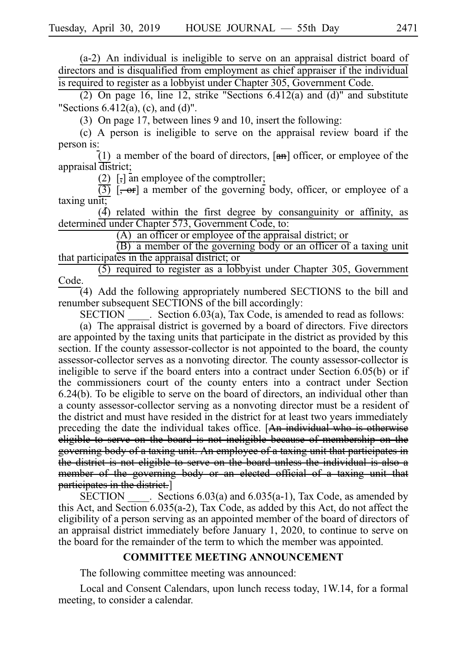$(a-2)$  An individual is ineligible to serve on an appraisal district board of directors and is disqualified from employment as chief appraiser if the individual is required to register as a lobbyist under Chapter 305, Government Code.

(2) On page 16, line 12, strike "Sections  $6.412(a)$  and (d)" and substitute "Sections  $6.412(a)$ , (c), and (d)".

(3) On page 17, between lines 9 and 10, insert the following:

 $(c)$  A person is ineligible to serve on the appraisal review board if the person is:

(1) a member of the board of directors,  $[\mathbf{a}\mathbf{h}]$  officer, or employee of the appraisal district;

(2)  $\left[ \cdot \right]$  an employee of the comptroller;

 $\overline{(3)}$  [ $\rightarrow$  or] a member of the governing body, officer, or employee of a taxing unit;

 $(4)$  related within the first degree by consanguinity or affinity, as determined under Chapter 573, Government Code, to:

 $(A)$  an officer or employee of the appraisal district; or

 $(B)$  a member of the governing body or an officer of a taxing unit that participates in the appraisal district; or

 $(5)$  required to register as a lobbyist under Chapter 305, Government Code.

(4) Add the following appropriately numbered SECTIONS to the bill and renumber subsequent SECTIONS of the bill accordingly:

SECTION Section 6.03(a), Tax Code, is amended to read as follows:

(a) The appraisal district is governed by a board of directors. Five directors are appointed by the taxing units that participate in the district as provided by this section. If the county assessor-collector is not appointed to the board, the county assessor-collector serves as a nonvoting director. The county assessor-collector is ineligible to serve if the board enters into a contract under Section 6.05(b) or if the commissioners court of the county enters into a contract under Section 6.24(b). To be eligible to serve on the board of directors, an individual other than a county assessor-collector serving as a nonvoting director must be a resident of the district and must have resided in the district for at least two years immediately preceding the date the individual takes office. [An individual who is otherwise eligible to serve on the board is not ineligible because of membership on the governing body of a taxing unit. An employee of a taxing unit that participates in the district is not eligible to serve on the board unless the individual is also a member of the governing body or an elected official of a taxing unit that participates in the district.]

SECTION Sections  $6.03(a)$  and  $6.035(a-1)$ , Tax Code, as amended by this Act, and Section  $6.035(a-2)$ , Tax Code, as added by this Act, do not affect the eligibility of a person serving as an appointed member of the board of directors of an appraisal district immediately before January 1, 2020, to continue to serve on the board for the remainder of the term to which the member was appointed.

### **COMMITTEE MEETING ANNOUNCEMENT**

The following committee meeting was announced:

Local and Consent Calendars, upon lunch recess today, 1W.14, for a formal meeting, to consider a calendar.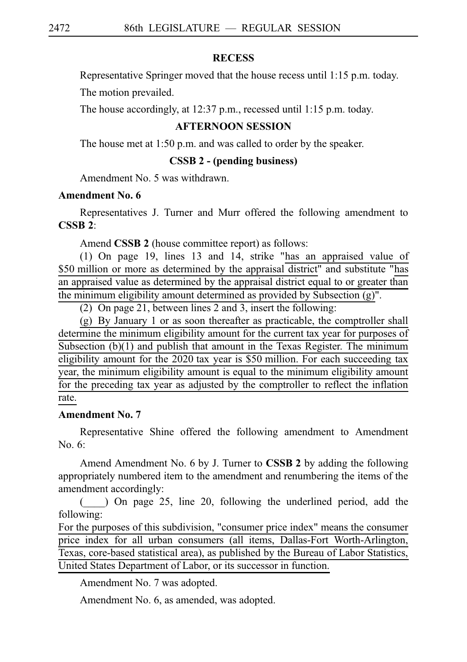## **RECESS**

Representative Springer moved that the house recess until 1:15 p.m. today.

The motion prevailed.

The house accordingly, at 12:37 p.m., recessed until 1:15 p.m. today.

# **AFTERNOON SESSION**

The house met at 1:50 p.m. and was called to order by the speaker.

### **CSSB 2 - (pending business)**

Amendment No. 5 was withdrawn.

# **Amendment No. 6**

Representatives J. Turner and Murr offered the following amendment to **CSSBi2**:

Amend **CSSB 2** (house committee report) as follows:

(1) On page 19, lines 13 and 14, strike "has an appraised value of \$50 million or more as determined by the appraisal district" and substitute "has an appraised value as determined by the appraisal district equal to or greater than the minimum eligibility amount determined as provided by Subsection (g)".

(2) On page 21, between lines 2 and 3, insert the following:

 $(g)$  By January 1 or as soon thereafter as practicable, the comptroller shall determine the minimum eligibility amount for the current tax year for purposes of Subsection (b)(1) and publish that amount in the Texas Register. The minimum eligibility amount for the 2020 tax year is \$50 million. For each succeeding tax year, the minimum eligibility amount is equal to the minimum eligibility amount for the preceding tax year as adjusted by the comptroller to reflect the inflation rate.

## **Amendment No. 7**

Representative Shine offered the following amendment to Amendment No.  $6:$ 

Amend Amendment No. 6 by J. Turner to **CSSB 2** by adding the following appropriately numbered item to the amendment and renumbering the items of the amendment accordingly:

(\_\_\_\_) On page 25, line 20, following the underlined period, add the following:

For the purposes of this subdivision, "consumer price index" means the consumer price index for all urban consumers (all items, Dallas-Fort Worth-Arlington, Texas, core-based statistical area), as published by the Bureau of Labor Statistics, United States Department of Labor, or its successor in function.

Amendment No. 7 was adopted.

Amendment No. 6, as amended, was adopted.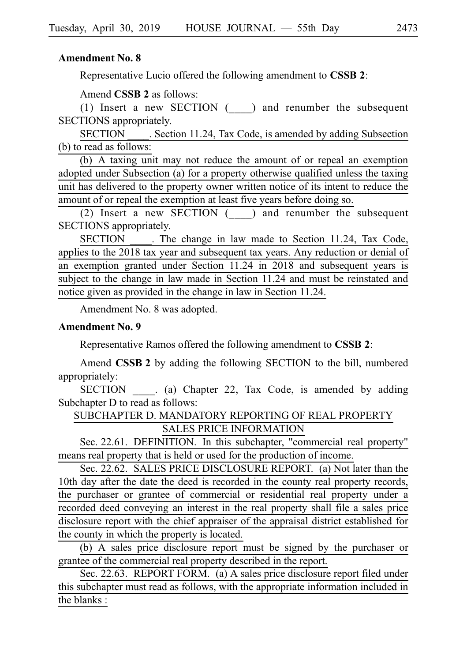# **Amendment No. 8**

Representative Lucio offered the following amendment to **CSSB 2**:

Amend **CSSB 2** as follows:

(1) Insert a new SECTION  $(\_\_)$  and renumber the subsequent SECTIONS appropriately.

SECTION Section 11.24, Tax Code, is amended by adding Subsection (b) to read as follows:

(b) A taxing unit may not reduce the amount of or repeal an exemption adopted under Subsection (a) for a property otherwise qualified unless the taxing unit has delivered to the property owner written notice of its intent to reduce the amount of or repeal the exemption at least five years before doing so.

(2) Insert a new SECTION  $($ ) and renumber the subsequent SECTIONS appropriately.

SECTION . The change in law made to Section 11.24, Tax Code, applies to the 2018 tax year and subsequent tax years. Any reduction or denial of an exemption granted under Section 11.24 in 2018 and subsequent years is subject to the change in law made in Section 11.24 and must be reinstated and notice given as provided in the change in law in Section 11.24.

Amendment No. 8 was adopted.

### **Amendment No. 9**

Representative Ramos offered the following amendment to **CSSBi2**:

Amend **CSSB 2** by adding the following SECTION to the bill, numbered appropriately:

SECTION . (a) Chapter 22, Tax Code, is amended by adding Subchapter D to read as follows:

SUBCHAPTER D. MANDATORY REPORTING OF REAL PROPERTY SALES PRICE INFORMATION

Sec. 22.61. DEFINITION. In this subchapter, "commercial real property" means real property that is held or used for the production of income.

Sec. 22.62. SALES PRICE DISCLOSURE REPORT. (a) Not later than the 10th day after the date the deed is recorded in the county real property records, the purchaser or grantee of commercial or residential real property under a recorded deed conveying an interest in the real property shall file a sales price disclosure report with the chief appraiser of the appraisal district established for the county in which the property is located.

(b) A sales price disclosure report must be signed by the purchaser or grantee of the commercial real property described in the report.

Sec. 22.63. REPORT FORM. (a) A sales price disclosure report filed under this subchapter must read as follows, with the appropriate information included in the blanks :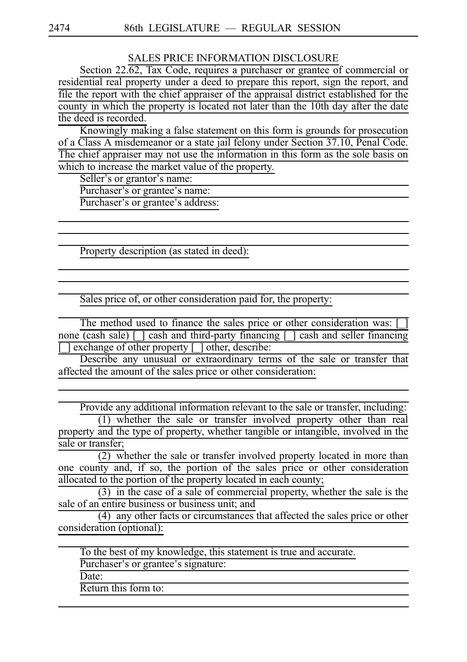SALES PRICE INFORMATION DISCLOSURE

Section 22.62, Tax Code, requires a purchaser or grantee of commercial or residential real property under a deed to prepare this report, sign the report, and file the report with the chief appraiser of the appraisal district established for the county in which the property is located not later than the 10th day after the date the deed is recorded.

Knowingly making a false statement on this form is grounds for prosecution of a Class A misdemeanor or a state jail felony under Section 37.10, Penal Code. The chief appraiser may not use the information in this form as the sole basis on which to increase the market value of the property.

Seller's or grantor's name:

Purchaser's or grantee's name:

Purchaser's or grantee's address:

Property description (as stated in deed):

Sales price of, or other consideration paid for, the property:

The method used to finance the sales price or other consideration was: none  $\overline{(cash sale)}$  [ ] cash and third-party financing  $\lceil$  ] cash and seller financing  $\lceil$  exchange of other property  $\lceil \cdot \rceil$  other, describe:

Describe any unusual or extraordinary terms of the sale or transfer that affected the amount of the sales price or other consideration:

Provide any additional information relevant to the sale or transfer, including:

 $(1)$  whether the sale or transfer involved property other than real property and the type of property, whether tangible or intangible, involved in the sale or transfer;

 $\overline{(2)}$  whether the sale or transfer involved property located in more than one county and, if so, the portion of the sales price or other consideration allocated to the portion of the property located in each county;

 $(3)$  in the case of a sale of commercial property, whether the sale is the sale of an entire business or business unit; and

 $(4)$  any other facts or circumstances that affected the sales price or other consideration (optional):

To the best of my knowledge, this statement is true and accurate.

Purchaser's or grantee's signature:

Date:

Return this form to: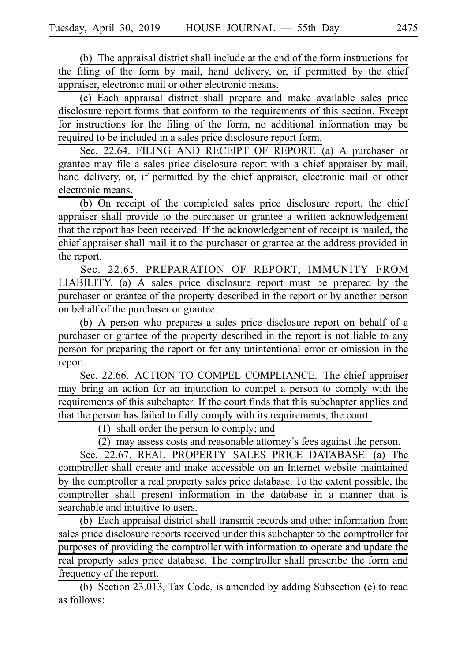(b) The appraisal district shall include at the end of the form instructions for the filing of the form by mail, hand delivery, or, if permitted by the chief appraiser, electronic mail or other electronic means.

(c) Each appraisal district shall prepare and make available sales price disclosure report forms that conform to the requirements of this section. Except for instructions for the filing of the form, no additional information may be required to be included in a sales price disclosure report form.

Sec. 22.64. FILING AND RECEIPT OF REPORT. (a) A purchaser or grantee may file a sales price disclosure report with a chief appraiser by mail, hand delivery, or, if permitted by the chief appraiser, electronic mail or other electronic means.

(b) On receipt of the completed sales price disclosure report, the chief appraiser shall provide to the purchaser or grantee a written acknowledgement that the report has been received. If the acknowledgement of receipt is mailed, the chief appraiser shall mail it to the purchaser or grantee at the address provided in the report.

Sec. 22.65. PREPARATION OF REPORT; IMMUNITY FROM  $LIABILITY.$  (a) A sales price disclosure report must be prepared by the purchaser or grantee of the property described in the report or by another person on behalf of the purchaser or grantee.

(b) A person who prepares a sales price disclosure report on behalf of a purchaser or grantee of the property described in the report is not liable to any person for preparing the report or for any unintentional error or omission in the report.

Sec. 22.66. ACTION TO COMPEL COMPLIANCE. The chief appraiser may bring an action for an injunction to compel a person to comply with the requirements of this subchapter. If the court finds that this subchapter applies and that the person has failed to fully comply with its requirements, the court:

 $(1)$  shall order the person to comply; and

 $(2)$  may assess costs and reasonable attorney's fees against the person.

Sec. 22.67. REAL PROPERTY SALES PRICE DATABASE. (a) The comptroller shall create and make accessible on an Internet website maintained by the comptroller a real property sales price database. To the extent possible, the comptroller shall present information in the database in a manner that is searchable and intuitive to users.

(b) Each appraisal district shall transmit records and other information from sales price disclosure reports received under this subchapter to the comptroller for purposes of providing the comptroller with information to operate and update the real property sales price database. The comptroller shall prescribe the form and frequency of the report.

(b) Section 23.013, Tax Code, is amended by adding Subsection (e) to read as follows: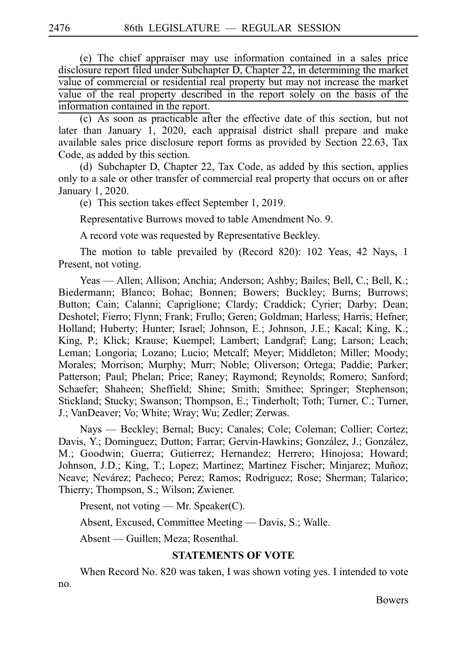(e) The chief appraiser may use information contained in a sales price disclosure report filed under Subchapter D, Chapter 22, in determining the market value of commercial or residential real property but may not increase the market value of the real property described in the report solely on the basis of the information contained in the report.

(c) As soon as practicable after the effective date of this section, but not later than January 1, 2020, each appraisal district shall prepare and make available sales price disclosure report forms as provided by Section 22.63, Tax Code, as added by this section.

(d) Subchapter D, Chapter 22, Tax Code, as added by this section, applies only to a sale or other transfer of commercial real property that occurs on or after January 1, 2020.

(e) This section takes effect September 1, 2019.

Representative Burrows moved to table Amendment No. 9.

A record vote was requested by Representative Beckley.

The motion to table prevailed by (Record 820): 102 Yeas, 42 Nays, 1 Present, not voting.

Yeas — Allen; Allison; Anchia; Anderson; Ashby; Bailes; Bell, C.; Bell, K.; Biedermann; Blanco; Bohac; Bonnen; Bowers; Buckley; Burns; Burrows; Button; Cain; Calanni; Capriglione; Clardy; Craddick; Cyrier; Darby; Dean; Deshotel; Fierro; Flynn; Frank; Frullo; Geren; Goldman; Harless; Harris; Hefner; Holland; Huberty; Hunter; Israel; Johnson, E.; Johnson, J.E.; Kacal; King, K.; King, P.; Klick; Krause; Kuempel; Lambert; Landgraf; Lang; Larson; Leach; Leman; Longoria; Lozano; Lucio; Metcalf; Meyer; Middleton; Miller; Moody; Morales; Morrison; Murphy; Murr; Noble; Oliverson; Ortega; Paddie; Parker; Patterson; Paul; Phelan; Price; Raney; Raymond; Reynolds; Romero; Sanford; Schaefer; Shaheen; Sheffield; Shine; Smith; Smithee; Springer; Stephenson; Stickland; Stucky; Swanson; Thompson, E.; Tinderholt; Toth; Turner, C.; Turner, J.; VanDeaver; Vo; White; Wray; Wu; Zedler; Zerwas.

Nays — Beckley; Bernal; Bucy; Canales; Cole; Coleman; Collier; Cortez; Davis, Y.; Dominguez; Dutton; Farrar; Gervin-Hawkins; González, J.; González, M.; Goodwin; Guerra; Gutierrez; Hernandez; Herrero; Hinojosa; Howard; Johnson, J.D.; King, T.; Lopez; Martinez; Martinez Fischer; Minjarez; Muñoz; Neave; Nevárez; Pacheco; Perez; Ramos; Rodriguez; Rose; Sherman; Talarico; Thierry; Thompson, S.; Wilson; Zwiener.

Present, not voting — Mr. Speaker(C).

Absent, Excused, Committee Meeting — Davis, S.; Walle.

Absent — Guillen; Meza; Rosenthal.

### **STATEMENTS OF VOTE**

When Record No. 820 was taken, I was shown voting yes. I intended to vote

**Bowers**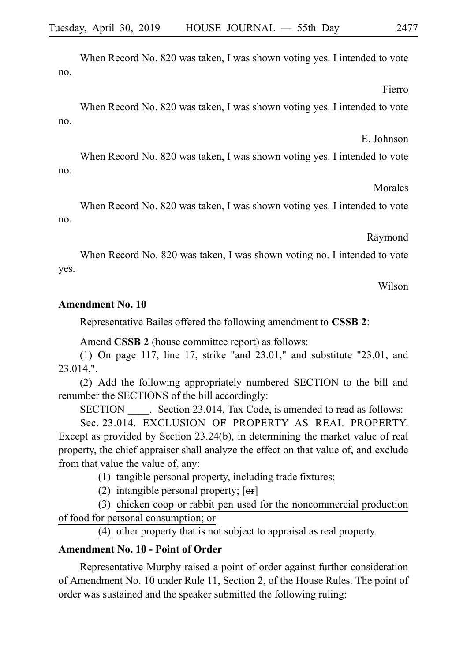When Record No. 820 was taken, I was shown voting yes. I intended to vote no.

Fierro

When Record No. 820 was taken, I was shown voting yes. I intended to vote no.

E. Johnson

When Record No. 820 was taken, I was shown voting yes. I intended to vote no.

Morales

When Record No. 820 was taken, I was shown voting yes. I intended to vote no.

Raymond

When Record No. 820 was taken, I was shown voting no. I intended to vote yes.

Wilson

## **Amendment No. 10**

Representative Bailes offered the following amendment to **CSSBi2**:

Amend **CSSB 2** (house committee report) as follows:

(1) On page 117, line 17, strike "and  $23.01$ ," and substitute "23.01, and 23.014,".

(2) Add the following appropriately numbered SECTION to the bill and renumber the SECTIONS of the bill accordingly:

SECTION Section 23.014, Tax Code, is amended to read as follows:

Sec. 23.014. EXCLUSION OF PROPERTY AS REAL PROPERTY. Except as provided by Section 23.24(b), in determining the market value of real property, the chief appraiser shall analyze the effect on that value of, and exclude from that value the value of, any:

 $(1)$  tangible personal property, including trade fixtures;

(2) intangible personal property;  $[**or**]$ 

(3) chicken coop or rabbit pen used for the noncommercial production of food for personal consumption; or

(4) other property that is not subject to appraisal as real property.

# **Amendment No. 10 - Point of Order**

Representative Murphy raised a point of order against further consideration of Amendment No. 10 under Rule 11, Section 2, of the House Rules. The point of order was sustained and the speaker submitted the following ruling: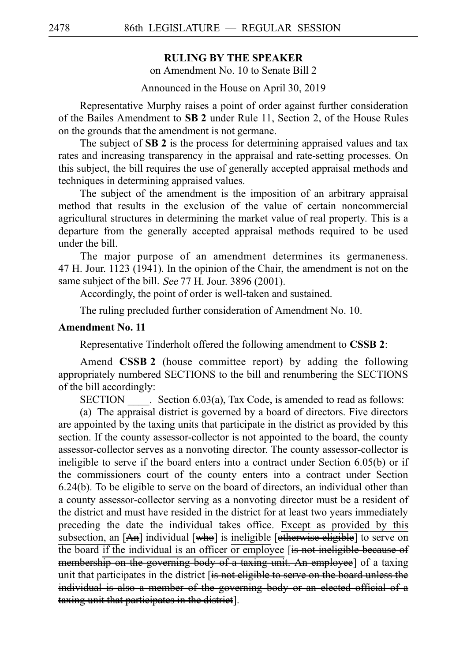# **RULING BY THE SPEAKER**

on Amendment No. 10 to Senate Bill 2

Announced in the House on April 30, 2019

Representative Murphy raises a point of order against further consideration of the Bailes Amendment to **SBi2** under Rule 11, Section 2, of the House Rules on the grounds that the amendment is not germane.

The subject of **SB 2** is the process for determining appraised values and tax rates and increasing transparency in the appraisal and rate-setting processes. On this subject, the bill requires the use of generally accepted appraisal methods and techniques in determining appraised values.

The subject of the amendment is the imposition of an arbitrary appraisal method that results in the exclusion of the value of certain noncommercial agricultural structures in determining the market value of real property. This is a departure from the generally accepted appraisal methods required to be used under the bill.

The major purpose of an amendment determines its germaneness. 47 H. Jour. 1123 (1941). In the opinion of the Chair, the amendment is not on the same subject of the bill. See 77 H. Jour. 3896 (2001).

Accordingly, the point of order is well-taken and sustained.

The ruling precluded further consideration of Amendment No. 10.

#### **Amendment No. 11**

Representative Tinderholt offered the following amendment to **CSSBi2**:

Amend **CSSB 2** (house committee report) by adding the following appropriately numbered SECTIONS to the bill and renumbering the SECTIONS of the bill accordingly:

 $SECTION \_\_\_\_$ . Section 6.03(a), Tax Code, is amended to read as follows:

(a) The appraisal district is governed by a board of directors. Five directors are appointed by the taxing units that participate in the district as provided by this section. If the county assessor-collector is not appointed to the board, the county assessor-collector serves as a nonvoting director. The county assessor-collector is ineligible to serve if the board enters into a contract under Section 6.05(b) or if the commissioners court of the county enters into a contract under Section 6.24(b). To be eligible to serve on the board of directors, an individual other than a county assessor-collector serving as a nonvoting director must be a resident of the district and must have resided in the district for at least two years immediately preceding the date the individual takes office. Except as provided by this subsection, an [An] individual [who] is ineligible [otherwise eligible] to serve on the board if the individual is an officer or employee [is not ineligible because of membership on the governing body of a taxing unit. An employee] of a taxing unit that participates in the district [is not eligible to serve on the board unless the individual is also a member of the governing body or an elected official of a taxing unit that participates in the district].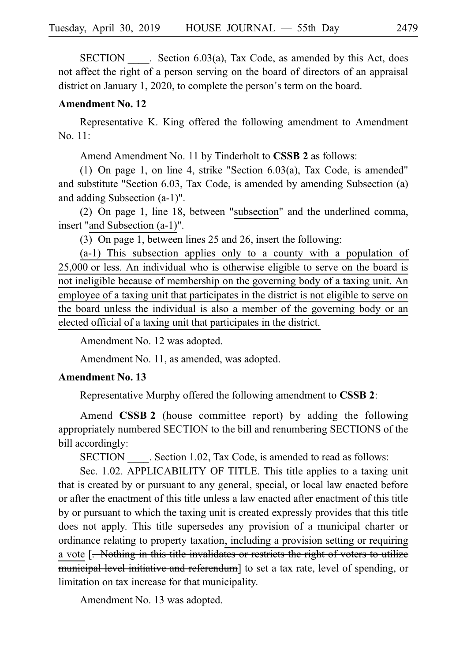$SECTION . Section 6.03(a), Tax Code, as amended by this Act, does.$ not affect the right of a person serving on the board of directors of an appraisal district on January 1, 2020, to complete the person's term on the board.

#### **Amendment No. 12**

Representative K. King offered the following amendment to Amendment No. 11:

Amend Amendment No. 11 by Tinderholt to **CSSB 2** as follows:

(1) On page 1, on line 4, strike "Section  $6.03(a)$ , Tax Code, is amended" and substitute "Section 6.03, Tax Code, is amended by amending Subsection (a) and adding Subsection (a-1)".

(2) On page 1, line 18, between "subsection" and the underlined comma, insert "and Subsection (a-1)".

(3) On page 1, between lines  $25$  and  $26$ , insert the following:

 $(a-1)$  This subsection applies only to a county with a population of  $25,000$  or less. An individual who is otherwise eligible to serve on the board is not ineligible because of membership on the governing body of a taxing unit. An employee of a taxing unit that participates in the district is not eligible to serve on the board unless the individual is also a member of the governing body or an elected official of a taxing unit that participates in the district.

Amendment No. 12 was adopted.

Amendment No. 11, as amended, was adopted.

# **Amendment No. 13**

Representative Murphy offered the following amendment to **CSSBi2**:

Amend **CSSB 2** (house committee report) by adding the following appropriately numbered SECTION to the bill and renumbering SECTIONS of the bill accordingly:

SECTION Section 1.02, Tax Code, is amended to read as follows:

Sec. 1.02. APPLICABILITY OF TITLE. This title applies to a taxing unit that is created by or pursuant to any general, special, or local law enacted before or after the enactment of this title unless a law enacted after enactment of this title by or pursuant to which the taxing unit is created expressly provides that this title does not apply. This title supersedes any provision of a municipal charter or ordinance relating to property taxation, including a provision setting or requiring a vote [<del>. Nothing in this title invalidates or restricts the right of voters to utilize</del> municipal level initiative and referendum] to set a tax rate, level of spending, or limitation on tax increase for that municipality.

Amendment No. 13 was adopted.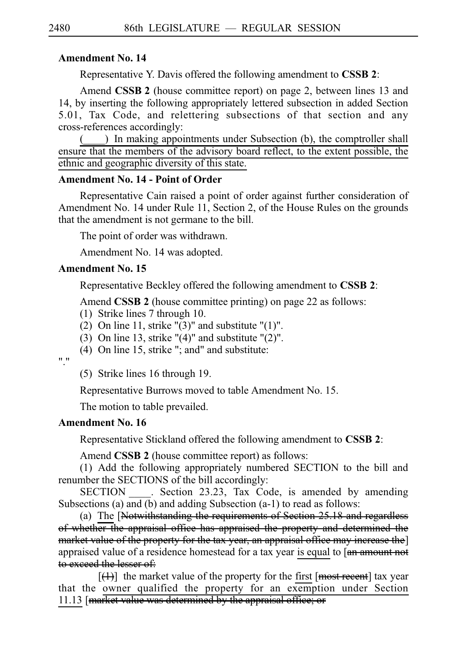## **Amendment No. 14**

Representative Y. Davis offered the following amendment to CSSB 2:

Amend **CSSB 2** (house committee report) on page 2, between lines 13 and 14, by inserting the following appropriately lettered subsection in added Section 5.01, Tax Code, and relettering subsections of that section and any cross-references accordingly:

( $\Box$ ) In making appointments under Subsection (b), the comptroller shall ensure that the members of the advisory board reflect, to the extent possible, the ethnic and geographic diversity of this state.

# **Amendment No. 14 - Point of Order**

Representative Cain raised a point of order against further consideration of Amendment No. 14 under Rule 11, Section 2, of the House Rules on the grounds that the amendment is not germane to the bill.

The point of order was withdrawn.

Amendment No. 14 was adopted.

### **Amendment No. 15**

Representative Beckley offered the following amendment to **CSSBi2**:

Amend **CSSB 2** (house committee printing) on page 22 as follows:

- $(1)$  Strike lines 7 through 10.
- (2) On line 11, strike " $(3)$ " and substitute " $(1)$ ".
- (3) On line 13, strike " $(4)$ " and substitute " $(2)$ ".
- (4) On line 15, strike "; and" and substitute:

"."

 $(5)$  Strike lines 16 through 19.

Representative Burrows moved to table Amendment No. 15.

The motion to table prevailed.

#### **Amendment No. 16**

Representative Stickland offered the following amendment to **CSSBi2**:

Amend **CSSB 2** (house committee report) as follows:

(1) Add the following appropriately numbered SECTION to the bill and renumber the SECTIONS of the bill accordingly:

SECTION Section 23.23, Tax Code, is amended by amending Subsections (a) and (b) and adding Subsection (a-1) to read as follows:

(a) The  $[Notwithstanding the requirements of Section 25.18 and regardless of Section 25.18]$ of whether the appraisal office has appraised the property and determined the market value of the property for the tax year, an appraisal office may increase the] appraised value of a residence homestead for a tax year is equal to [an amount not to exceed the lesser of:

 $[$ ( $\downarrow$ ) the market value of the property for the first [most recent] tax year that the owner qualified the property for an exemption under Section 11.13 [market value was determined by the appraisal office; or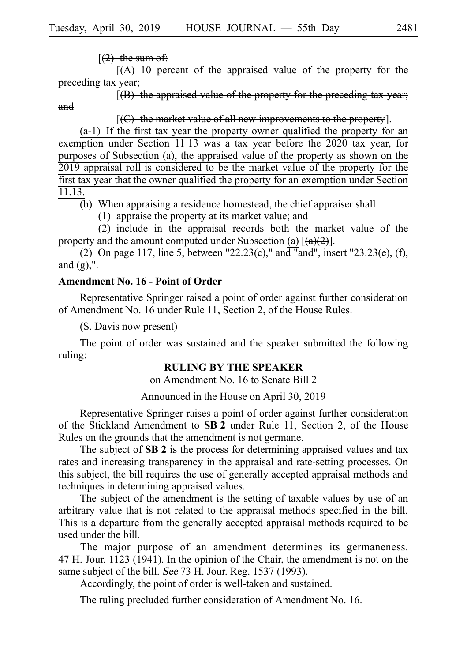$[(2)$  the sum of:

 $[(A)$  10 percent of the appraised value of the property preceding tax year;

 $[$ (B) the appraised value of the property for the preceding tax year; and

 $[$ (C) the market value of all new improvements to the property].

 $(a-1)$  If the first tax year the property owner qualified the property for an exemption under Section 11 13 was a tax year before the 2020 tax year, for purposes of Subsection (a), the appraised value of the property as shown on the 2019 appraisal roll is considered to be the market value of the property for the first tax year that the owner qualified the property for an exemption under Section 11.13.

 $\overline{b}$ ) When appraising a residence homestead, the chief appraiser shall:

 $(1)$  appraise the property at its market value; and

 $(2)$  include in the appraisal records both the market value of the property and the amount computed under Subsection (a)  $[(a)(2)]$ .

(2) On page 117, line 5, between "22.23(c)," and "and", insert "23.23(e), (f), and  $(g)$ ,".

#### **Amendment No. 16 - Point of Order**

Representative Springer raised a point of order against further consideration of Amendment No. 16 under Rule 11, Section 2, of the House Rules.

(S. Davis now present)

The point of order was sustained and the speaker submitted the following ruling:

#### **RULING BY THE SPEAKER**

on Amendment No. 16 to Senate Bill 2

Announced in the House on April 30, 2019

Representative Springer raises a point of order against further consideration of the Stickland Amendment to SB 2 under Rule 11, Section 2, of the House Rules on the grounds that the amendment is not germane.

The subject of SB 2 is the process for determining appraised values and tax rates and increasing transparency in the appraisal and rate-setting processes. On this subject, the bill requires the use of generally accepted appraisal methods and techniques in determining appraised values.

The subject of the amendment is the setting of taxable values by use of an arbitrary value that is not related to the appraisal methods specified in the bill. This is a departure from the generally accepted appraisal methods required to be used under the bill.

The major purpose of an amendment determines its germaneness. 47 H. Jour. 1123 (1941). In the opinion of the Chair, the amendment is not on the same subject of the bill. See 73 H. Jour. Reg. 1537 (1993).

Accordingly, the point of order is well-taken and sustained.

The ruling precluded further consideration of Amendment No. 16.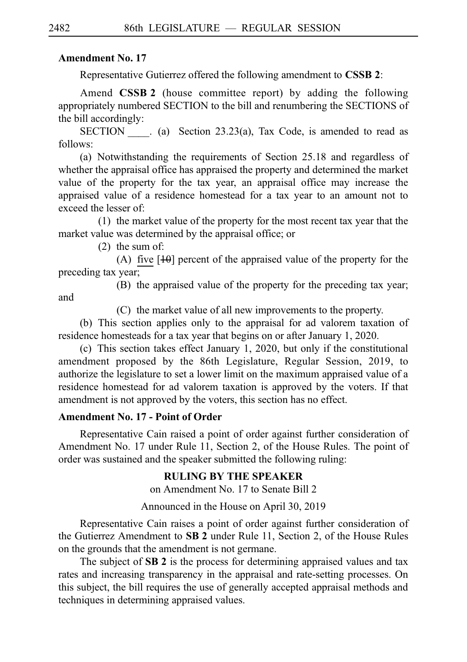# **Amendment No. 17**

Representative Gutierrez offered the following amendment to **CSSB 2**:

Amend **CSSB 2** (house committee report) by adding the following appropriately numbered SECTION to the bill and renumbering the SECTIONS of the bill accordingly:

SECTION  $\qquad$  (a) Section 23.23(a), Tax Code, is amended to read as follows:

(a) Notwithstanding the requirements of Section  $25.18$  and regardless of whether the appraisal office has appraised the property and determined the market value of the property for the tax year, an appraisal office may increase the appraised value of a residence homestead for a tax year to an amount not to exceed the lesser of:

 $(1)$  the market value of the property for the most recent tax year that the market value was determined by the appraisal office; or

 $(2)$  the sum of:

(A) five  $[10]$  percent of the appraised value of the property for the preceding tax year;

(B) the appraised value of the property for the preceding tax year;

 $(C)$  the market value of all new improvements to the property.

(b) This section applies only to the appraisal for ad valorem taxation of residence homesteads for a tax year that begins on or after January 1, 2020.

(c) This section takes effect January 1, 2020, but only if the constitutional amendment proposed by the 86th Legislature, Regular Session, 2019, to authorize the legislature to set a lower limit on the maximum appraised value of a residence homestead for ad valorem taxation is approved by the voters. If that amendment is not approved by the voters, this section has no effect.

# **Amendment No. 17 - Point of Order**

Representative Cain raised a point of order against further consideration of Amendment No. 17 under Rule 11, Section 2, of the House Rules. The point of order was sustained and the speaker submitted the following ruling:

# **RULING BY THE SPEAKER**

on Amendment No. 17 to Senate Bill 2

Announced in the House on April 30, 2019

Representative Cain raises a point of order against further consideration of the Gutierrez Amendment to SB 2 under Rule 11, Section 2, of the House Rules on the grounds that the amendment is not germane.

The subject of SB 2 is the process for determining appraised values and tax rates and increasing transparency in the appraisal and rate-setting processes. On this subject, the bill requires the use of generally accepted appraisal methods and techniques in determining appraised values.

and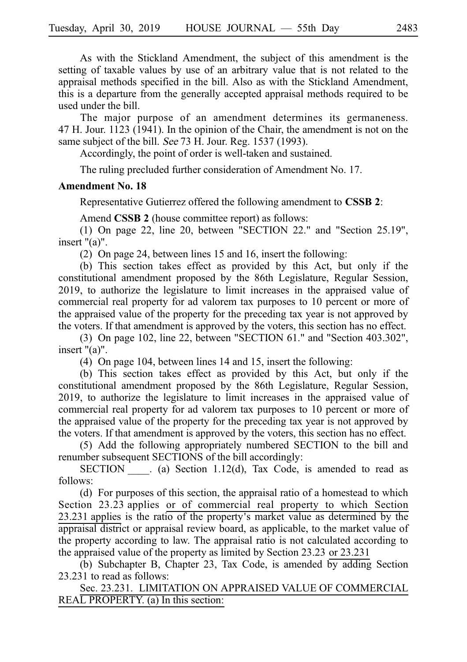As with the Stickland Amendment, the subject of this amendment is the setting of taxable values by use of an arbitrary value that is not related to the appraisal methods specified in the bill. Also as with the Stickland Amendment, this is a departure from the generally accepted appraisal methods required to be used under the bill.

The major purpose of an amendment determines its germaneness. 47 H. Jour.  $1123$  (1941). In the opinion of the Chair, the amendment is not on the same subject of the bill. See 73 H. Jour. Reg. 1537 (1993).

Accordingly, the point of order is well-taken and sustained.

The ruling precluded further consideration of Amendment No. 17.

### **Amendment No. 18**

Representative Gutierrez offered the following amendment to **CSSB 2**:

Amend **CSSB 2** (house committee report) as follows:

(1) On page 22, line 20, between "SECTION 22." and "Section  $25.19$ ", insert "(a)".

(2) On page 24, between lines 15 and 16, insert the following:

(b) This section takes effect as provided by this Act, but only if the constitutional amendment proposed by the 86th Legislature, Regular Session, 2019, to authorize the legislature to limit increases in the appraised value of commercial real property for ad valorem tax purposes to 10 percent or more of the appraised value of the property for the preceding tax year is not approved by the voters. If that amendment is approved by the voters, this section has no effect.

(3) On page 102, line 22, between "SECTION  $61$ ." and "Section  $403.302$ ", insert "(a)".

(4) On page 104, between lines 14 and 15, insert the following:

 $(b)$  This section takes effect as provided by this Act, but only if the constitutional amendment proposed by the 86th Legislature, Regular Session, 2019, to authorize the legislature to limit increases in the appraised value of commercial real property for ad valorem tax purposes to 10 percent or more of the appraised value of the property for the preceding tax year is not approved by the voters. If that amendment is approved by the voters, this section has no effect.

(5) Add the following appropriately numbered SECTION to the bill and renumber subsequent SECTIONS of the bill accordingly:

SECTION  $\qquad$ . (a) Section 1.12(d), Tax Code, is amended to read as follows:

(d) For purposes of this section, the appraisal ratio of a homestead to which Section 23.23 applies or of commercial real property to which Section  $23.231$  applies is the ratio of the property's market value as determined by the appraisal district or appraisal review board, as applicable, to the market value of the property according to law. The appraisal ratio is not calculated according to the appraised value of the property as limited by Section  $23.23$  or  $23.231$ 

(b) Subchapter B, Chapter 23, Tax Code, is amended by adding Section 23.231 to read as follows:

Sec. 23.231. LIMITATION ON APPRAISED VALUE OF COMMERCIAL REAL PROPERTY. (a) In this section: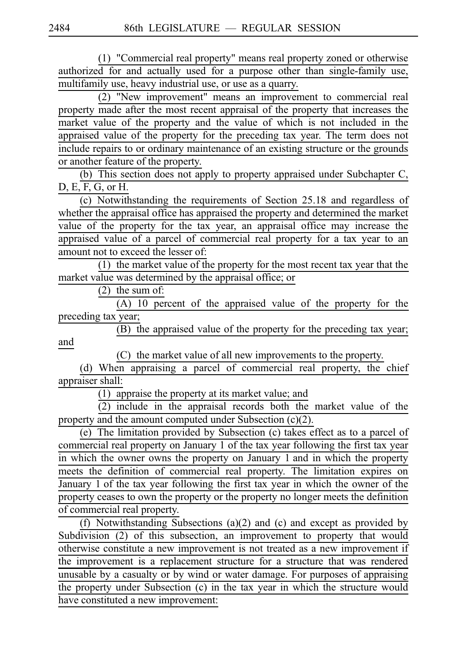(1) "Commercial real property" means real property zoned or otherwise authorized for and actually used for a purpose other than single-family use, multifamily use, heavy industrial use, or use as a quarry.

(2) "New improvement" means an improvement to commercial real property made after the most recent appraisal of the property that increases the market value of the property and the value of which is not included in the appraised value of the property for the preceding tax year. The term does not include repairs to or ordinary maintenance of an existing structure or the grounds or another feature of the property.

(b) This section does not apply to property appraised under Subchapter C, D, E, F, G, or H.

 $(c)$  Notwithstanding the requirements of Section 25.18 and regardless of whether the appraisal office has appraised the property and determined the market value of the property for the tax year, an appraisal office may increase the appraised value of a parcel of commercial real property for a tax year to an amount not to exceed the lesser of:

(1) the market value of the property for the most recent tax year that the market value was determined by the appraisal office; or

 $(2)$  the sum of:

 $(A)$  10 percent of the appraised value of the property for the preceding tax year;

(B) the appraised value of the property for the preceding tax year; and

(C) the market value of all new improvements to the property.

(d) When appraising a parcel of commercial real property, the chief appraiser shall:

 $(1)$  appraise the property at its market value; and

 $(2)$  include in the appraisal records both the market value of the property and the amount computed under Subsection (c)(2).

(e) The limitation provided by Subsection (c) takes effect as to a parcel of commercial real property on January 1 of the tax year following the first tax year in which the owner owns the property on January 1 and in which the property meets the definition of commercial real property. The limitation expires on January 1 of the tax year following the first tax year in which the owner of the property ceases to own the property or the property no longer meets the definition of commercial real property.

(f) Notwithstanding Subsections (a)(2) and (c) and except as provided by Subdivision (2) of this subsection, an improvement to property that would otherwise constitute a new improvement is not treated as a new improvement if the improvement is a replacement structure for a structure that was rendered unusable by a casualty or by wind or water damage. For purposes of appraising the property under Subsection (c) in the tax year in which the structure would have constituted a new improvement: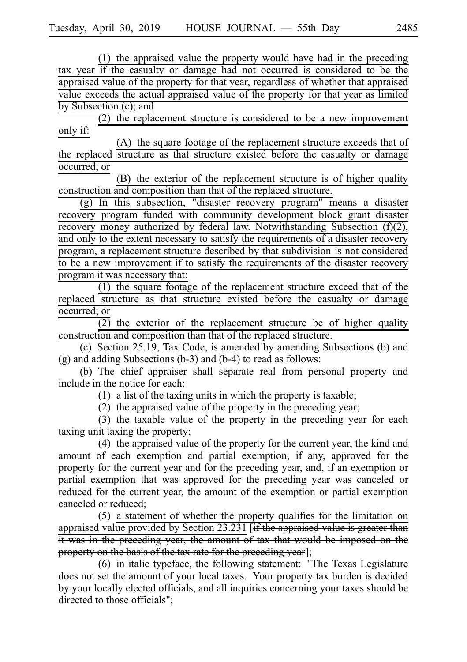$(1)$  the appraised value the property would have had in the preceding tax year if the casualty or damage had not occurred is considered to be the appraised value of the property for that year, regardless of whether that appraised value exceeds the actual appraised value of the property for that year as limited by Subsection (c); and

 $(2)$  the replacement structure is considered to be a new improvement only if:

(A) the square footage of the replacement structure exceeds that of the replaced structure as that structure existed before the casualty or damage occurred; or

(B) the exterior of the replacement structure is of higher quality construction and composition than that of the replaced structure.

(g) In this subsection, "disaster recovery program" means a disaster recovery program funded with community development block grant disaster recovery money authorized by federal law. Notwithstanding Subsection (f)(2), and only to the extent necessary to satisfy the requirements of a disaster recovery program, a replacement structure described by that subdivision is not considered to be a new improvement if to satisfy the requirements of the disaster recovery program it was necessary that:

 $(1)$  the square footage of the replacement structure exceed that of the replaced structure as that structure existed before the casualty or damage occurred; or

 $\overline{(2)}$  the exterior of the replacement structure be of higher quality construction and composition than that of the replaced structure.

(c) Section 25.19, Tax Code, is amended by amending Subsections (b) and (g) and adding Subsections (b-3) and (b-4) to read as follows:

(b) The chief appraiser shall separate real from personal property and include in the notice for each:

 $(1)$  a list of the taxing units in which the property is taxable;

 $(2)$  the appraised value of the property in the preceding year;

 $(3)$  the taxable value of the property in the preceding year for each taxing unit taxing the property;

 $(4)$  the appraised value of the property for the current year, the kind and amount of each exemption and partial exemption, if any, approved for the property for the current year and for the preceding year, and, if an exemption or partial exemption that was approved for the preceding year was canceled or reduced for the current year, the amount of the exemption or partial exemption canceled or reduced;

 $(5)$  a statement of whether the property qualifies for the limitation on appraised value provided by Section 23.231 [if the appraised value is greater than it was in the preceding year, the amount of tax that would be imposed on the property on the basis of the tax rate for the preceding year];

 $(6)$  in italic typeface, the following statement: "The Texas Legislature does not set the amount of your local taxes. Your property tax burden is decided by your locally elected officials, and all inquiries concerning your taxes should be directed to those officials";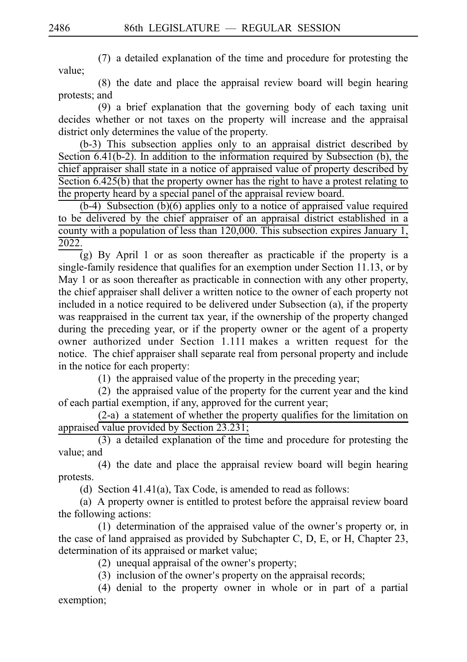$(7)$  a detailed explanation of the time and procedure for protesting the value;

 $(8)$  the date and place the appraisal review board will begin hearing protests; and

(9) a brief explanation that the governing body of each taxing unit decides whether or not taxes on the property will increase and the appraisal district only determines the value of the property.

 $(b-3)$  This subsection applies only to an appraisal district described by Section  $6.41(b-2)$ . In addition to the information required by Subsection (b), the chief appraiser shall state in a notice of appraised value of property described by Section 6.425(b) that the property owner has the right to have a protest relating to the property heard by a special panel of the appraisal review board.

 $(b-4)$  Subsection  $(b)(6)$  applies only to a notice of appraised value required to be delivered by the chief appraiser of an appraisal district established in a county with a population of less than 120,000. This subsection expires January 1, 2022.

 $(g)$  By April 1 or as soon thereafter as practicable if the property is a single-family residence that qualifies for an exemption under Section 11.13, or by May 1 or as soon thereafter as practicable in connection with any other property, the chief appraiser shall deliver a written notice to the owner of each property not included in a notice required to be delivered under Subsection (a), if the property was reappraised in the current tax year, if the ownership of the property changed during the preceding year, or if the property owner or the agent of a property owner authorized under Section 1.111 makes a written request for the notice. The chief appraiser shall separate real from personal property and include in the notice for each property:

 $(1)$  the appraised value of the property in the preceding year;

 $(2)$  the appraised value of the property for the current year and the kind of each partial exemption, if any, approved for the current year;

 $(2-a)$  a statement of whether the property qualifies for the limitation on appraised value provided by Section 23.231;

 $(3)$  a detailed explanation of the time and procedure for protesting the value; and

(4) the date and place the appraisal review board will begin hearing protests.

(d) Section 41.41(a), Tax Code, is amended to read as follows:

(a) A property owner is entitled to protest before the appraisal review board the following actions:

 $(1)$  determination of the appraised value of the owner's property or, in the case of land appraised as provided by Subchapter C, D, E, or H, Chapter 23, determination of its appraised or market value;

 $(2)$  unequal appraisal of the owner's property;

 $(3)$  inclusion of the owner's property on the appraisal records;

 $(4)$  denial to the property owner in whole or in part of a partial exemption;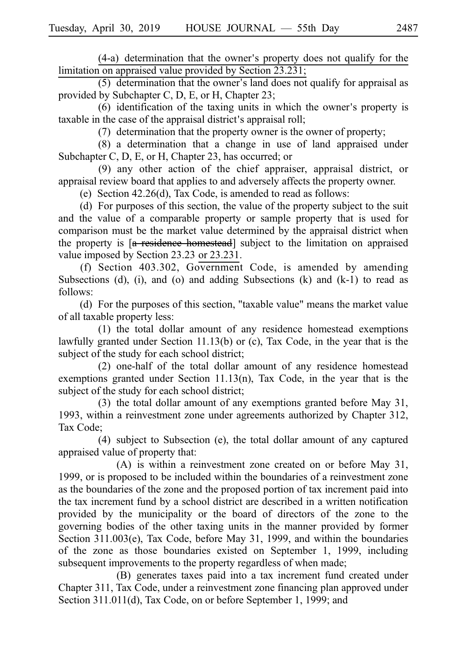$(4-a)$  determination that the owner's property does not qualify for the limitation on appraised value provided by Section 23.231;

 $(5)$  determination that the owner's land does not qualify for appraisal as provided by Subchapter C, D, E, or H, Chapter 23;

 $(6)$  identification of the taxing units in which the owner's property is taxable in the case of the appraisal district's appraisal roll;

 $(7)$  determination that the property owner is the owner of property;

 $(8)$  a determination that a change in use of land appraised under Subchapter C, D, E, or H, Chapter 23, has occurred; or

(9) any other action of the chief appraiser, appraisal district, or appraisal review board that applies to and adversely affects the property owner.

(e) Section  $42.26(d)$ , Tax Code, is amended to read as follows:

(d) For purposes of this section, the value of the property subject to the suit and the value of a comparable property or sample property that is used for comparison must be the market value determined by the appraisal district when the property is [a residence homestead] subject to the limitation on appraised value imposed by Section 23.23 or 23.231.

(f) Section  $403.302$ , Government Code, is amended by amending Subsections (d), (i), and (o) and adding Subsections (k) and  $(k-1)$  to read as follows:

(d) For the purposes of this section, "taxable value" means the market value of all taxable property less:

 $(1)$  the total dollar amount of any residence homestead exemptions lawfully granted under Section 11.13(b) or (c), Tax Code, in the year that is the subject of the study for each school district;

 $(2)$  one-half of the total dollar amount of any residence homestead exemptions granted under Section  $11.13(n)$ , Tax Code, in the year that is the subject of the study for each school district;

(3) the total dollar amount of any exemptions granted before May  $31$ , 1993, within a reinvestment zone under agreements authorized by Chapter 312, Tax Code;

 $(4)$  subject to Subsection  $(e)$ , the total dollar amount of any captured appraised value of property that:

 $(A)$  is within a reinvestment zone created on or before May 31, 1999, or is proposed to be included within the boundaries of a reinvestment zone as the boundaries of the zone and the proposed portion of tax increment paid into the tax increment fund by a school district are described in a written notification provided by the municipality or the board of directors of the zone to the governing bodies of the other taxing units in the manner provided by former Section 311.003(e), Tax Code, before May 31, 1999, and within the boundaries of the zone as those boundaries existed on September 1, 1999, including subsequent improvements to the property regardless of when made;

(B) generates taxes paid into a tax increment fund created under Chapter 311, Tax Code, under a reinvestment zone financing plan approved under Section 311.011(d), Tax Code, on or before September 1, 1999; and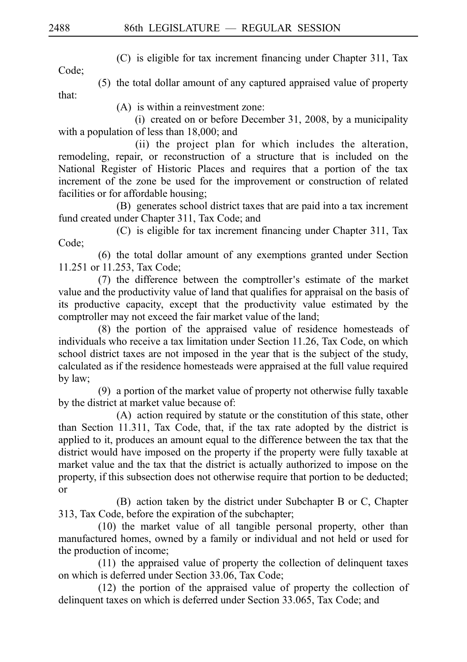(C) is eligible for tax increment financing under Chapter 311, Tax

Code;

(5) the total dollar amount of any captured appraised value of property that:

 $(A)$  is within a reinvestment zone:

(i) created on or before December 31, 2008, by a municipality with a population of less than 18,000; and

(ii) the project plan for which includes the alteration, remodeling, repair, or reconstruction of a structure that is included on the National Register of Historic Places and requires that a portion of the tax increment of the zone be used for the improvement or construction of related facilities or for affordable housing;

(B) generates school district taxes that are paid into a tax increment fund created under Chapter 311, Tax Code; and

 $(C)$  is eligible for tax increment financing under Chapter 311, Tax Code;

(6) the total dollar amount of any exemptions granted under Section 11.251 or 11.253, Tax Code;

(7) the difference between the comptroller's estimate of the market value and the productivity value of land that qualifies for appraisal on the basis of its productive capacity, except that the productivity value estimated by the comptroller may not exceed the fair market value of the land;

 $(8)$  the portion of the appraised value of residence homesteads of individuals who receive a tax limitation under Section 11.26, Tax Code, on which school district taxes are not imposed in the year that is the subject of the study, calculated as if the residence homesteads were appraised at the full value required by law;

 $(9)$  a portion of the market value of property not otherwise fully taxable by the district at market value because of:

(A) action required by statute or the constitution of this state, other than Section 11.311, Tax Code, that, if the tax rate adopted by the district is applied to it, produces an amount equal to the difference between the tax that the district would have imposed on the property if the property were fully taxable at market value and the tax that the district is actually authorized to impose on the property, if this subsection does not otherwise require that portion to be deducted; or

(B) action taken by the district under Subchapter B or C, Chapter 313, Tax Code, before the expiration of the subchapter;

 $(10)$  the market value of all tangible personal property, other than manufactured homes, owned by a family or individual and not held or used for the production of income;

 $(11)$  the appraised value of property the collection of delinquent taxes on which is deferred under Section 33.06, Tax Code;

 $(12)$  the portion of the appraised value of property the collection of delinquent taxes on which is deferred under Section 33.065, Tax Code; and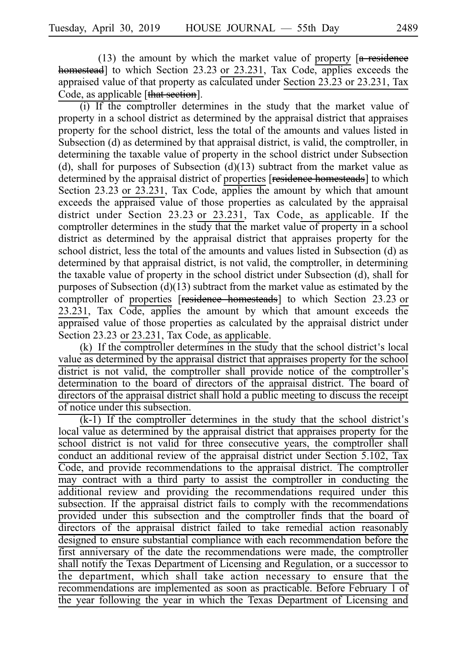(13) the amount by which the market value of property  $[a$  residence homestead] to which Section 23.23 or 23.231, Tax Code, applies exceeds the appraised value of that property as calculated under Section 23.23 or 23.231, Tax Code, as applicable [that section].

(i) If the comptroller determines in the study that the market value of property in a school district as determined by the appraisal district that appraises property for the school district, less the total of the amounts and values listed in Subsection (d) as determined by that appraisal district, is valid, the comptroller, in determining the taxable value of property in the school district under Subsection (d), shall for purposes of Subsection  $(d)(13)$  subtract from the market value as determined by the appraisal district of properties [residence homesteads] to which Section  $23.23$  or  $23.231$ , Tax Code, applies the amount by which that amount exceeds the appraised value of those properties as calculated by the appraisal district under Section  $23.23$  or  $23.231$ , Tax Code, as applicable. If the comptroller determines in the study that the market value of property in a school district as determined by the appraisal district that appraises property for the school district, less the total of the amounts and values listed in Subsection (d) as determined by that appraisal district, is not valid, the comptroller, in determining the taxable value of property in the school district under Subsection (d), shall for purposes of Subsection  $(d)(13)$  subtract from the market value as estimated by the comptroller of properties [residence homesteads] to which Section 23.23 or 23.231, Tax Code, applies the amount by which that amount exceeds the appraised value of those properties as calculated by the appraisal district under Section 23.23 or 23.231, Tax Code, as applicable.

 $(k)$  If the comptroller determines in the study that the school district's local value as determined by the appraisal district that appraises property for the school district is not valid, the comptroller shall provide notice of the comptroller's determination to the board of directors of the appraisal district. The board of directors of the appraisal district shall hold a public meeting to discuss the receipt of notice under this subsection.

 $(k-1)$  If the comptroller determines in the study that the school district's local value as determined by the appraisal district that appraises property for the school district is not valid for three consecutive years, the comptroller shall conduct an additional review of the appraisal district under Section 5.102, Tax Code, and provide recommendations to the appraisal district. The comptroller may contract with a third party to assist the comptroller in conducting the additional review and providing the recommendations required under this subsection. If the appraisal district fails to comply with the recommendations provided under this subsection and the comptroller finds that the board of directors of the appraisal district failed to take remedial action reasonably designed to ensure substantial compliance with each recommendation before the first anniversary of the date the recommendations were made, the comptroller shall notify the Texas Department of Licensing and Regulation, or a successor to the department, which shall take action necessary to ensure that the recommendations are implemented as soon as practicable. Before February 1 of the year following the year in which the Texas Department of Licensing and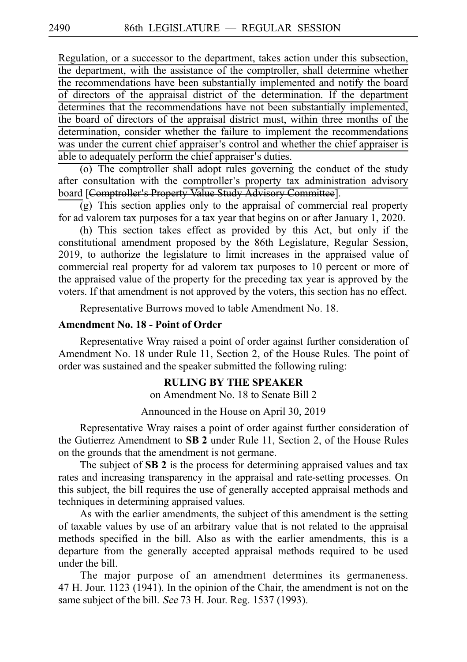Regulation, or a successor to the department, takes action under this subsection, the department, with the assistance of the comptroller, shall determine whether the recommendations have been substantially implemented and notify the board of directors of the appraisal district of the determination. If the department determines that the recommendations have not been substantially implemented, the board of directors of the appraisal district must, within three months of the determination, consider whether the failure to implement the recommendations was under the current chief appraiser's control and whether the chief appraiser is able to adequately perform the chief appraiser's duties.

 $(0)$  The comptroller shall adopt rules governing the conduct of the study after consultation with the comptroller's property tax administration advisory board [Comptroller's Property Value Study Advisory Committee].

 $\overline{g}$ ) This section applies only to the appraisal of commercial real property for ad valorem tax purposes for a tax year that begins on or after January 1, 2020.

 $(h)$  This section takes effect as provided by this Act, but only if the constitutional amendment proposed by the 86th Legislature, Regular Session, 2019, to authorize the legislature to limit increases in the appraised value of commercial real property for ad valorem tax purposes to 10 percent or more of the appraised value of the property for the preceding tax year is approved by the voters. If that amendment is not approved by the voters, this section has no effect.

Representative Burrows moved to table Amendment No. 18.

## **Amendment No. 18 - Point of Order**

Representative Wray raised a point of order against further consideration of Amendment No. 18 under Rule 11, Section 2, of the House Rules. The point of order was sustained and the speaker submitted the following ruling:

# **RULING BY THE SPEAKER**

on Amendment No. 18 to Senate Bill 2

Announced in the House on April 30, 2019

Representative Wray raises a point of order against further consideration of the Gutierrez Amendment to **SB 2** under Rule 11, Section 2, of the House Rules on the grounds that the amendment is not germane.

The subject of **SB 2** is the process for determining appraised values and tax rates and increasing transparency in the appraisal and rate-setting processes. On this subject, the bill requires the use of generally accepted appraisal methods and techniques in determining appraised values.

As with the earlier amendments, the subject of this amendment is the setting of taxable values by use of an arbitrary value that is not related to the appraisal methods specified in the bill. Also as with the earlier amendments, this is a departure from the generally accepted appraisal methods required to be used under the bill.

The major purpose of an amendment determines its germaneness.  $47$  H. Jour. 1123 (1941). In the opinion of the Chair, the amendment is not on the same subject of the bill. See 73 H. Jour. Reg. 1537 (1993).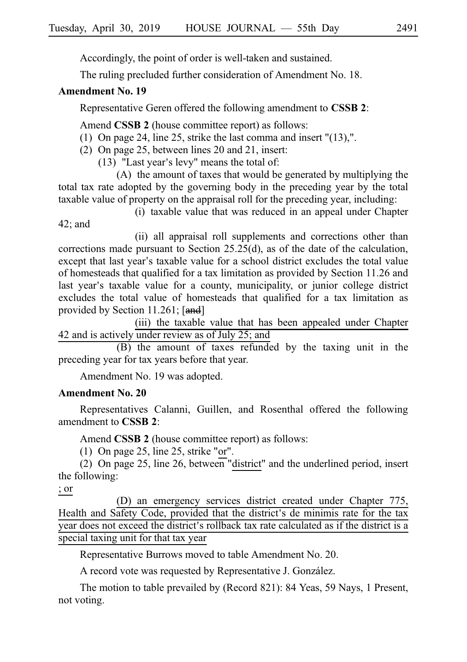Accordingly, the point of order is well-taken and sustained.

The ruling precluded further consideration of Amendment No. 18.

# **Amendment No. 19**

Representative Geren offered the following amendment to **CSSB 2**:

Amend **CSSB 2** (house committee report) as follows:

- (1) On page 24, line 25, strike the last comma and insert " $(13)$ ,".
- (2) On page 25, between lines 20 and 21, insert:
	- $(13)$  "Last year's levy" means the total of:

 $(A)$  the amount of taxes that would be generated by multiplying the total tax rate adopted by the governing body in the preceding year by the total taxable value of property on the appraisal roll for the preceding year, including:

(i) taxable value that was reduced in an appeal under Chapter

42; and

(ii) all appraisal roll supplements and corrections other than corrections made pursuant to Section 25.25(d), as of the date of the calculation, except that last year's taxable value for a school district excludes the total value of homesteads that qualified for a tax limitation as provided by Section 11.26 and last year's taxable value for a county, municipality, or junior college district excludes the total value of homesteads that qualified for a tax limitation as provided by Section 11.261;  $[\text{and}]$ 

(iii) the taxable value that has been appealed under Chapter 42 and is actively under review as of July 25; and

 $(B)$  the amount of taxes refunded by the taxing unit in the preceding year for tax years before that year.

Amendment No. 19 was adopted.

# **Amendment No. 20**

Representatives Calanni, Guillen, and Rosenthal offered the following amendment to **CSSB** 2.

Amend **CSSB 2** (house committee report) as follows:

(1) On page 25, line 25, strike "or".

(2) On page 25, line 26, between "district" and the underlined period, insert the following:

# ; or

(D) an emergency services district created under Chapter 775, Health and Safety Code, provided that the district's de minimis rate for the tax year does not exceed the district's rollback tax rate calculated as if the district is a special taxing unit for that tax year

Representative Burrows moved to table Amendment No. 20.

A record vote was requested by Representative J. González.

The motion to table prevailed by (Record 821): 84 Yeas, 59 Nays, 1 Present, not voting.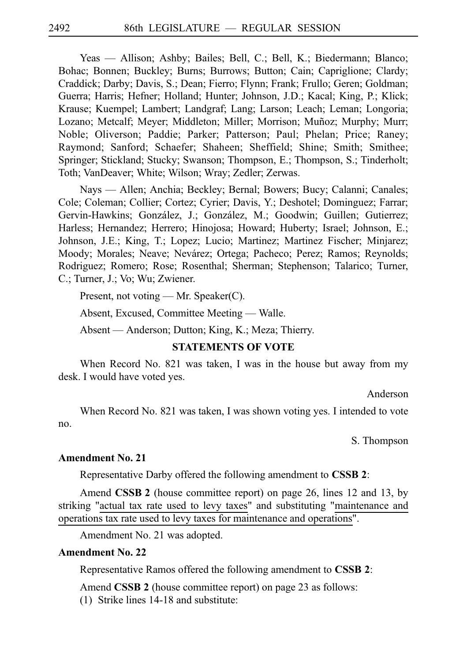Yeas — Allison; Ashby; Bailes; Bell, C.; Bell, K.; Biedermann; Blanco; Bohac; Bonnen; Buckley; Burns; Burrows; Button; Cain; Capriglione; Clardy; Craddick; Darby; Davis, S.; Dean; Fierro; Flynn; Frank; Frullo; Geren; Goldman; Guerra; Harris; Hefner; Holland; Hunter; Johnson, J.D.; Kacal; King, P.; Klick; Krause; Kuempel; Lambert; Landgraf; Lang; Larson; Leach; Leman; Longoria; Lozano; Metcalf; Meyer; Middleton; Miller; Morrison; Muñoz; Murphy; Murr; Noble; Oliverson; Paddie; Parker; Patterson; Paul; Phelan; Price; Raney; Raymond; Sanford; Schaefer; Shaheen; Sheffield; Shine; Smith; Smithee; Springer; Stickland; Stucky; Swanson; Thompson, E.; Thompson, S.; Tinderholt; Toth; VanDeaver; White; Wilson; Wray; Zedler; Zerwas.

Nays — Allen; Anchia; Beckley; Bernal; Bowers; Bucy; Calanni; Canales; Cole; Coleman; Collier; Cortez; Cyrier; Davis, Y.; Deshotel; Dominguez; Farrar; Gervin-Hawkins; González, J.; González, M.; Goodwin; Guillen; Gutierrez; Harless; Hernandez; Herrero; Hinojosa; Howard; Huberty; Israel; Johnson, E.; Johnson, J.E.; King, T.; Lopez; Lucio; Martinez; Martinez Fischer; Minjarez; Moody; Morales; Neave; Nevárez; Ortega; Pacheco; Perez; Ramos; Reynolds; Rodriguez; Romero; Rose; Rosenthal; Sherman; Stephenson; Talarico; Turner, C.; Turner, J.; Vo; Wu; Zwiener.

Present, not voting — Mr. Speaker(C).

Absent, Excused, Committee Meeting — Walle.

Absent — Anderson; Dutton; King, K.; Meza; Thierry.

### **STATEMENTS OF VOTE**

When Record No. 821 was taken, I was in the house but away from my desk. I would have voted yes.

Anderson

When Record No. 821 was taken, I was shown voting yes. I intended to vote no.

S. Thompson

## **Amendment No. 21**

Representative Darby offered the following amendment to **CSSB 2**:

Amend **CSSB 2** (house committee report) on page 26, lines 12 and 13, by striking "actual tax rate used to levy taxes" and substituting "maintenance and operations tax rate used to levy taxes for maintenance and operations".

Amendment No. 21 was adopted.

## **Amendment No. 22**

Representative Ramos offered the following amendment to **CSSBi2**:

Amend **CSSB 2** (house committee report) on page 23 as follows:

 $(1)$  Strike lines 14-18 and substitute: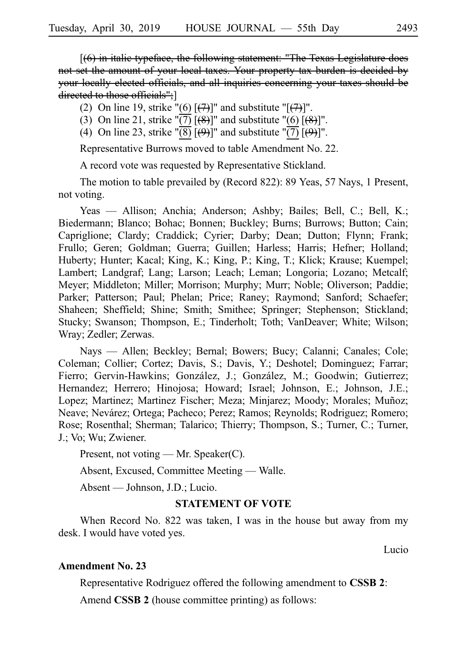[(6) in italic typeface, the following statement: "The Texas Legislature does not set the amount of your local taxes. Your property tax burden is decided by your locally elected officials, and all inquiries concerning your taxes should be directed to those officials";]

- (2) On line 19, strike "(6)  $[$ (7)]" and substitute "[(7)]".
- (3) On line 21, strike " $\overline{(7)}$  [ $\overline{(8)}$ ]" and substitute "(6) [ $\overline{(8)}$ ]".
- (4) On line 23, strike " $\overline{(8)}$   $\overline{(9)}$ ]" and substitute " $\overline{(7)}$   $\overline{(9)}$ ]".

Representative Burrows moved to table Amendment No. 22.

A record vote was requested by Representative Stickland.

The motion to table prevailed by (Record 822): 89 Yeas, 57 Nays, 1 Present, not voting.

Yeas — Allison; Anchia; Anderson; Ashby; Bailes; Bell, C.; Bell, K.; Biedermann; Blanco; Bohac; Bonnen; Buckley; Burns; Burrows; Button; Cain; Capriglione; Clardy; Craddick; Cyrier; Darby; Dean; Dutton; Flynn; Frank; Frullo; Geren; Goldman; Guerra; Guillen; Harless; Harris; Hefner; Holland; Huberty; Hunter; Kacal; King, K.; King, P.; King, T.; Klick; Krause; Kuempel; Lambert; Landgraf; Lang; Larson; Leach; Leman; Longoria; Lozano; Metcalf; Meyer; Middleton; Miller; Morrison; Murphy; Murr; Noble; Oliverson; Paddie; Parker; Patterson; Paul; Phelan; Price; Raney; Raymond; Sanford; Schaefer; Shaheen; Sheffield; Shine; Smith; Smithee; Springer; Stephenson; Stickland; Stucky; Swanson; Thompson, E.; Tinderholt; Toth; VanDeaver; White; Wilson; Wray; Zedler; Zerwas.

Nays — Allen; Beckley; Bernal; Bowers; Bucy; Calanni; Canales; Cole; Coleman; Collier; Cortez; Davis, S.; Davis, Y.; Deshotel; Dominguez; Farrar; Fierro; Gervin-Hawkins; González, J.; González, M.; Goodwin; Gutierrez; Hernandez; Herrero; Hinojosa; Howard; Israel; Johnson, E.; Johnson, J.E.; Lopez; Martinez; Martinez Fischer; Meza; Minjarez; Moody; Morales; Muñoz; Neave; Nevárez; Ortega; Pacheco; Perez; Ramos; Reynolds; Rodriguez; Romero; Rose; Rosenthal; Sherman; Talarico; Thierry; Thompson, S.; Turner, C.; Turner, J.; Vo; Wu; Zwiener.

Present, not voting — Mr. Speaker(C).

Absent, Excused, Committee Meeting — Walle.

Absent — Johnson, J.D.; Lucio.

### **STATEMENT OF VOTE**

When Record No. 822 was taken, I was in the house but away from my desk. I would have voted yes.

Lucio

# **Amendment No. 23**

Representative Rodriguez offered the following amendment to **CSSBi2**:

Amend **CSSB 2** (house committee printing) as follows: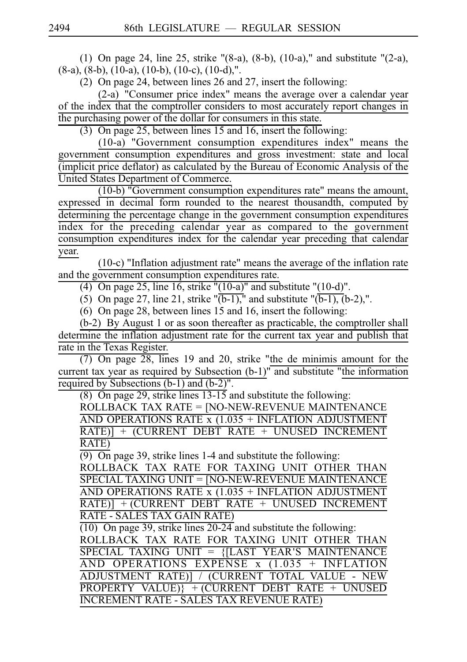(1) On page 24, line 25, strike " $(8-a)$ ,  $(8-b)$ ,  $(10-a)$ ," and substitute " $(2-a)$ , (8-a), (8-b), (10-a), (10-b), (10-c), (10-d),".

(2) On page 24, between lines 26 and 27, insert the following:

 $(2-a)$  "Consumer price index" means the average over a calendar year of the index that the comptroller considers to most accurately report changes in the purchasing power of the dollar for consumers in this state.

(3) On page 25, between lines 15 and 16, insert the following:

 $(10-a)$  "Government consumption expenditures index" means the government consumption expenditures and gross investment: state and local (implicit price deflator) as calculated by the Bureau of Economic Analysis of the United States Department of Commerce.

(10-b) "Government consumption expenditures rate" means the amount, expressed in decimal form rounded to the nearest thousandth, computed by determining the percentage change in the government consumption expenditures index for the preceding calendar year as compared to the government consumption expenditures index for the calendar year preceding that calendar year.

(10-c) "Inflation adjustment rate" means the average of the inflation rate and the government consumption expenditures rate.

(4) On page 25, line  $16$ , strike " $(10-a)$ " and substitute " $(10-d)$ ".

(5) On page 27, line 21, strike " $\overline{(b-1)}$ ," and substitute " $\overline{(b-1)}$ ,  $\overline{(b-2)}$ ,".

 $(6)$  On page 28, between lines 15 and 16, insert the following:

 $(b-2)$  By August 1 or as soon thereafter as practicable, the comptroller shall determine the inflation adjustment rate for the current tax year and publish that rate in the Texas Register.

 $(7)$  On page 28, lines 19 and 20, strike "the de minimis amount for the current tax year as required by Subsection (b-1)" and substitute "the information required by Subsections (b-1) and (b-2)".

(8) On page 29, strike lines  $13-15$  and substitute the following:

ROLLBACK TAX RATE = [NO-NEW-REVENUE MAINTENANCE AND OPERATIONS RATE  $x(1.035 + INFLATION$  ADJUSTMENT RATE)] + (CURRENT DEBT RATE + UNUSED INCREMENT RATE)

 $\overline{(9)}$  On page 39, strike lines 1-4 and substitute the following:

ROLLBACK TAX RATE FOR TAXING UNIT OTHER THAN SPECIAL TAXING UNIT = [NO-NEW-REVENUE MAINTENANCE AND OPERATIONS RATE  $x(1.035 + INFLATION$  ADJUSTMENT  $RATE$ <sup> $+$ </sup> (CURRENT DEBT RATE + UNUSED INCREMENT RATE - SALES TAX GAIN RATE)

 $\overline{(10)}$  On page 39, strike lines 20-24 and substitute the following:

ROLLBACK TAX RATE FOR TAXING UNIT OTHER THAN  $SPECIAL$  TAXING UNIT =  ${[LAST$  YEAR'S MAINTENANCE AND OPERATIONS EXPENSE  $x(1.035 + INFLATION)$ ADJUSTMENT RATE)] / (CURRENT TOTAL VALUE - NEW  $PROPERTIES$  VALUE)} + (CURRENT DEBT RATE + UNUSED INCREMENT RATE - SALES TAX REVENUE RATE)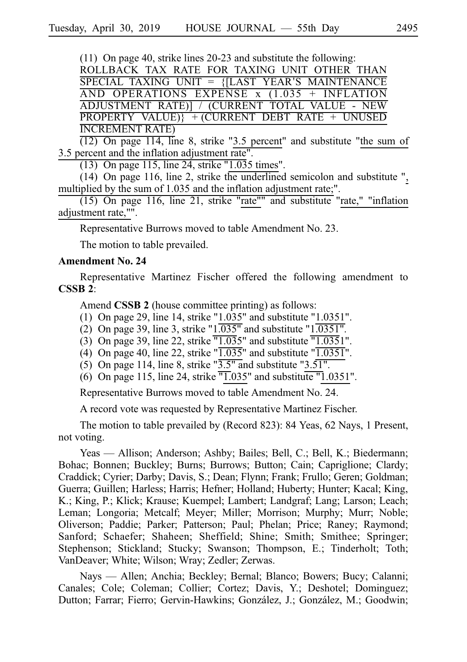(11) On page 40, strike lines  $20-23$  and substitute the following:

ROLLBACK TAX RATE FOR TAXING UNIT OTHER THAN  $SPECIAL$  TAXING UNIT =  ${[LAST \, YEAR'S \, MAINTENANCE]}$ AND OPERATIONS EXPENSE  $x(1.035 + INFLATION)$ ADJUSTMENT RATE)] / (CURRENT TOTAL VALUE - NEW  $PROPERTIES$  VALUE)} + (CURRENT DEBT RATE + UNUSED INCREMENT RATE)

 $(12)$  On page 114, line 8, strike "3.5 percent" and substitute "the sum of  $3.5$  percent and the inflation adjustment rate".

 $(13)$  On page 115, line 24, strike "1.035 times".

 $(14)$  On page 116, line 2, strike the underlined semicolon and substitute ", multiplied by the sum of 1.035 and the inflation adjustment rate;".

 $(15)$  On page 116, line 21, strike "rate"" and substitute "rate," "inflation adjustment rate,"".

Representative Burrows moved to table Amendment No. 23.

The motion to table prevailed.

# **Amendment No. 24**

Representative Martinez Fischer offered the following amendment to **CSSBi2**:

Amend **CSSB 2** (house committee printing) as follows:

- (1) On page 29, line 14, strike "1.035" and substitute "1.0351".
- (2) On page 39, line 3, strike " $1.035$ " and substitute " $1.0351$ ".
- (3) On page 39, line 22, strike  $\overline{1.035}$ " and substitute  $\overline{1.0351}$ ".
- (4) On page 40, line 22, strike " $\overline{1.035}$ " and substitute " $\overline{1.0351}$ ".
- (5) On page 114, line 8, strike " $\overline{3.5}$ " and substitute " $3.51$ ".
- (6) On page 115, line 24, strike  $\overline{11.035}$ " and substitute  $\overline{11.0351}$ ".

Representative Burrows moved to table Amendment No. 24.

A record vote was requested by Representative Martinez Fischer.

The motion to table prevailed by (Record 823): 84 Yeas, 62 Nays, 1 Present, not voting.

Yeas — Allison; Anderson; Ashby; Bailes; Bell, C.; Bell, K.; Biedermann; Bohac; Bonnen; Buckley; Burns; Burrows; Button; Cain; Capriglione; Clardy; Craddick; Cyrier; Darby; Davis, S.; Dean; Flynn; Frank; Frullo; Geren; Goldman; Guerra; Guillen; Harless; Harris; Hefner; Holland; Huberty; Hunter; Kacal; King, K.; King, P.; Klick; Krause; Kuempel; Lambert; Landgraf; Lang; Larson; Leach; Leman; Longoria; Metcalf; Meyer; Miller; Morrison; Murphy; Murr; Noble; Oliverson; Paddie; Parker; Patterson; Paul; Phelan; Price; Raney; Raymond; Sanford; Schaefer; Shaheen; Sheffield; Shine; Smith; Smithee; Springer; Stephenson; Stickland; Stucky; Swanson; Thompson, E.; Tinderholt; Toth; VanDeaver; White; Wilson; Wray; Zedler; Zerwas.

Nays — Allen; Anchia; Beckley; Bernal; Blanco; Bowers; Bucy; Calanni; Canales; Cole; Coleman; Collier; Cortez; Davis, Y.; Deshotel; Dominguez; Dutton; Farrar; Fierro; Gervin-Hawkins; González, J.; González, M.; Goodwin;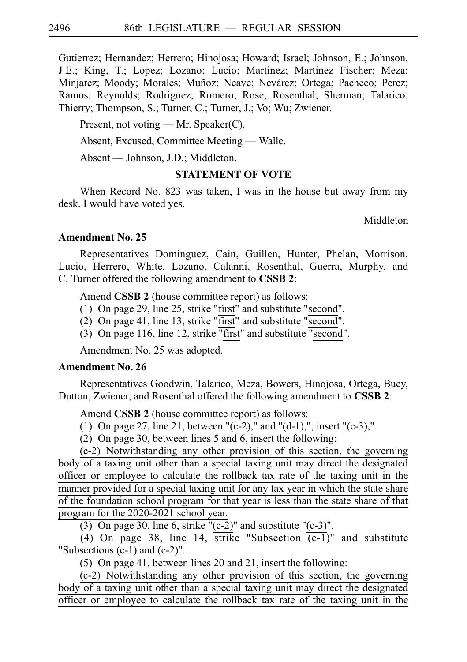Gutierrez; Hernandez; Herrero; Hinojosa; Howard; Israel; Johnson, E.; Johnson, J.E.; King, T.; Lopez; Lozano; Lucio; Martinez; Martinez Fischer; Meza; Minjarez; Moody; Morales; Muñoz; Neave; Nevárez; Ortega; Pacheco; Perez; Ramos; Reynolds; Rodriguez; Romero; Rose; Rosenthal; Sherman; Talarico; Thierry; Thompson, S.; Turner, C.; Turner, J.; Vo; Wu; Zwiener.

Present, not voting — Mr. Speaker(C).

Absent, Excused, Committee Meeting — Walle.

Absent — Johnson, J.D.; Middleton.

# **STATEMENT OF VOTE**

When Record No. 823 was taken, I was in the house but away from my desk. I would have voted yes.

Middleton

# **Amendment No. 25**

Representatives Dominguez, Cain, Guillen, Hunter, Phelan, Morrison, Lucio, Herrero, White, Lozano, Calanni, Rosenthal, Guerra, Murphy, and C. Turner offered the following amendment to **CSSB 2**:

Amend **CSSB 2** (house committee report) as follows:

- (1) On page 29, line 25, strike "first" and substitute "second".
- (2) On page 41, line 13, strike "first" and substitute " $\overline{\text{second}}$ ".
- (3) On page 116, line 12, strike "first" and substitute "second".

Amendment No. 25 was adopted.

# **Amendment No. 26**

Representatives Goodwin, Talarico, Meza, Bowers, Hinojosa, Ortega, Bucy, Dutton, Zwiener, and Rosenthal offered the following amendment to **CSSB 2**:

Amend **CSSB 2** (house committee report) as follows:

- (1) On page 27, line 21, between "(c-2)," and "(d-1),", insert "(c-3),".
- (2) On page 30, between lines 5 and 6, insert the following:

 $(c-2)$  Notwithstanding any other provision of this section, the governing body of a taxing unit other than a special taxing unit may direct the designated officer or employee to calculate the rollback tax rate of the taxing unit in the manner provided for a special taxing unit for any tax year in which the state share of the foundation school program for that year is less than the state share of that program for the 2020-2021 school year.

(3) On page 30, line 6, strike " $(c-2)$ " and substitute " $(c-3)$ ".

(4) On page 38, line 14, strike "Subsection  $(c-1)$ " and substitute "Subsections (c-1) and (c-2)".

(5) On page 41, between lines 20 and 21, insert the following:

 $(c-2)$  Notwithstanding any other provision of this section, the governing body of a taxing unit other than a special taxing unit may direct the designated officer or employee to calculate the rollback tax rate of the taxing unit in the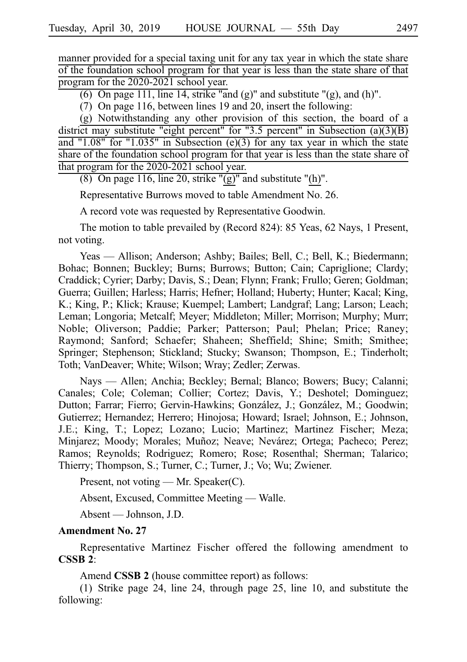manner provided for a special taxing unit for any tax year in which the state share of the foundation school program for that year is less than the state share of that program for the 2020-2021 school year.

(6) On page 111, line 14, strike "and (g)" and substitute "(g), and (h)".

(7) On page 116, between lines 19 and 20, insert the following:

 $(g)$  Notwithstanding any other provision of this section, the board of a district may substitute "eight percent" for "3.5 percent" in Subsection (a)(3)(B) and "1.08" for "1.035" in Subsection (e)(3) for any tax year in which the state share of the foundation school program for that year is less than the state share of that program for the 2020-2021 school year.

(8) On page 116, line 20, strike " $(g)$ " and substitute "(h)".

Representative Burrows moved to table Amendment No. 26.

A record vote was requested by Representative Goodwin.

The motion to table prevailed by (Record 824): 85 Yeas, 62 Nays, 1 Present, not voting.

Yeas — Allison; Anderson; Ashby; Bailes; Bell, C.; Bell, K.; Biedermann; Bohac; Bonnen; Buckley; Burns; Burrows; Button; Cain; Capriglione; Clardy; Craddick; Cyrier; Darby; Davis, S.; Dean; Flynn; Frank; Frullo; Geren; Goldman; Guerra; Guillen; Harless; Harris; Hefner; Holland; Huberty; Hunter; Kacal; King, K.; King, P.; Klick; Krause; Kuempel; Lambert; Landgraf; Lang; Larson; Leach; Leman; Longoria; Metcalf; Meyer; Middleton; Miller; Morrison; Murphy; Murr; Noble; Oliverson; Paddie; Parker; Patterson; Paul; Phelan; Price; Raney; Raymond; Sanford; Schaefer; Shaheen; Sheffield; Shine; Smith; Smithee; Springer; Stephenson; Stickland; Stucky; Swanson; Thompson, E.; Tinderholt; Toth; VanDeaver; White; Wilson; Wray; Zedler; Zerwas.

Nays — Allen; Anchia; Beckley; Bernal; Blanco; Bowers; Bucy; Calanni; Canales; Cole; Coleman; Collier; Cortez; Davis, Y.; Deshotel; Dominguez; Dutton; Farrar; Fierro; Gervin-Hawkins; González, J.; González, M.; Goodwin; Gutierrez; Hernandez; Herrero; Hinojosa; Howard; Israel; Johnson, E.; Johnson, J.E.; King, T.; Lopez; Lozano; Lucio; Martinez; Martinez Fischer; Meza; Minjarez; Moody; Morales; Muñoz; Neave; Nevárez; Ortega; Pacheco; Perez; Ramos; Reynolds; Rodriguez; Romero; Rose; Rosenthal; Sherman; Talarico; Thierry; Thompson, S.; Turner, C.; Turner, J.; Vo; Wu; Zwiener.

Present, not voting — Mr. Speaker(C).

Absent, Excused, Committee Meeting — Walle.

Absent — Johnson, J.D.

#### **Amendment No. 27**

Representative Martinez Fischer offered the following amendment to **CSSBi2**:

Amend **CSSB 2** (house committee report) as follows:

(1) Strike page 24, line 24, through page 25, line 10, and substitute the following: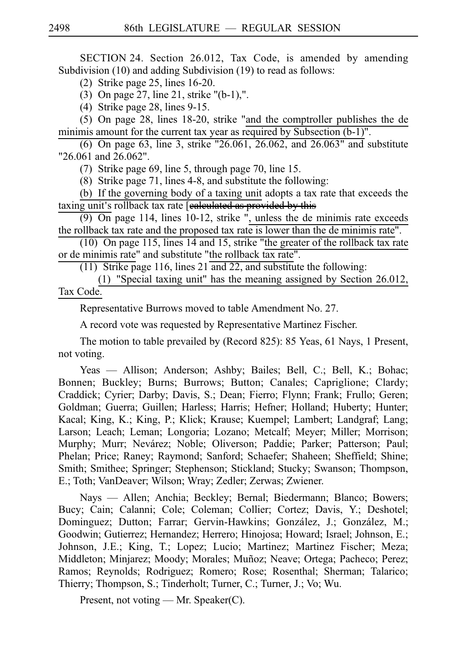SECTION 24. Section 26.012, Tax Code, is amended by amending Subdivision (10) and adding Subdivision (19) to read as follows:

(2) Strike page 25, lines  $16-20$ .

(3) On page 27, line 21, strike " $(b-1)$ ,".

(4) Strike page 28, lines 9-15.

 $(5)$  On page 28, lines 18-20, strike "and the comptroller publishes the de minimis amount for the current tax year as required by Subsection (b-1)".

(6) On page 63, line 3, strike "26.061,  $26.062$ , and  $26.063$ " and substitute "26.061 and 26.062".

(7) Strike page 69, line 5, through page 70, line 15.

(8) Strike page 71, lines 4-8, and substitute the following:

(b) If the governing body of a taxing unit adopts a tax rate that exceeds the taxing unit's rollback tax rate [ealeulated as provided by this

 $(9)$  On page 114, lines 10-12, strike ", unless the de minimis rate exceeds the rollback tax rate and the proposed tax rate is lower than the de minimis rate".

(10) On page 115, lines  $14$  and 15, strike "the greater of the rollback tax rate or de minimis rate" and substitute "the rollback tax rate".

(11) Strike page 116, lines 21 and 22, and substitute the following:

(1) "Special taxing unit" has the meaning assigned by Section 26.012, Tax Code.

Representative Burrows moved to table Amendment No. 27.

A record vote was requested by Representative Martinez Fischer.

The motion to table prevailed by (Record 825): 85 Yeas, 61 Nays, 1 Present, not voting.

Yeas — Allison; Anderson; Ashby; Bailes; Bell, C.; Bell, K.; Bohac; Bonnen; Buckley; Burns; Burrows; Button; Canales; Capriglione; Clardy; Craddick; Cyrier; Darby; Davis, S.; Dean; Fierro; Flynn; Frank; Frullo; Geren; Goldman; Guerra; Guillen; Harless; Harris; Hefner; Holland; Huberty; Hunter; Kacal; King, K.; King, P.; Klick; Krause; Kuempel; Lambert; Landgraf; Lang; Larson; Leach; Leman; Longoria; Lozano; Metcalf; Meyer; Miller; Morrison; Murphy; Murr; Nevárez; Noble; Oliverson; Paddie; Parker; Patterson; Paul; Phelan; Price; Raney; Raymond; Sanford; Schaefer; Shaheen; Sheffield; Shine; Smith; Smithee; Springer; Stephenson; Stickland; Stucky; Swanson; Thompson, E.; Toth; VanDeaver; Wilson; Wray; Zedler; Zerwas; Zwiener.

Nays — Allen; Anchia; Beckley; Bernal; Biedermann; Blanco; Bowers; Bucy; Cain; Calanni; Cole; Coleman; Collier; Cortez; Davis, Y.; Deshotel; Dominguez; Dutton; Farrar; Gervin-Hawkins; González, J.; González, M.; Goodwin; Gutierrez; Hernandez; Herrero; Hinojosa; Howard; Israel; Johnson, E.; Johnson, J.E.; King, T.; Lopez; Lucio; Martinez; Martinez Fischer; Meza; Middleton; Minjarez; Moody; Morales; Muñoz; Neave; Ortega; Pacheco; Perez; Ramos; Reynolds; Rodriguez; Romero; Rose; Rosenthal; Sherman; Talarico; Thierry; Thompson, S.; Tinderholt; Turner, C.; Turner, J.; Vo; Wu.

Present, not voting — Mr. Speaker(C).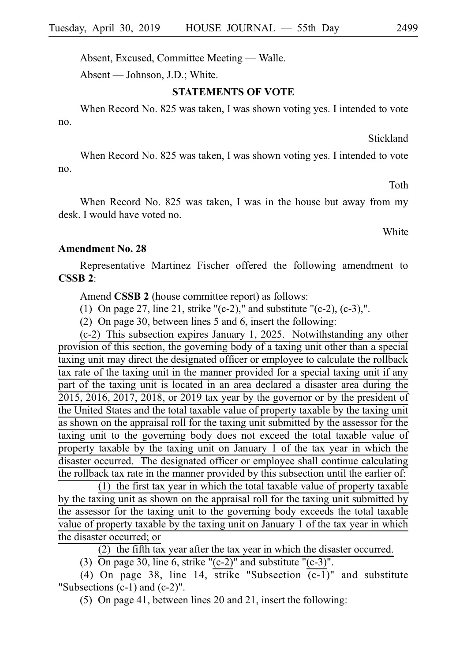Absent, Excused, Committee Meeting — Walle.

Absent — Johnson, J.D.; White.

### **STATEMENTS OF VOTE**

When Record No. 825 was taken, I was shown voting yes. I intended to vote no.

Stickland

When Record No. 825 was taken, I was shown voting yes. I intended to vote no.

Toth

When Record No. 825 was taken, I was in the house but away from my desk. I would have voted no.

White

#### **Amendment No. 28**

Representative Martinez Fischer offered the following amendment to **CSSBi2**:

Amend **CSSB 2** (house committee report) as follows:

(1) On page 27, line 21, strike "(c-2)," and substitute "(c-2), (c-3),".

(2) On page 30, between lines 5 and 6, insert the following:

 $(c-2)$  This subsection expires January 1, 2025. Notwithstanding any other provision of this section, the governing body of a taxing unit other than a special taxing unit may direct the designated officer or employee to calculate the rollback tax rate of the taxing unit in the manner provided for a special taxing unit if any part of the taxing unit is located in an area declared a disaster area during the 2015, 2016, 2017, 2018, or 2019 tax year by the governor or by the president of the United States and the total taxable value of property taxable by the taxing unit as shown on the appraisal roll for the taxing unit submitted by the assessor for the taxing unit to the governing body does not exceed the total taxable value of property taxable by the taxing unit on January 1 of the tax year in which the disaster occurred. The designated officer or employee shall continue calculating the rollback tax rate in the manner provided by this subsection until the earlier of:

 $(1)$  the first tax year in which the total taxable value of property taxable by the taxing unit as shown on the appraisal roll for the taxing unit submitted by the assessor for the taxing unit to the governing body exceeds the total taxable value of property taxable by the taxing unit on January 1 of the tax year in which the disaster occurred; or

(2) the fifth tax year after the tax year in which the disaster occurred.

(3)  $\overline{On}$  page 30, line 6, strike "(c-2)" and substitute "(c-3)".

(4) On page 38, line 14, strike "Subsection  $(c-1)$ " and substitute "Subsections (c-1) and (c-2)".

(5) On page 41, between lines 20 and 21, insert the following: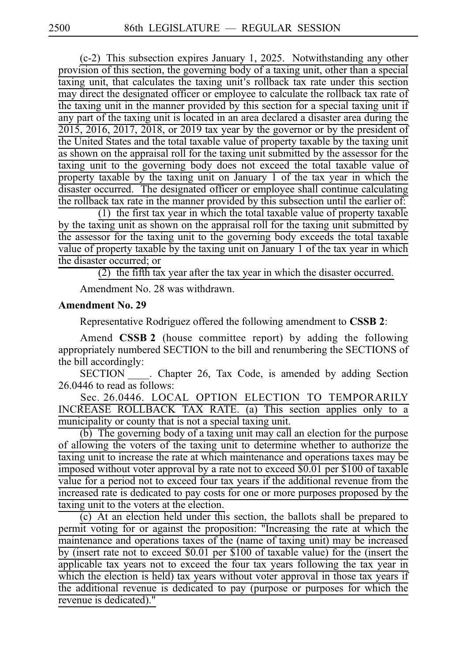(c-2) This subsection expires January 1, 2025. Notwithstanding any other provision of this section, the governing body of a taxing unit, other than a special taxing unit, that calculates the taxing unit's rollback tax rate under this section may direct the designated officer or employee to calculate the rollback tax rate of the taxing unit in the manner provided by this section for a special taxing unit if any part of the taxing unit is located in an area declared a disaster area during the  $2015$ ,  $2016$ ,  $2017$ ,  $2018$ , or  $2019$  tax year by the governor or by the president of the United States and the total taxable value of property taxable by the taxing unit as shown on the appraisal roll for the taxing unit submitted by the assessor for the taxing unit to the governing body does not exceed the total taxable value of property taxable by the taxing unit on January 1 of the tax year in which the disaster occurred. The designated officer or employee shall continue calculating the rollback tax rate in the manner provided by this subsection until the earlier of:

(1) the first tax year in which the total taxable value of property taxable by the taxing unit as shown on the appraisal roll for the taxing unit submitted by the assessor for the taxing unit to the governing body exceeds the total taxable value of property taxable by the taxing unit on January 1 of the tax year in which the disaster occurred; or

(2) the fifth tax year after the tax year in which the disaster occurred.

Amendment No. 28 was withdrawn.

## **Amendment No. 29**

Representative Rodriguez offered the following amendment to **CSSB 2**:

Amend **CSSB 2** (house committee report) by adding the following appropriately numbered SECTION to the bill and renumbering the SECTIONS of the bill accordingly:

SECTION \_\_\_\_. Chapter 26, Tax Code, is amended by adding Section 26.0446 to read as follows:

Sec. 26.0446. LOCAL OPTION ELECTION TO TEMPORARILY INCREASE ROLLBACK TAX RATE. (a) This section applies only to a municipality or county that is not a special taxing unit.

 $(b)$  The governing body of a taxing unit may call an election for the purpose of allowing the voters of the taxing unit to determine whether to authorize the taxing unit to increase the rate at which maintenance and operations taxes may be imposed without voter approval by a rate not to exceed  $$0.01$  per \$100 of taxable value for a period not to exceed four tax years if the additional revenue from the increased rate is dedicated to pay costs for one or more purposes proposed by the taxing unit to the voters at the election.

 $(c)$  At an election held under this section, the ballots shall be prepared to permit voting for or against the proposition: "Increasing the rate at which the maintenance and operations taxes of the (name of taxing unit) may be increased by (insert rate not to exceed \$0.01 per \$100 of taxable value) for the (insert the applicable tax years not to exceed the four tax years following the tax year in which the election is held) tax years without voter approval in those tax years if the additional revenue is dedicated to pay (purpose or purposes for which the revenue is dedicated)."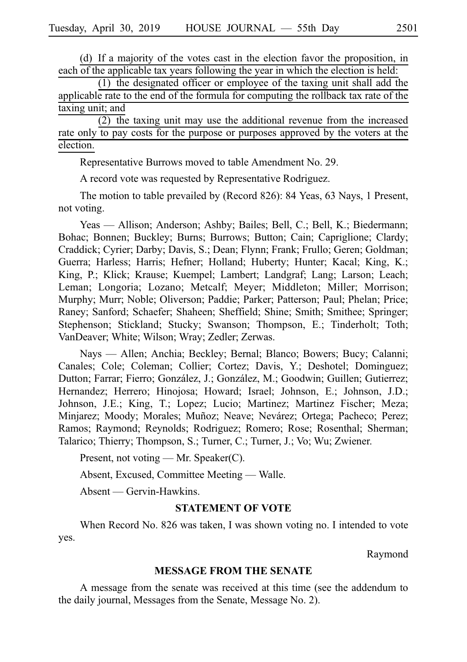(d) If a majority of the votes cast in the election favor the proposition, in each of the applicable tax years following the year in which the election is held:

 $(1)$  the designated officer or employee of the taxing unit shall add the applicable rate to the end of the formula for computing the rollback tax rate of the taxing unit; and

 $(2)$  the taxing unit may use the additional revenue from the increased rate only to pay costs for the purpose or purposes approved by the voters at the election.

Representative Burrows moved to table Amendment No. 29.

A record vote was requested by Representative Rodriguez.

The motion to table prevailed by (Record 826): 84 Yeas, 63 Nays, 1 Present, not voting.

Yeas — Allison; Anderson; Ashby; Bailes; Bell, C.; Bell, K.; Biedermann; Bohac; Bonnen; Buckley; Burns; Burrows; Button; Cain; Capriglione; Clardy; Craddick; Cyrier; Darby; Davis, S.; Dean; Flynn; Frank; Frullo; Geren; Goldman; Guerra; Harless; Harris; Hefner; Holland; Huberty; Hunter; Kacal; King, K.; King, P.; Klick; Krause; Kuempel; Lambert; Landgraf; Lang; Larson; Leach; Leman; Longoria; Lozano; Metcalf; Meyer; Middleton; Miller; Morrison; Murphy; Murr; Noble; Oliverson; Paddie; Parker; Patterson; Paul; Phelan; Price; Raney; Sanford; Schaefer; Shaheen; Sheffield; Shine; Smith; Smithee; Springer; Stephenson; Stickland; Stucky; Swanson; Thompson, E.; Tinderholt; Toth; VanDeaver; White; Wilson; Wray; Zedler; Zerwas.

Nays — Allen; Anchia; Beckley; Bernal; Blanco; Bowers; Bucy; Calanni; Canales; Cole; Coleman; Collier; Cortez; Davis, Y.; Deshotel; Dominguez; Dutton; Farrar; Fierro; González, J.; González, M.; Goodwin; Guillen; Gutierrez; Hernandez; Herrero; Hinojosa; Howard; Israel; Johnson, E.; Johnson, J.D.; Johnson, J.E.; King, T.; Lopez; Lucio; Martinez; Martinez Fischer; Meza; Minjarez; Moody; Morales; Muñoz; Neave; Nevárez; Ortega; Pacheco; Perez; Ramos; Raymond; Reynolds; Rodriguez; Romero; Rose; Rosenthal; Sherman; Talarico; Thierry; Thompson, S.; Turner, C.; Turner, J.; Vo; Wu; Zwiener.

Present, not voting — Mr. Speaker(C).

Absent, Excused, Committee Meeting — Walle.

Absent — Gervin-Hawkins.

## **STATEMENT OF VOTE**

When Record No. 826 was taken, I was shown voting no. I intended to vote yes.

Raymond

### **MESSAGE FROM THE SENATE**

A message from the senate was received at this time (see the addendum to the daily journal, Messages from the Senate, Message No. 2).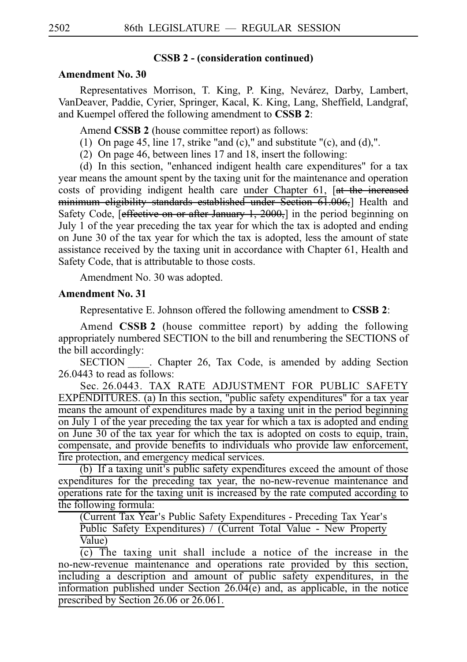#### **CSSB 2 - (consideration continued)**

### **Amendment No. 30**

Representatives Morrison, T. King, P. King, Nevárez, Darby, Lambert, VanDeaver, Paddie, Cyrier, Springer, Kacal, K. King, Lang, Sheffield, Landgraf, and Kuempel offered the following amendment to **CSSB 2**:

Amend **CSSB 2** (house committee report) as follows:

- (1) On page 45, line 17, strike "and (c)," and substitute "(c), and (d),".
- (2) On page 46, between lines  $17$  and  $18$ , insert the following:

(d) In this section, "enhanced indigent health care expenditures" for a tax year means the amount spent by the taxing unit for the maintenance and operation costs of providing indigent health care under Chapter 61, [at the increased minimum eligibility standards established under Section 61.006, Health and Safety Code, [effective on or after January 1, 2000,] in the period beginning on July 1 of the year preceding the tax year for which the tax is adopted and ending on June 30 of the tax year for which the tax is adopted, less the amount of state assistance received by the taxing unit in accordance with Chapter 61, Health and Safety Code, that is attributable to those costs.

Amendment No. 30 was adopted.

#### **Amendment No. 31**

Representative E. Johnson offered the following amendment to **CSSBi2**:

Amend **CSSB 2** (house committee report) by adding the following appropriately numbered SECTION to the bill and renumbering the SECTIONS of the bill accordingly:

SECTION \_\_\_\_\_. Chapter 26, Tax Code, is amended by adding Section 26.0443 to read as follows:

Sec. 26.0443. TAX RATE ADJUSTMENT FOR PUBLIC SAFETY EXPENDITURES. (a) In this section, "public safety expenditures" for a tax year means the amount of expenditures made by a taxing unit in the period beginning on July 1 of the year preceding the tax year for which a tax is adopted and ending on June 30 of the tax year for which the tax is adopted on costs to equip, train, compensate, and provide benefits to individuals who provide law enforcement, fire protection, and emergency medical services.

(b) If a taxing unit's public safety expenditures exceed the amount of those expenditures for the preceding tax year, the no-new-revenue maintenance and operations rate for the taxing unit is increased by the rate computed according to the following formula:

(Current Tax Year's Public Safety Expenditures - Preceding Tax Year's Public Safety Expenditures) / (Current Total Value - New Property Value)

 $\overline{(c)}$  The taxing unit shall include a notice of the increase in the no-new-revenue maintenance and operations rate provided by this section, including a description and amount of public safety expenditures, in the information published under Section 26.04(e) and, as applicable, in the notice prescribed by Section 26.06 or 26.061.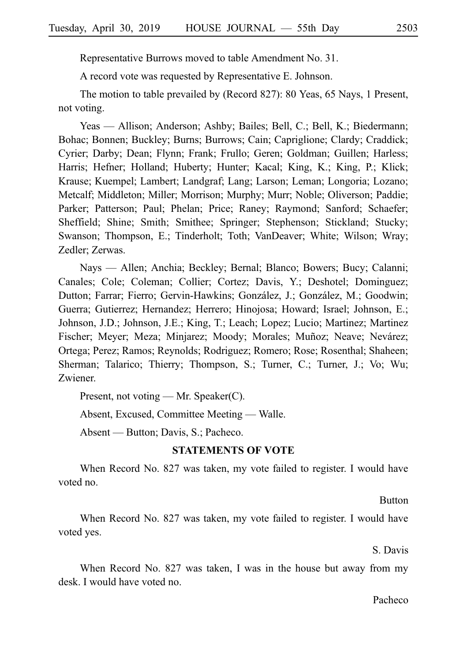Representative Burrows moved to table Amendment No. 31.

A record vote was requested by Representative E. Johnson.

The motion to table prevailed by (Record 827): 80 Yeas, 65 Nays, 1 Present, not voting.

Yeas — Allison; Anderson; Ashby; Bailes; Bell, C.; Bell, K.; Biedermann; Bohac; Bonnen; Buckley; Burns; Burrows; Cain; Capriglione; Clardy; Craddick; Cyrier; Darby; Dean; Flynn; Frank; Frullo; Geren; Goldman; Guillen; Harless; Harris; Hefner; Holland; Huberty; Hunter; Kacal; King, K.; King, P.; Klick; Krause; Kuempel; Lambert; Landgraf; Lang; Larson; Leman; Longoria; Lozano; Metcalf; Middleton; Miller; Morrison; Murphy; Murr; Noble; Oliverson; Paddie; Parker; Patterson; Paul; Phelan; Price; Raney; Raymond; Sanford; Schaefer; Sheffield; Shine; Smith; Smithee; Springer; Stephenson; Stickland; Stucky; Swanson; Thompson, E.; Tinderholt; Toth; VanDeaver; White; Wilson; Wray; Zedler; Zerwas.

Nays — Allen; Anchia; Beckley; Bernal; Blanco; Bowers; Bucy; Calanni; Canales; Cole; Coleman; Collier; Cortez; Davis, Y.; Deshotel; Dominguez; Dutton; Farrar; Fierro; Gervin-Hawkins; González, J.; González, M.; Goodwin; Guerra; Gutierrez; Hernandez; Herrero; Hinojosa; Howard; Israel; Johnson, E.; Johnson, J.D.; Johnson, J.E.; King, T.; Leach; Lopez; Lucio; Martinez; Martinez Fischer; Meyer; Meza; Minjarez; Moody; Morales; Muñoz; Neave; Nevárez; Ortega; Perez; Ramos; Reynolds; Rodriguez; Romero; Rose; Rosenthal; Shaheen; Sherman; Talarico; Thierry; Thompson, S.; Turner, C.; Turner, J.; Vo; Wu; Zwiener.

Present, not voting — Mr. Speaker(C).

Absent, Excused, Committee Meeting — Walle.

Absent — Button; Davis, S.; Pacheco.

### **STATEMENTS OF VOTE**

When Record No. 827 was taken, my vote failed to register. I would have voted no.

Button

When Record No. 827 was taken, my vote failed to register. I would have voted yes.

S. Davis

When Record No. 827 was taken, I was in the house but away from my desk. I would have voted no.

#### Pacheco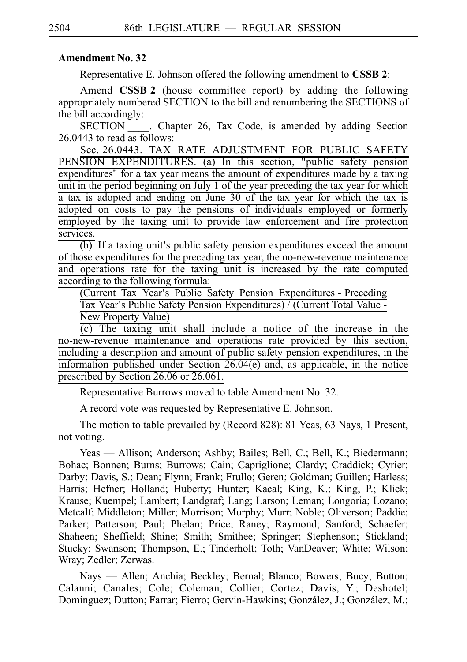### **Amendment No. 32**

Representative E. Johnson offered the following amendment to **CSSBi2**:

Amend **CSSB 2** (house committee report) by adding the following appropriately numbered SECTION to the bill and renumbering the SECTIONS of the bill accordingly:

SECTION Chapter 26, Tax Code, is amended by adding Section 26.0443 to read as follows:

Sec. 26.0443. TAX RATE ADJUSTMENT FOR PUBLIC SAFETY PENSION EXPENDITURES. (a) In this section, "public safety pension expenditures" for a tax year means the amount of expenditures made by a taxing unit in the period beginning on July 1 of the year preceding the tax year for which a tax is adopted and ending on June 30 of the tax year for which the tax is adopted on costs to pay the pensions of individuals employed or formerly employed by the taxing unit to provide law enforcement and fire protection services.

 $\overline{(b)}$  If a taxing unit's public safety pension expenditures exceed the amount of those expenditures for the preceding tax year, the no-new-revenue maintenance and operations rate for the taxing unit is increased by the rate computed according to the following formula:

(Current Tax Year's Public Safety Pension Expenditures - Preceding Tax Year's Public Safety Pension Expenditures) / (Current Total Value -New Property Value)

 $(c)$  The taxing unit shall include a notice of the increase in the no-new-revenue maintenance and operations rate provided by this section, including a description and amount of public safety pension expenditures, in the information published under Section 26.04(e) and, as applicable, in the notice prescribed by Section 26.06 or 26.061.

Representative Burrows moved to table Amendment No. 32.

A record vote was requested by Representative E. Johnson.

The motion to table prevailed by (Record 828): 81 Yeas, 63 Nays, 1 Present, not voting.

Yeas — Allison; Anderson; Ashby; Bailes; Bell, C.; Bell, K.; Biedermann; Bohac; Bonnen; Burns; Burrows; Cain; Capriglione; Clardy; Craddick; Cyrier; Darby; Davis, S.; Dean; Flynn; Frank; Frullo; Geren; Goldman; Guillen; Harless; Harris; Hefner; Holland; Huberty; Hunter; Kacal; King, K.; King, P.; Klick; Krause; Kuempel; Lambert; Landgraf; Lang; Larson; Leman; Longoria; Lozano; Metcalf; Middleton; Miller; Morrison; Murphy; Murr; Noble; Oliverson; Paddie; Parker; Patterson; Paul; Phelan; Price; Raney; Raymond; Sanford; Schaefer; Shaheen; Sheffield; Shine; Smith; Smithee; Springer; Stephenson; Stickland; Stucky; Swanson; Thompson, E.; Tinderholt; Toth; VanDeaver; White; Wilson; Wray; Zedler; Zerwas.

Nays — Allen; Anchia; Beckley; Bernal; Blanco; Bowers; Bucy; Button; Calanni; Canales; Cole; Coleman; Collier; Cortez; Davis, Y.; Deshotel; Dominguez; Dutton; Farrar; Fierro; Gervin-Hawkins; González, J.; González, M.;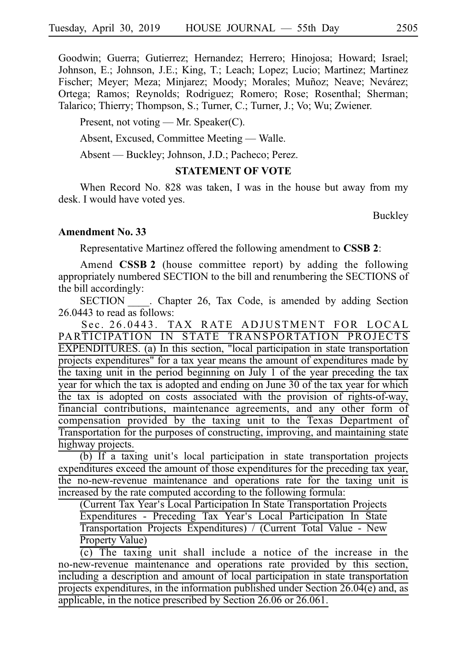Goodwin; Guerra; Gutierrez; Hernandez; Herrero; Hinojosa; Howard; Israel; Johnson, E.; Johnson, J.E.; King, T.; Leach; Lopez; Lucio; Martinez; Martinez Fischer; Meyer; Meza; Minjarez; Moody; Morales; Muñoz; Neave; Nevárez; Ortega; Ramos; Reynolds; Rodriguez; Romero; Rose; Rosenthal; Sherman; Talarico; Thierry; Thompson, S.; Turner, C.; Turner, J.; Vo; Wu; Zwiener.

Present, not voting — Mr. Speaker(C).

Absent, Excused, Committee Meeting — Walle.

Absent — Buckley; Johnson, J.D.; Pacheco; Perez.

### **STATEMENT OF VOTE**

When Record No. 828 was taken, I was in the house but away from my desk. I would have voted yes.

Buckley

# **Amendment No. 33**

Representative Martinez offered the following amendment to **CSSB 2**:

Amend **CSSB 2** (house committee report) by adding the following appropriately numbered SECTION to the bill and renumbering the SECTIONS of the bill accordingly:

SECTION Chapter 26, Tax Code, is amended by adding Section 26.0443 to read as follows:

Sec. 26.0443. TAX RATE ADJUSTMENT FOR LOCAL PARTICIPATION IN STATE TRANSPORTATION PROJECTS EXPENDITURES. (a) In this section, "local participation in state transportation projects expenditures" for a tax year means the amount of expenditures made by the taxing unit in the period beginning on July 1 of the year preceding the tax year for which the tax is adopted and ending on June 30 of the tax year for which the tax is adopted on costs associated with the provision of rights-of-way, financial contributions, maintenance agreements, and any other form of compensation provided by the taxing unit to the Texas Department of Transportation for the purposes of constructing, improving, and maintaining state highway projects.

 $\overline{16}$  if a taxing unit's local participation in state transportation projects expenditures exceed the amount of those expenditures for the preceding tax year, the no-new-revenue maintenance and operations rate for the taxing unit is increased by the rate computed according to the following formula:

(Current Tax Year's Local Participation In State Transportation Projects Expenditures - Preceding Tax Year's Local Participation In State Transportation Projects Expenditures) / (Current Total Value - New Property Value)

 $(c)$  The taxing unit shall include a notice of the increase in the no-new-revenue maintenance and operations rate provided by this section, including a description and amount of local participation in state transportation projects expenditures, in the information published under Section 26.04(e) and, as applicable, in the notice prescribed by Section 26.06 or 26.061.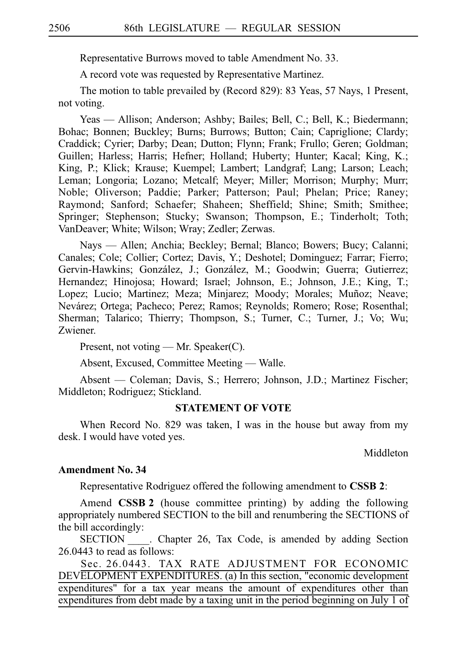Representative Burrows moved to table Amendment No. 33.

A record vote was requested by Representative Martinez.

The motion to table prevailed by (Record 829): 83 Yeas, 57 Nays, 1 Present, not voting.

Yeas — Allison; Anderson; Ashby; Bailes; Bell, C.; Bell, K.; Biedermann; Bohac; Bonnen; Buckley; Burns; Burrows; Button; Cain; Capriglione; Clardy; Craddick; Cyrier; Darby; Dean; Dutton; Flynn; Frank; Frullo; Geren; Goldman; Guillen; Harless; Harris; Hefner; Holland; Huberty; Hunter; Kacal; King, K.; King, P.; Klick; Krause; Kuempel; Lambert; Landgraf; Lang; Larson; Leach; Leman; Longoria; Lozano; Metcalf; Meyer; Miller; Morrison; Murphy; Murr; Noble; Oliverson; Paddie; Parker; Patterson; Paul; Phelan; Price; Raney; Raymond; Sanford; Schaefer; Shaheen; Sheffield; Shine; Smith; Smithee; Springer; Stephenson; Stucky; Swanson; Thompson, E.; Tinderholt; Toth; VanDeaver; White; Wilson; Wray; Zedler; Zerwas.

Nays — Allen; Anchia; Beckley; Bernal; Blanco; Bowers; Bucy; Calanni; Canales; Cole; Collier; Cortez; Davis, Y.; Deshotel; Dominguez; Farrar; Fierro; Gervin-Hawkins; González, J.; González, M.; Goodwin; Guerra; Gutierrez; Hernandez; Hinojosa; Howard; Israel; Johnson, E.; Johnson, J.E.; King, T.; Lopez; Lucio; Martinez; Meza; Minjarez; Moody; Morales; Muñoz; Neave; Nevárez; Ortega; Pacheco; Perez; Ramos; Reynolds; Romero; Rose; Rosenthal; Sherman; Talarico; Thierry; Thompson, S.; Turner, C.; Turner, J.; Vo; Wu; Zwiener.

Present, not voting — Mr. Speaker(C).

Absent, Excused, Committee Meeting — Walle.

Absent — Coleman; Davis, S.; Herrero; Johnson, J.D.; Martinez Fischer; Middleton; Rodriguez; Stickland.

### **STATEMENT OF VOTE**

When Record No. 829 was taken, I was in the house but away from my desk. I would have voted yes.

Middleton

#### **Amendment No. 34**

Representative Rodriguez offered the following amendment to **CSSBi2**:

Amend **CSSB 2** (house committee printing) by adding the following appropriately numbered SECTION to the bill and renumbering the SECTIONS of the bill accordingly:

SECTION Chapter 26, Tax Code, is amended by adding Section 26.0443 to read as follows:

Sec. 26.0443. TAX RATE ADJUSTMENT FOR ECONOMIC DEVELOPMENT EXPENDITURES. (a) In this section, "economic development expenditures" for a tax year means the amount of expenditures other than expenditures from debt made by a taxing unit in the period beginning on July 1 of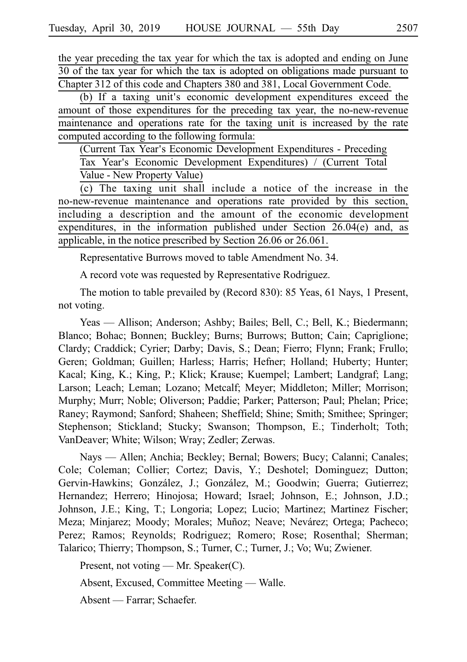the year preceding the tax year for which the tax is adopted and ending on June 30 of the tax year for which the tax is adopted on obligations made pursuant to Chapter 312 of this code and Chapters 380 and 381, Local Government Code.

(b) If a taxing unit's economic development expenditures exceed the amount of those expenditures for the preceding tax year, the no-new-revenue maintenance and operations rate for the taxing unit is increased by the rate computed according to the following formula:

(Current Tax Year's Economic Development Expenditures - Preceding Tax Year's Economic Development Expenditures) / (Current Total Value - New Property Value)

(c) The taxing unit shall include a notice of the increase in the no-new-revenue maintenance and operations rate provided by this section, including a description and the amount of the economic development expenditures, in the information published under Section 26.04(e) and, as applicable, in the notice prescribed by Section 26.06 or 26.061.

Representative Burrows moved to table Amendment No. 34.

A record vote was requested by Representative Rodriguez.

The motion to table prevailed by (Record 830): 85 Yeas, 61 Nays, 1 Present, not voting.

Yeas — Allison; Anderson; Ashby; Bailes; Bell, C.; Bell, K.; Biedermann; Blanco; Bohac; Bonnen; Buckley; Burns; Burrows; Button; Cain; Capriglione; Clardy; Craddick; Cyrier; Darby; Davis, S.; Dean; Fierro; Flynn; Frank; Frullo; Geren; Goldman; Guillen; Harless; Harris; Hefner; Holland; Huberty; Hunter; Kacal; King, K.; King, P.; Klick; Krause; Kuempel; Lambert; Landgraf; Lang; Larson; Leach; Leman; Lozano; Metcalf; Meyer; Middleton; Miller; Morrison; Murphy; Murr; Noble; Oliverson; Paddie; Parker; Patterson; Paul; Phelan; Price; Raney; Raymond; Sanford; Shaheen; Sheffield; Shine; Smith; Smithee; Springer; Stephenson; Stickland; Stucky; Swanson; Thompson, E.; Tinderholt; Toth; VanDeaver; White; Wilson; Wray; Zedler; Zerwas.

Nays — Allen; Anchia; Beckley; Bernal; Bowers; Bucy; Calanni; Canales; Cole; Coleman; Collier; Cortez; Davis, Y.; Deshotel; Dominguez; Dutton; Gervin-Hawkins; González, J.; González, M.; Goodwin; Guerra; Gutierrez; Hernandez; Herrero; Hinojosa; Howard; Israel; Johnson, E.; Johnson, J.D.; Johnson, J.E.; King, T.; Longoria; Lopez; Lucio; Martinez; Martinez Fischer; Meza; Minjarez; Moody; Morales; Muñoz; Neave; Nevárez; Ortega; Pacheco; Perez; Ramos; Reynolds; Rodriguez; Romero; Rose; Rosenthal; Sherman; Talarico; Thierry; Thompson, S.; Turner, C.; Turner, J.; Vo; Wu; Zwiener.

Present, not voting — Mr. Speaker(C).

Absent, Excused, Committee Meeting — Walle.

Absent — Farrar; Schaefer.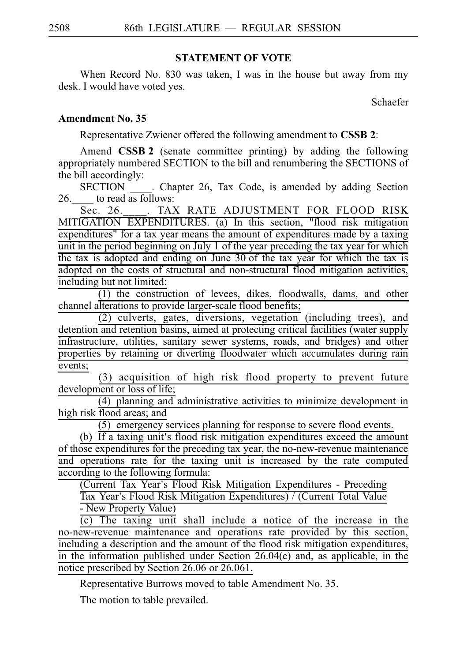# **STATEMENT OF VOTE**

When Record No. 830 was taken, I was in the house but away from my desk. I would have voted yes.

Schaefer

# **Amendment No. 35**

Representative Zwiener offered the following amendment to **CSSB 2**:

Amend **CSSB 2** (senate committee printing) by adding the following appropriately numbered SECTION to the bill and renumbering the SECTIONS of the bill accordingly:

SECTION Chapter 26, Tax Code, is amended by adding Section 26.  $\qquad$  to read as follows:

Sec. 26. \_\_\_. TAX RATE ADJUSTMENT FOR FLOOD RISK MITIGATION EXPENDITURES. (a) In this section, "flood risk mitigation expenditures" for a tax year means the amount of expenditures made by a taxing unit in the period beginning on July 1 of the year preceding the tax year for which the tax is adopted and ending on June 30 of the tax year for which the tax is adopted on the costs of structural and non-structural flood mitigation activities, including but not limited:

 $(1)$  the construction of levees, dikes, floodwalls, dams, and other channel alterations to provide larger-scale flood benefits;

 $(2)$  culverts, gates, diversions, vegetation (including trees), and detention and retention basins, aimed at protecting critical facilities (water supply infrastructure, utilities, sanitary sewer systems, roads, and bridges) and other properties by retaining or diverting floodwater which accumulates during rain events;

(3) acquisition of high risk flood property to prevent future development or loss of life;

 $(4)$  planning and administrative activities to minimize development in high risk flood areas; and

 $(5)$  emergency services planning for response to severe flood events.

(b) If a taxing unit's flood risk mitigation expenditures exceed the amount of those expenditures for the preceding tax year, the no-new-revenue maintenance and operations rate for the taxing unit is increased by the rate computed according to the following formula:

(Current Tax Year's Flood Risk Mitigation Expenditures - Preceding

Tax Year's Flood Risk Mitigation Expenditures) / (Current Total Value - New Property Value)

 $(c)$  The taxing unit shall include a notice of the increase in the no-new-revenue maintenance and operations rate provided by this section, including a description and the amount of the flood risk mitigation expenditures, in the information published under Section 26.04(e) and, as applicable, in the notice prescribed by Section 26.06 or 26.061.

Representative Burrows moved to table Amendment No. 35.

The motion to table prevailed.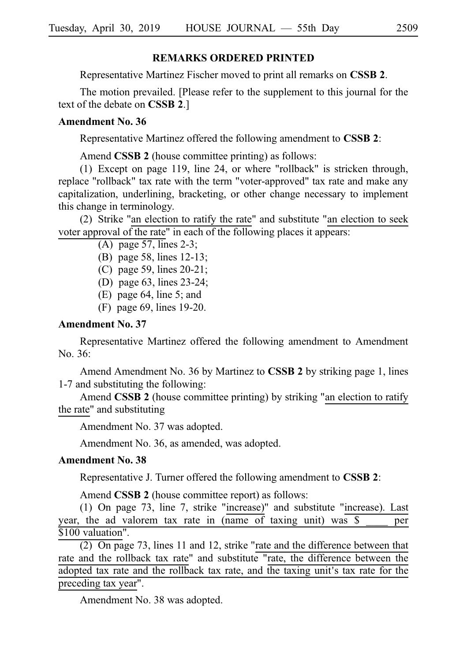### **REMARKS ORDERED PRINTED**

Representative Martinez Fischer moved to print all remarks on **CSSBi2**.

The motion prevailed. [Please refer to the supplement to this journal for the text of the debate on **CSSB 2**.]

### **Amendment No. 36**

Representative Martinez offered the following amendment to **CSSBi2**:

Amend **CSSB 2** (house committee printing) as follows:

(1) Except on page 119, line 24, or where "rollback" is stricken through, replace "rollback" tax rate with the term "voter-approved" tax rate and make any capitalization, underlining, bracketing, or other change necessary to implement this change in terminology.

(2) Strike "an election to ratify the rate" and substitute "an election to seek voter approval of the rate" in each of the following places it appears:

- (A) page 57, lines 2-3;
- (B) page 58, lines  $12-13$ ;
- (C) page 59, lines  $20-21$ ;
- (D) page 63, lines 23-24;
- (E) page 64, line 5; and
- $(F)$  page 69, lines 19-20.

### **Amendment No. 37**

Representative Martinez offered the following amendment to Amendment No. 36:

Amend Amendment No. 36 by Martinez to **CSSB 2** by striking page 1, lines 1-7 and substituting the following:

Amend **CSSB 2** (house committee printing) by striking "an election to ratify the rate" and substituting

Amendment No. 37 was adopted.

Amendment No. 36, as amended, was adopted.

#### **Amendment No. 38**

Representative J. Turner offered the following amendment to **CSSB 2**:

Amend **CSSB 2** (house committee report) as follows:

(1) On page 73, line 7, strike "increase)" and substitute "increase). Last year, the ad valorem tax rate in  $(name of)$  taxing unit) was  $\sqrt{s}$  per \$100 valuation".

(2) On page 73, lines 11 and 12, strike "rate and the difference between that rate and the rollback tax rate" and substitute "rate, the difference between the adopted tax rate and the rollback tax rate, and the taxing unit's tax rate for the preceding tax year".

Amendment No. 38 was adopted.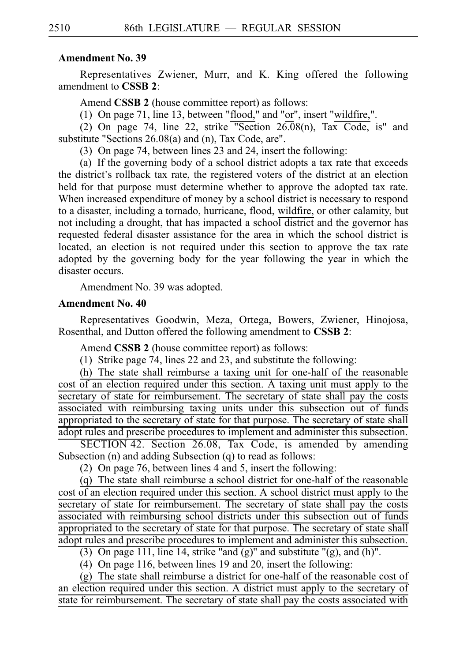### **Amendment No. 39**

Representatives Zwiener, Murr, and K. King offered the following amendment to **CSSB 2**:

Amend **CSSB 2** (house committee report) as follows:

(1) On page 71, line 13, between "flood," and "or", insert "wildfire,".

(2) On page 74, line 22, strike "Section  $26.08(n)$ , Tax Code, is" and substitute "Sections 26.08(a) and (n), Tax Code, are".

(3) On page 74, between lines 23 and 24, insert the following:

(a) If the governing body of a school district adopts a tax rate that exceeds the district's rollback tax rate, the registered voters of the district at an election held for that purpose must determine whether to approve the adopted tax rate. When increased expenditure of money by a school district is necessary to respond to a disaster, including a tornado, hurricane, flood, wildfire, or other calamity, but not including a drought, that has impacted a school district and the governor has requested federal disaster assistance for the area in which the school district is located, an election is not required under this section to approve the tax rate adopted by the governing body for the year following the year in which the disaster occurs.

Amendment No. 39 was adopted.

### **Amendment No. 40**

Representatives Goodwin, Meza, Ortega, Bowers, Zwiener, Hinojosa, Rosenthal, and Dutton offered the following amendment to **CSSB 2**:

Amend **CSSB 2** (house committee report) as follows:

(1) Strike page 74, lines 22 and 23, and substitute the following:

(h) The state shall reimburse a taxing unit for one-half of the reasonable cost of an election required under this section. A taxing unit must apply to the secretary of state for reimbursement. The secretary of state shall pay the costs associated with reimbursing taxing units under this subsection out of funds appropriated to the secretary of state for that purpose. The secretary of state shall adopt rules and prescribe procedures to implement and administer this subsection.

 $SECTION 42. Section 26.08, Tax Code, is amended by annending$ Subsection (n) and adding Subsection (q) to read as follows:

(2) On page 76, between lines 4 and 5, insert the following:

 $(q)$  The state shall reimburse a school district for one-half of the reasonable cost of an election required under this section. A school district must apply to the secretary of state for reimbursement. The secretary of state shall pay the costs associated with reimbursing school districts under this subsection out of funds appropriated to the secretary of state for that purpose. The secretary of state shall adopt rules and prescribe procedures to implement and administer this subsection.

(3) On page 111, line 14, strike "and  $(g)$ " and substitute " $(g)$ , and  $(h)$ ".

(4) On page 116, between lines 19 and 20, insert the following:

 $(g)$  The state shall reimburse a district for one-half of the reasonable cost of an election required under this section. A district must apply to the secretary of state for reimbursement. The secretary of state shall pay the costs associated with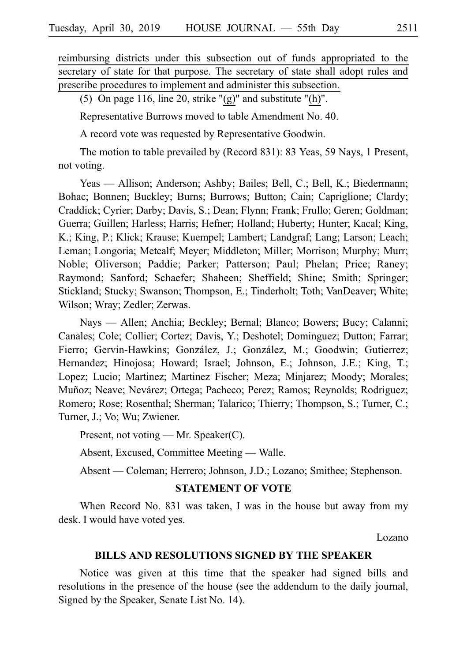reimbursing districts under this subsection out of funds appropriated to the secretary of state for that purpose. The secretary of state shall adopt rules and prescribe procedures to implement and administer this subsection.

(5) On page 116, line 20, strike " $(g)$ " and substitute " $(h)$ ".

Representative Burrows moved to table Amendment No. 40.

A record vote was requested by Representative Goodwin.

The motion to table prevailed by (Record 831): 83 Yeas, 59 Nays, 1 Present, not voting.

Yeas — Allison; Anderson; Ashby; Bailes; Bell, C.; Bell, K.; Biedermann; Bohac; Bonnen; Buckley; Burns; Burrows; Button; Cain; Capriglione; Clardy; Craddick; Cyrier; Darby; Davis, S.; Dean; Flynn; Frank; Frullo; Geren; Goldman; Guerra; Guillen; Harless; Harris; Hefner; Holland; Huberty; Hunter; Kacal; King, K.; King, P.; Klick; Krause; Kuempel; Lambert; Landgraf; Lang; Larson; Leach; Leman; Longoria; Metcalf; Meyer; Middleton; Miller; Morrison; Murphy; Murr; Noble; Oliverson; Paddie; Parker; Patterson; Paul; Phelan; Price; Raney; Raymond; Sanford; Schaefer; Shaheen; Sheffield; Shine; Smith; Springer; Stickland; Stucky; Swanson; Thompson, E.; Tinderholt; Toth; VanDeaver; White; Wilson; Wray; Zedler; Zerwas.

Nays — Allen; Anchia; Beckley; Bernal; Blanco; Bowers; Bucy; Calanni; Canales; Cole; Collier; Cortez; Davis, Y.; Deshotel; Dominguez; Dutton; Farrar; Fierro; Gervin-Hawkins; González, J.; González, M.; Goodwin; Gutierrez; Hernandez; Hinojosa; Howard; Israel; Johnson, E.; Johnson, J.E.; King, T.; Lopez; Lucio; Martinez; Martinez Fischer; Meza; Minjarez; Moody; Morales; Muñoz; Neave; Nevárez; Ortega; Pacheco; Perez; Ramos; Reynolds; Rodriguez; Romero; Rose; Rosenthal; Sherman; Talarico; Thierry; Thompson, S.; Turner, C.; Turner, J.; Vo; Wu; Zwiener.

Present, not voting — Mr. Speaker(C).

Absent, Excused, Committee Meeting — Walle.

Absent — Coleman; Herrero; Johnson, J.D.; Lozano; Smithee; Stephenson.

# **STATEMENT OF VOTE**

When Record No. 831 was taken, I was in the house but away from my desk. I would have voted yes.

Lozano

#### **BILLS AND RESOLUTIONS SIGNED BY THE SPEAKER**

Notice was given at this time that the speaker had signed bills and resolutions in the presence of the house (see the addendum to the daily journal, Signed by the Speaker, Senate List No. 14).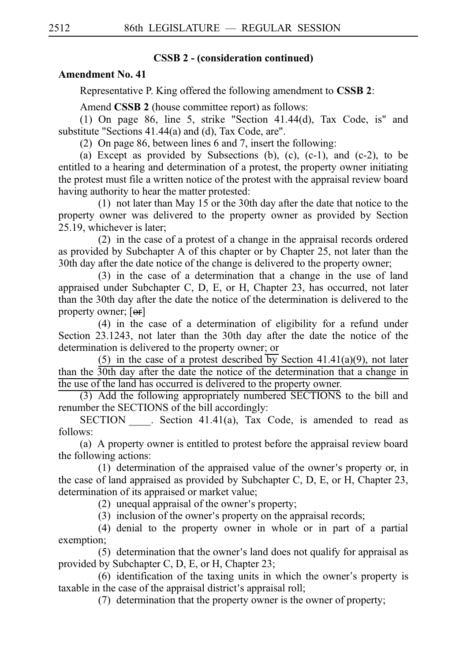# **CSSB 2 - (consideration continued)**

# **Amendment No. 41**

Representative P. King offered the following amendment to **CSSBi2**:

Amend **CSSB 2** (house committee report) as follows:

(1) On page 86, line 5, strike "Section 41.44(d), Tax Code, is" and substitute "Sections 41.44(a) and (d), Tax Code, are".

(2) On page 86, between lines 6 and 7, insert the following:

(a) Except as provided by Subsections (b), (c),  $(c-1)$ , and  $(c-2)$ , to be entitled to a hearing and determination of a protest, the property owner initiating the protest must file a written notice of the protest with the appraisal review board having authority to hear the matter protested:

(1) not later than May 15 or the 30th day after the date that notice to the property owner was delivered to the property owner as provided by Section 25.19, whichever is later;

 $(2)$  in the case of a protest of a change in the appraisal records ordered as provided by Subchapter A of this chapter or by Chapter 25, not later than the 30th day after the date notice of the change is delivered to the property owner;

 $(3)$  in the case of a determination that a change in the use of land appraised under Subchapter C, D, E, or H, Chapter 23, has occurred, not later than the 30th day after the date the notice of the determination is delivered to the property owner; [<del>or</del>]

 $(4)$  in the case of a determination of eligibility for a refund under Section 23.1243, not later than the 30th day after the date the notice of the determination is delivered to the property owner; or

(5) in the case of a protest described by Section 41.41(a)(9), not later than the 30th day after the date the notice of the determination that a change in the use of the land has occurred is delivered to the property owner.

(3) Add the following appropriately numbered SECTIONS to the bill and renumber the SECTIONS of the bill accordingly:

SECTION Section 41.41(a), Tax Code, is amended to read as follows:

(a) A property owner is entitled to protest before the appraisal review board the following actions:

 $(1)$  determination of the appraised value of the owner's property or, in the case of land appraised as provided by Subchapter C, D, E, or H, Chapter 23, determination of its appraised or market value;

(2) unequal appraisal of the owner's property;

 $(3)$  inclusion of the owner's property on the appraisal records;

 $(4)$  denial to the property owner in whole or in part of a partial exemption;

 $(5)$  determination that the owner's land does not qualify for appraisal as provided by Subchapter C, D, E, or H, Chapter 23;

 $(6)$  identification of the taxing units in which the owner's property is taxable in the case of the appraisal district's appraisal roll;

 $(7)$  determination that the property owner is the owner of property;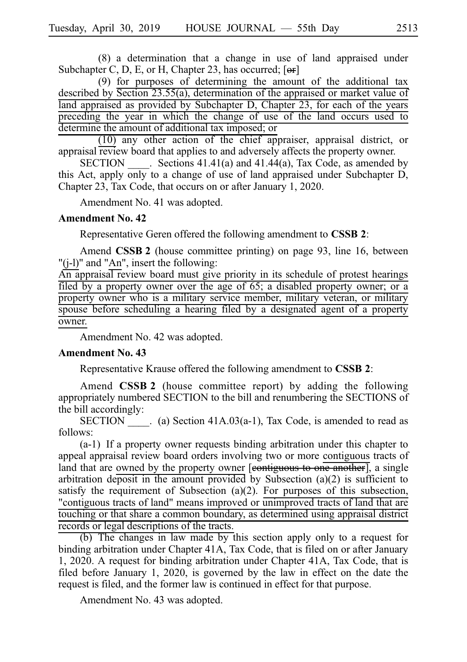$(8)$  a determination that a change in use of land appraised under Subchapter C, D, E, or H, Chapter 23, has occurred;  $[**or**]$ 

(9) for purposes of determining the amount of the additional tax described by Section 23.55(a), determination of the appraised or market value of land appraised as provided by Subchapter D, Chapter 23, for each of the years preceding the year in which the change of use of the land occurs used to determine the amount of additional tax imposed; or

 $(10)$  any other action of the chief appraiser, appraisal district, or appraisal review board that applies to and adversely affects the property owner.

SECTION Sections  $41.41(a)$  and  $41.44(a)$ , Tax Code, as amended by this Act, apply only to a change of use of land appraised under Subchapter D, Chapter 23, Tax Code, that occurs on or after January 1, 2020.

Amendment No. 41 was adopted.

#### **Amendment No. 42**

Representative Geren offered the following amendment to **CSSBi2**:

Amend **CSSB 2** (house committee printing) on page 93, line 16, between "(j-l)" and "An", insert the following:

An appraisal review board must give priority in its schedule of protest hearings filed by a property owner over the age of 65; a disabled property owner; or a property owner who is a military service member, military veteran, or military spouse before scheduling a hearing filed by a designated agent of a property owner.

Amendment No. 42 was adopted.

#### **Amendment No. 43**

Representative Krause offered the following amendment to **CSSBi2**:

Amend **CSSB 2** (house committee report) by adding the following appropriately numbered SECTION to the bill and renumbering the SECTIONS of the bill accordingly:

SECTION  $\qquad$ . (a) Section 41A.03(a-1), Tax Code, is amended to read as follows:

 $(a-1)$  If a property owner requests binding arbitration under this chapter to appeal appraisal review board orders involving two or more contiguous tracts of land that are owned by the property owner [contiguous to one another], a single arbitration deposit in the amount provided by Subsection (a)(2) is sufficient to satisfy the requirement of Subsection (a)(2). For purposes of this subsection, "contiguous tracts of land" means improved or unimproved tracts of land that are touching or that share a common boundary, as determined using appraisal district records or legal descriptions of the tracts.

(b) The changes in law made by this section apply only to a request for binding arbitration under Chapter 41A, Tax Code, that is filed on or after January 1, 2020. A request for binding arbitration under Chapter 41A, Tax Code, that is filed before January 1, 2020, is governed by the law in effect on the date the request is filed, and the former law is continued in effect for that purpose.

Amendment No. 43 was adopted.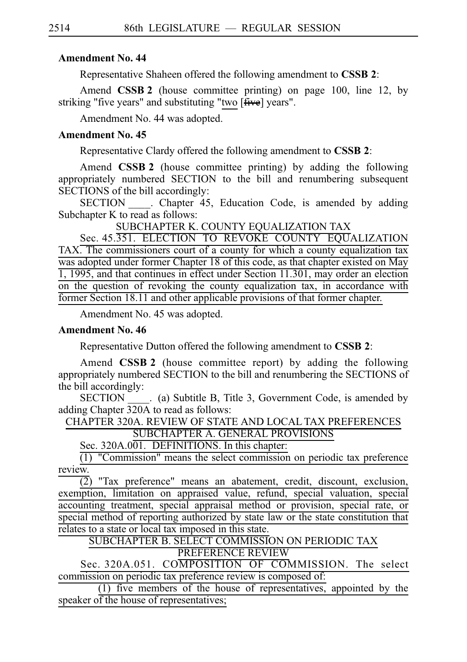# **Amendment No. 44**

Representative Shaheen offered the following amendment to **CSSB 2**:

Amend **CSSB 2** (house committee printing) on page 100, line 12, by striking "five years" and substituting "two [five] years".

Amendment No. 44 was adopted.

# **Amendment No. 45**

Representative Clardy offered the following amendment to **CSSB 2**:

Amend **CSSB 2** (house committee printing) by adding the following appropriately numbered SECTION to the bill and renumbering subsequent SECTIONS of the bill accordingly:

SECTION Chapter 45, Education Code, is amended by adding Subchapter K to read as follows:

SUBCHAPTER K. COUNTY EQUALIZATION TAX

Sec. 45.351. ELECTION TO REVOKE COUNTY EQUALIZATION TAX. The commissioners court of a county for which a county equalization tax was adopted under former Chapter 18 of this code, as that chapter existed on May 1, 1995, and that continues in effect under Section 11.301, may order an election on the question of revoking the county equalization tax, in accordance with former Section 18.11 and other applicable provisions of that former chapter.

Amendment No. 45 was adopted.

# **Amendment No. 46**

Representative Dutton offered the following amendment to **CSSBi2**:

Amend **CSSB 2** (house committee report) by adding the following appropriately numbered SECTION to the bill and renumbering the SECTIONS of the bill accordingly:

SECTION (a) Subtitle B, Title 3, Government Code, is amended by adding Chapter 320A to read as follows:

CHAPTER 320A. REVIEW OF STATE AND LOCAL TAX PREFERENCES SUBCHAPTER A. GENERAL PROVISIONS

Sec. 320A.001. DEFINITIONS. In this chapter:

 $(1)$  "Commission" means the select commission on periodic tax preference review.

 $(2)$  "Tax preference" means an abatement, credit, discount, exclusion, exemption, limitation on appraised value, refund, special valuation, special accounting treatment, special appraisal method or provision, special rate, or special method of reporting authorized by state law or the state constitution that relates to a state or local tax imposed in this state.

SUBCHAPTER B. SELECT COMMISSION ON PERIODIC TAX PREFERENCE REVIEW

Sec. 320A.051. COMPOSITION OF COMMISSION. The select commission on periodic tax preference review is composed of:

 $\overline{(1)}$  five members of the house of representatives, appointed by the speaker of the house of representatives;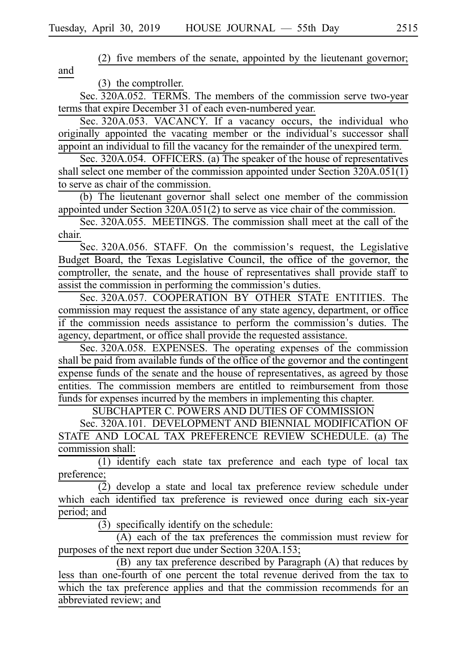(2) five members of the senate, appointed by the lieutenant governor; and

(3) the comptroller.

Sec. 320A.052. TERMS. The members of the commission serve two-year terms that expire December 31 of each even-numbered year.

Sec. 320A.053. VACANCY. If a vacancy occurs, the individual who originally appointed the vacating member or the individual's successor shall appoint an individual to fill the vacancy for the remainder of the unexpired term.

Sec. 320A.054. OFFICERS. (a) The speaker of the house of representatives shall select one member of the commission appointed under Section 320A.051(1) to serve as chair of the commission.

(b) The lieutenant governor shall select one member of the commission appointed under Section 320A.051(2) to serve as vice chair of the commission.

Sec. 320A.055. MEETINGS. The commission shall meet at the call of the chair.

Sec. 320A.056. STAFF. On the commission's request, the Legislative Budget Board, the Texas Legislative Council, the office of the governor, the comptroller, the senate, and the house of representatives shall provide staff to assist the commission in performing the commission's duties.

Sec. 320A.057. COOPERATION BY OTHER STATE ENTITIES. The commission may request the assistance of any state agency, department, or office if the commission needs assistance to perform the commission's duties. The agency, department, or office shall provide the requested assistance.

Sec. 320A.058. EXPENSES. The operating expenses of the commission shall be paid from available funds of the office of the governor and the contingent expense funds of the senate and the house of representatives, as agreed by those entities. The commission members are entitled to reimbursement from those funds for expenses incurred by the members in implementing this chapter.

SUBCHAPTER C. POWERS AND DUTIES OF COMMISSION

Sec. 320A.101. DEVELOPMENT AND BIENNIAL MODIFICATION OF STATE AND LOCAL TAX PREFERENCE REVIEW SCHEDULE. (a) The commission shall:

 $(1)$  identify each state tax preference and each type of local tax preference;

(2) develop a state and local tax preference review schedule under which each identified tax preference is reviewed once during each six-year period; and

(3) specifically identify on the schedule:

 $(A)$  each of the tax preferences the commission must review for purposes of the next report due under Section 320A.153;

 $(B)$  any tax preference described by Paragraph  $(A)$  that reduces by less than one-fourth of one percent the total revenue derived from the tax to which the tax preference applies and that the commission recommends for an abbreviated review; and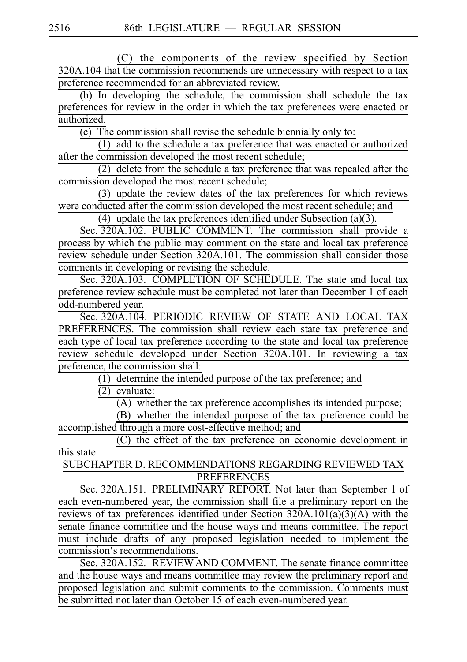(C) the components of the review specified by Section  $320A.104$  that the commission recommends are unnecessary with respect to a tax preference recommended for an abbreviated review.

 $(b)$  In developing the schedule, the commission shall schedule the tax preferences for review in the order in which the tax preferences were enacted or authorized.

 $(c)$  The commission shall revise the schedule biennially only to:

(1) add to the schedule a tax preference that was enacted or authorized after the commission developed the most recent schedule;

 $(2)$  delete from the schedule a tax preference that was repealed after the commission developed the most recent schedule;

 $(3)$  update the review dates of the tax preferences for which reviews were conducted after the commission developed the most recent schedule; and

(4) update the tax preferences identified under Subsection (a)(3).

Sec.  $320A.102$ . PUBLIC COMMENT. The commission shall provide a process by which the public may comment on the state and local tax preference review schedule under Section 320A.101. The commission shall consider those comments in developing or revising the schedule.

Sec. 320A.103. COMPLETION OF SCHEDULE. The state and local tax preference review schedule must be completed not later than December 1 of each odd-numbered year.

Sec. 320A.104. PERIODIC\_REVIEW OF STATE AND LOCAL TAX PREFERENCES. The commission shall review each state tax preference and each type of local tax preference according to the state and local tax preference review schedule developed under Section 320A.101. In reviewing a tax preference, the commission shall:

 $(1)$  determine the intended purpose of the tax preference; and

 $\overline{(2)}$  evaluate:

 $(A)$  whether the tax preference accomplishes its intended purpose;

 $\overrightarrow{B}$ ) whether the intended purpose of the tax preference could be accomplished through a more cost-effective method; and

 $(C)$  the effect of the tax preference on economic development in this state.

SUBCHAPTER D. RECOMMENDATIONS REGARDING REVIEWED TAX PREFERENCES

Sec. 320A.151. PRELIMINARY REPORT. Not later than September 1 of each even-numbered year, the commission shall file a preliminary report on the reviews of tax preferences identified under Section  $320A.101(a)(3)(A)$  with the senate finance committee and the house ways and means committee. The report must include drafts of any proposed legislation needed to implement the commission's recommendations.

Sec. 320A.152. REVIEW AND COMMENT. The senate finance committee and the house ways and means committee may review the preliminary report and proposed legislation and submit comments to the commission. Comments must be submitted not later than October 15 of each even-numbered year.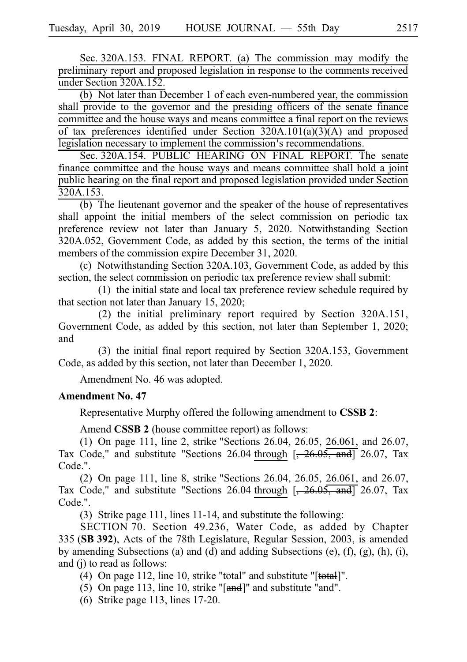Sec. 320A.153. FINAL REPORT. (a) The commission may modify the preliminary report and proposed legislation in response to the comments received under Section 320A.152.

(b) Not later than December 1 of each even-numbered year, the commission shall provide to the governor and the presiding officers of the senate finance committee and the house ways and means committee a final report on the reviews of tax preferences identified under Section  $320A.101(a)(3)(A)$  and proposed legislation necessary to implement the commission's recommendations.

Sec. 320A.154. PUBLIC HEARING ON FINAL REPORT. The senate finance committee and the house ways and means committee shall hold a joint public hearing on the final report and proposed legislation provided under Section 320A.153.

 $(b)$  The lieutenant governor and the speaker of the house of representatives shall appoint the initial members of the select commission on periodic tax preference review not later than January 5, 2020. Notwithstanding Section 320A.052, Government Code, as added by this section, the terms of the initial members of the commission expire December 31, 2020.

(c) Notwithstanding Section 320A.103, Government Code, as added by this section, the select commission on periodic tax preference review shall submit:

 $(1)$  the initial state and local tax preference review schedule required by that section not later than January 15, 2020;

(2) the initial preliminary report required by Section  $320A.151$ , Government Code, as added by this section, not later than September 1, 2020; and

(3) the initial final report required by Section 320A.153, Government Code, as added by this section, not later than December 1, 2020.

Amendment No. 46 was adopted.

### **Amendment No. 47**

Representative Murphy offered the following amendment to **CSSBi2**:

Amend **CSSB 2** (house committee report) as follows:

(1) On page 111, line 2, strike "Sections 26.04, 26.05, 26.061, and 26.07, Tax Code," and substitute "Sections 26.04 through  $[-26.05, \frac{\text{and}}{\text{and}}]$  26.07, Tax Code.".

(2) On page 111, line 8, strike "Sections 26.04, 26.05, 26.061, and 26.07, Tax Code," and substitute "Sections 26.04 through  $\left[-26.05, \frac{\text{and}}{\text{and}}\right]$  26.07, Tax Code.".

(3) Strike page 111, lines  $11-14$ , and substitute the following:

SECTION 70. Section 49.236, Water Code, as added by Chapter 335 (SB 392), Acts of the 78th Legislature, Regular Session, 2003, is amended by amending Subsections (a) and (d) and adding Subsections (e), (f), (g), (h), (i), and (j) to read as follows:

(4) On page 112, line 10, strike "total" and substitute " $[$ total]".

(5) On page 113, line 10, strike " $[and]$ " and substitute "and".

 $(6)$  Strike page 113, lines 17-20.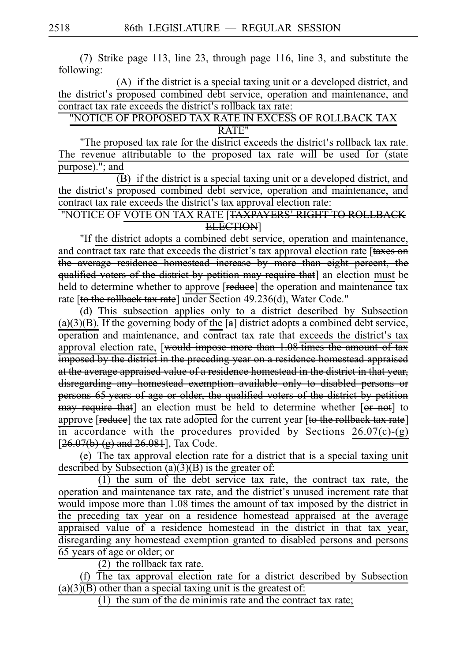(7) Strike page 113, line 23, through page 116, line 3, and substitute the following:

(A) if the district is a special taxing unit or a developed district, and the district's proposed combined debt service, operation and maintenance, and contract tax rate exceeds the district's rollback tax rate:

"NOTICE OF PROPOSED TAX RATE IN EXCESS OF ROLLBACK TAX RATE"

"The proposed tax rate for the district exceeds the district's rollback tax rate. The revenue attributable to the proposed tax rate will be used for (state purpose)."; and

 $\overline{B}$ ) if the district is a special taxing unit or a developed district, and the district's proposed combined debt service, operation and maintenance, and contract tax rate exceeds the district's tax approval election rate:

"NOTICE OF VOTE ON TAX RATE [<del>TAXPAYERS' RIGHT TO ROLLBACK</del> ELECTION]

"If the district adopts a combined debt service, operation and maintenance, and contract tax rate that exceeds the district's tax approval election rate [taxes on the average residence homestead increase by more than eight percent, the qualified voters of the district by petition may require that] an election must be held to determine whether to approve [reduce] the operation and maintenance tax rate [to the rollback tax rate] under Section 49.236(d), Water Code."

(d) This subsection applies only to a district described by Subsection  $(a)(3)(B)$ . If the governing body of the  $[a]$  district adopts a combined debt service, operation and maintenance, and contract tax rate that exceeds the district's tax approval election rate, [would impose more than 1.08 times the amount of tax imposed by the district in the preceding year on a residence homestead appraised at the average appraised value of a residence homestead in the district in that year, disregarding any homestead exemption available only to disabled persons or persons 65 years of age or older, the qualified voters of the district by petition may require that] an election must be held to determine whether [or not] to approve [reduce] the tax rate adopted for the current year [to the rollback tax rate] in accordance with the procedures provided by Sections  $26.07(c)-(g)$  $[26.07(b) (g)$  and  $26.081$ ], Tax Code.

(e) The tax approval election rate for a district that is a special taxing unit described by Subsection  $(a)(3)(B)$  is the greater of:

 $(1)$  the sum of the debt service tax rate, the contract tax rate, the operation and maintenance tax rate, and the district's unused increment rate that would impose more than 1.08 times the amount of tax imposed by the district in the preceding tax year on a residence homestead appraised at the average appraised value of a residence homestead in the district in that tax year, disregarding any homestead exemption granted to disabled persons and persons 65 years of age or older; or

 $(2)$  the rollback tax rate.

 $(f)$  The tax approval election rate for a district described by Subsection  $(a)(3)(B)$  other than a special taxing unit is the greatest of:

 $(1)$  the sum of the de minimis rate and the contract tax rate;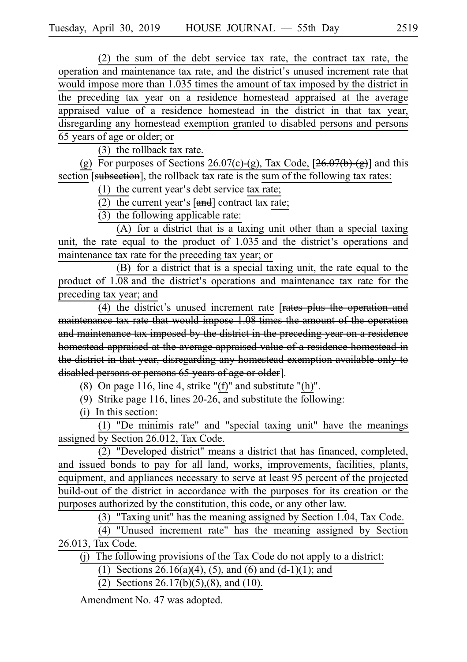(2) the sum of the debt service tax rate, the contract tax rate, the operation and maintenance tax rate, and the district's unused increment rate that would impose more than 1.035 times the amount of tax imposed by the district in the preceding tax year on a residence homestead appraised at the average appraised value of a residence homestead in the district in that tax year, disregarding any homestead exemption granted to disabled persons and persons 65 years of age or older; or

 $(3)$  the rollback tax rate.

(g) For purposes of Sections 26.07(c)-(g), Tax Code,  $[26.07(b)$ -(g)] and this section [subsection], the rollback tax rate is the sum of the following tax rates:

(1) the current year's debt service tax rate;

 $\overline{(2)}$  the current year's  $[and]$  contract tax rate;

 $(3)$  the following applicable rate:

 $(A)$  for a district that is a taxing unit other than a special taxing unit, the rate equal to the product of 1.035 and the district's operations and maintenance tax rate for the preceding tax year; or

 $(B)$  for a district that is a special taxing unit, the rate equal to the product of  $1.08$  and the district's operations and maintenance tax rate for the preceding tax year; and

(4) the district's unused increment rate  $[$ rates plus the operation and maintenance tax rate that would impose 1.08 times the amount of the operation and maintenance tax imposed by the district in the preceding year on a residence homestead appraised at the average appraised value of a residence homestead in the district in that year, disregarding any homestead exemption available only to disabled persons or persons 65 years of age or older].

(8) On page 116, line 4, strike " $(f)$ " and substitute " $(h)$ ".

(9) Strike page 116, lines 20-26, and substitute the following:

 $(i)$  In this section:

(1) "De minimis rate" and "special taxing unit" have the meanings assigned by Section 26.012, Tax Code.

(2) "Developed district" means a district that has financed, completed, and issued bonds to pay for all land, works, improvements, facilities, plants, equipment, and appliances necessary to serve at least 95 percent of the projected build-out of the district in accordance with the purposes for its creation or the purposes authorized by the constitution, this code, or any other law.

(3) "Taxing unit" has the meaning assigned by Section 1.04, Tax Code.

 $(4)$  "Unused increment rate" has the meaning assigned by Section 26.013, Tax Code.

 $(i)$  The following provisions of the Tax Code do not apply to a district:

(1) Sections 26.16(a)(4), (5), and (6) and (d-1)(1); and

(2) Sections 26.17(b)(5),(8), and (10).

Amendment No. 47 was adopted.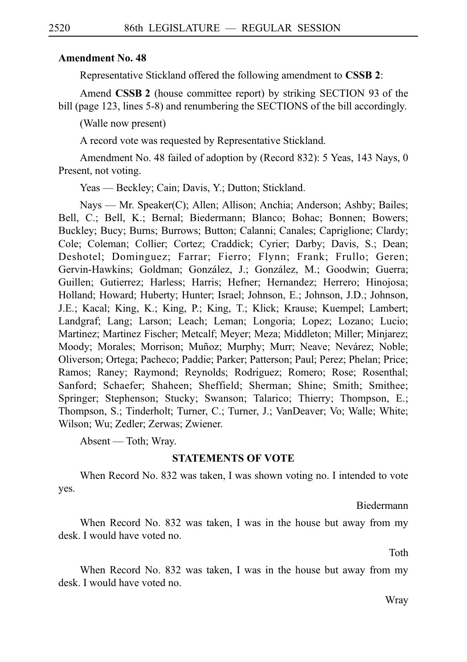### **Amendment No. 48**

Representative Stickland offered the following amendment to **CSSBi2**:

Amend **CSSB 2** (house committee report) by striking SECTION 93 of the bill (page 123, lines 5-8) and renumbering the SECTIONS of the bill accordingly.

(Walle now present)

A record vote was requested by Representative Stickland.

Amendment No. 48 failed of adoption by (Record 832): 5 Yeas, 143 Nays, 0 Present, not voting.

Yeas — Beckley; Cain; Davis, Y.; Dutton; Stickland.

Nays — Mr. Speaker(C); Allen; Allison; Anchia; Anderson; Ashby; Bailes; Bell, C.; Bell, K.; Bernal; Biedermann; Blanco; Bohac; Bonnen; Bowers; Buckley; Bucy; Burns; Burrows; Button; Calanni; Canales; Capriglione; Clardy; Cole; Coleman; Collier; Cortez; Craddick; Cyrier; Darby; Davis, S.; Dean; Deshotel; Dominguez; Farrar; Fierro; Flynn; Frank; Frullo; Geren; Gervin-Hawkins; Goldman; González, J.; González, M.; Goodwin; Guerra; Guillen; Gutierrez; Harless; Harris; Hefner; Hernandez; Herrero; Hinojosa; Holland; Howard; Huberty; Hunter; Israel; Johnson, E.; Johnson, J.D.; Johnson, J.E.; Kacal; King, K.; King, P.; King, T.; Klick; Krause; Kuempel; Lambert; Landgraf; Lang; Larson; Leach; Leman; Longoria; Lopez; Lozano; Lucio; Martinez; Martinez Fischer; Metcalf; Meyer; Meza; Middleton; Miller; Minjarez; Moody; Morales; Morrison; Muñoz; Murphy; Murr; Neave; Nevárez; Noble; Oliverson; Ortega; Pacheco; Paddie; Parker; Patterson; Paul; Perez; Phelan; Price; Ramos; Raney; Raymond; Reynolds; Rodriguez; Romero; Rose; Rosenthal; Sanford; Schaefer; Shaheen; Sheffield; Sherman; Shine; Smith; Smithee; Springer; Stephenson; Stucky; Swanson; Talarico; Thierry; Thompson, E.; Thompson, S.; Tinderholt; Turner, C.; Turner, J.; VanDeaver; Vo; Walle; White; Wilson; Wu; Zedler; Zerwas; Zwiener.

Absent — Toth; Wray.

### **STATEMENTS OF VOTE**

When Record No. 832 was taken, I was shown voting no. I intended to vote yes.

Biedermann

When Record No. 832 was taken, I was in the house but away from my desk. I would have voted no.

Toth

When Record No. 832 was taken, I was in the house but away from my desk. I would have voted no.

Wray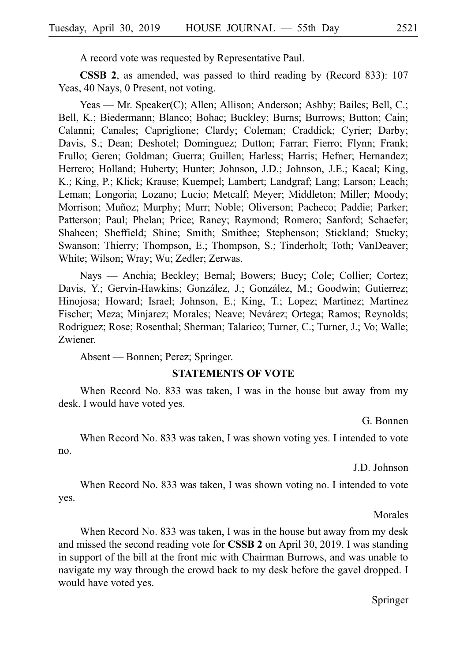A record vote was requested by Representative Paul.

**CSSB 2**, as amended, was passed to third reading by (Record 833): 107 Yeas, 40 Nays, 0 Present, not voting.

Yeas — Mr. Speaker(C); Allen; Allison; Anderson; Ashby; Bailes; Bell, C.; Bell, K.; Biedermann; Blanco; Bohac; Buckley; Burns; Burrows; Button; Cain; Calanni; Canales; Capriglione; Clardy; Coleman; Craddick; Cyrier; Darby; Davis, S.; Dean; Deshotel; Dominguez; Dutton; Farrar; Fierro; Flynn; Frank; Frullo; Geren; Goldman; Guerra; Guillen; Harless; Harris; Hefner; Hernandez; Herrero; Holland; Huberty; Hunter; Johnson, J.D.; Johnson, J.E.; Kacal; King, K.; King, P.; Klick; Krause; Kuempel; Lambert; Landgraf; Lang; Larson; Leach; Leman; Longoria; Lozano; Lucio; Metcalf; Meyer; Middleton; Miller; Moody; Morrison; Muñoz; Murphy; Murr; Noble; Oliverson; Pacheco; Paddie; Parker; Patterson; Paul; Phelan; Price; Raney; Raymond; Romero; Sanford; Schaefer; Shaheen; Sheffield; Shine; Smith; Smithee; Stephenson; Stickland; Stucky; Swanson; Thierry; Thompson, E.; Thompson, S.; Tinderholt; Toth; VanDeaver; White; Wilson; Wray; Wu; Zedler; Zerwas.

Nays — Anchia; Beckley; Bernal; Bowers; Bucy; Cole; Collier; Cortez; Davis, Y.; Gervin-Hawkins; González, J.; González, M.; Goodwin; Gutierrez; Hinojosa; Howard; Israel; Johnson, E.; King, T.; Lopez; Martinez; Martinez Fischer; Meza; Minjarez; Morales; Neave; Nevárez; Ortega; Ramos; Reynolds; Rodriguez; Rose; Rosenthal; Sherman; Talarico; Turner, C.; Turner, J.; Vo; Walle; Zwiener.

Absent — Bonnen; Perez; Springer.

#### **STATEMENTS OF VOTE**

When Record No. 833 was taken, I was in the house but away from my desk. I would have voted yes.

G. Bonnen

When Record No. 833 was taken, I was shown voting yes. I intended to vote no.

J.D. Johnson

When Record No. 833 was taken, I was shown voting no. I intended to vote yes.

Morales

When Record No. 833 was taken, I was in the house but away from my desk and missed the second reading vote for **CSSB 2** on April 30, 2019. I was standing in support of the bill at the front mic with Chairman Burrows, and was unable to navigate my way through the crowd back to my desk before the gavel dropped. I would have voted yes.

Springer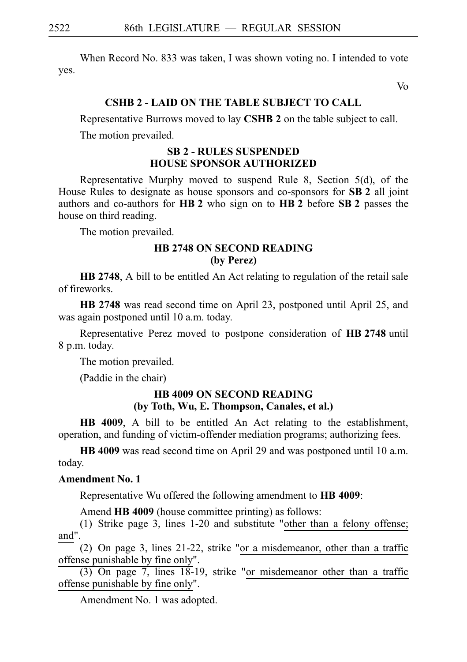When Record No. 833 was taken, I was shown voting no. I intended to vote yes.

Vo

### **CSHB 2 - LAID ON THE TABLE SUBJECT TO CALL**

Representative Burrows moved to lay **CSHBi2** on the table subject to call.

The motion prevailed.

### **SBi2 - RULES SUSPENDED HOUSE SPONSOR AUTHORIZED**

Representative Murphy moved to suspend Rule 8, Section 5(d), of the House Rules to designate as house sponsors and co-sponsors for **SB 2** all joint authors and co-authors for **HB 2** who sign on to **HB 2** before **SB 2** passes the house on third reading.

The motion prevailed.

### **HB 2748 ON SECOND READING (by Perez)**

**HB 2748**, A bill to be entitled An Act relating to regulation of the retail sale of fireworks.

**HB 2748** was read second time on April 23, postponed until April 25, and was again postponed until 10 a.m. today.

Representative Perez moved to postpone consideration of **HB 2748** until 8 p.m. today.

The motion prevailed.

(Paddie in the chair)

# **HB 4009 ON SECOND READING (by Toth, Wu, E. Thompson, Canales, et al.)**

**HB 4009**, A bill to be entitled An Act relating to the establishment, operation, and funding of victim-offender mediation programs; authorizing fees.

**HB 4009** was read second time on April 29 and was postponed until 10 a.m. today.

#### **Amendment No. 1**

Representative Wu offered the following amendment to **HB 4009**:

Amend **HB 4009** (house committee printing) as follows:

(1) Strike page 3, lines  $1-20$  and substitute "other than a felony offense; and".

(2) On page 3, lines  $21-22$ , strike "or a misdemeanor, other than a traffic offense punishable by fine only".

 $(3)$  On page 7, lines 18-19, strike "or misdemeanor other than a traffic offense punishable by fine only".

Amendment No. 1 was adopted.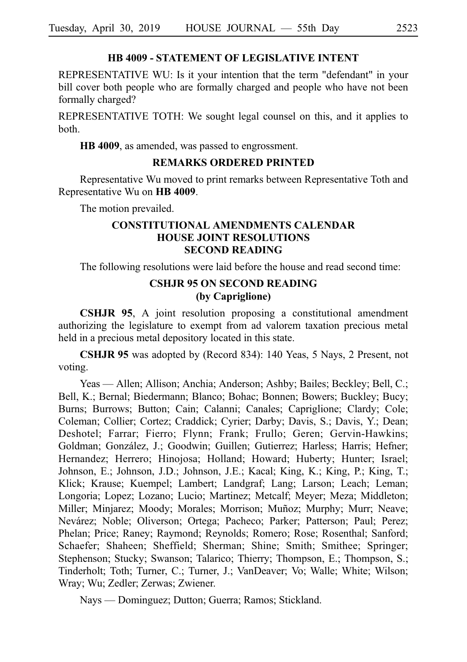### **HB 4009 - STATEMENT OF LEGISLATIVE INTENT**

REPRESENTATIVE WU: Is it your intention that the term "defendant" in your bill cover both people who are formally charged and people who have not been formally charged?

REPRESENTATIVE TOTH: We sought legal counsel on this, and it applies to both.

**HB 4009**, as amended, was passed to engrossment.

### **REMARKS ORDERED PRINTED**

Representative Wu moved to print remarks between Representative Toth and Representative Wu on **HB 4009**.

The motion prevailed.

# **CONSTITUTIONAL AMENDMENTS CALENDAR HOUSE JOINT RESOLUTIONS SECOND READING**

The following resolutions were laid before the house and read second time:

# **CSHJR 95 ON SECOND READING (by Capriglione)**

**CSHJR 95**, A joint resolution proposing a constitutional amendment authorizing the legislature to exempt from ad valorem taxation precious metal held in a precious metal depository located in this state.

CSHJR 95 was adopted by (Record 834): 140 Yeas, 5 Nays, 2 Present, not voting.

Yeas — Allen; Allison; Anchia; Anderson; Ashby; Bailes; Beckley; Bell, C.; Bell, K.; Bernal; Biedermann; Blanco; Bohac; Bonnen; Bowers; Buckley; Bucy; Burns; Burrows; Button; Cain; Calanni; Canales; Capriglione; Clardy; Cole; Coleman; Collier; Cortez; Craddick; Cyrier; Darby; Davis, S.; Davis, Y.; Dean; Deshotel; Farrar; Fierro; Flynn; Frank; Frullo; Geren; Gervin-Hawkins; Goldman; González, J.; Goodwin; Guillen; Gutierrez; Harless; Harris; Hefner; Hernandez; Herrero; Hinojosa; Holland; Howard; Huberty; Hunter; Israel; Johnson, E.; Johnson, J.D.; Johnson, J.E.; Kacal; King, K.; King, P.; King, T.; Klick; Krause; Kuempel; Lambert; Landgraf; Lang; Larson; Leach; Leman; Longoria; Lopez; Lozano; Lucio; Martinez; Metcalf; Meyer; Meza; Middleton; Miller; Minjarez; Moody; Morales; Morrison; Muñoz; Murphy; Murr; Neave; Nevárez; Noble; Oliverson; Ortega; Pacheco; Parker; Patterson; Paul; Perez; Phelan; Price; Raney; Raymond; Reynolds; Romero; Rose; Rosenthal; Sanford; Schaefer; Shaheen; Sheffield; Sherman; Shine; Smith; Smithee; Springer; Stephenson; Stucky; Swanson; Talarico; Thierry; Thompson, E.; Thompson, S.; Tinderholt; Toth; Turner, C.; Turner, J.; VanDeaver; Vo; Walle; White; Wilson; Wray; Wu; Zedler; Zerwas; Zwiener.

Nays — Dominguez; Dutton; Guerra; Ramos; Stickland.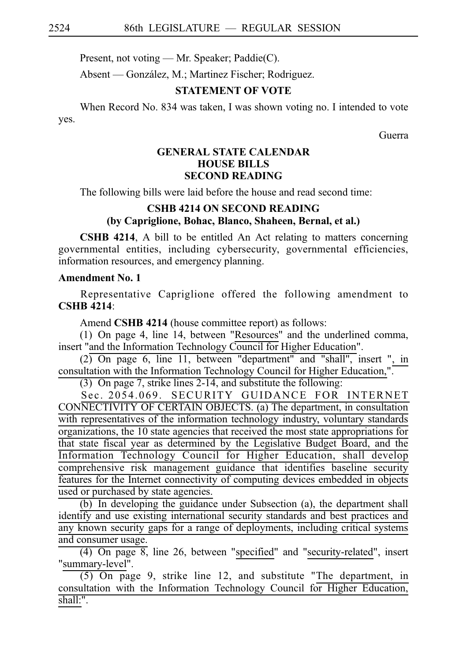Present, not voting — Mr. Speaker; Paddie(C).

Absent — González, M.; Martinez Fischer; Rodriguez.

# **STATEMENT OF VOTE**

When Record No. 834 was taken, I was shown voting no. I intended to vote yes.

Guerra

# **GENERAL STATE CALENDAR HOUSE BILLS SECOND READING**

The following bills were laid before the house and read second time:

# **CSHB 4214 ON SECOND READING (by Capriglione, Bohac, Blanco, Shaheen, Bernal, et al.)**

**CSHB 4214**, A bill to be entitled An Act relating to matters concerning governmental entities, including cybersecurity, governmental efficiencies, information resources, and emergency planning.

# **Amendment No. 1**

Representative Capriglione offered the following amendment to **CSHB** 4214:

Amend **CSHB 4214** (house committee report) as follows:

(1) On page 4, line  $14$ , between "Resources" and the underlined comma, insert "and the Information Technology Council for Higher Education".

 $(2)$  On page 6, line 11, between "department" and "shall", insert ", in consultation with the Information Technology Council for Higher Education,".

(3) On page 7, strike lines  $2-14$ , and substitute the following:

Sec. 2054.069. SECURITY GUIDANCE FOR INTERNET CONNECTIVITY OF CERTAIN OBJECTS. (a) The department, in consultation with representatives of the information technology industry, voluntary standards organizations, the 10 state agencies that received the most state appropriations for that state fiscal year as determined by the Legislative Budget Board, and the Information Technology Council for Higher Education, shall develop comprehensive risk management guidance that identifies baseline security features for the Internet connectivity of computing devices embedded in objects used or purchased by state agencies.

 $(b)$  In developing the guidance under Subsection (a), the department shall identify and use existing international security standards and best practices and any known security gaps for a range of deployments, including critical systems and consumer usage.

 $(4)$  On page 8, line 26, between "specified" and "security-related", insert "summary-level".

 $(5)$  On page 9, strike line 12, and substitute "The department, in consultation with the Information Technology Council for Higher Education, shall:".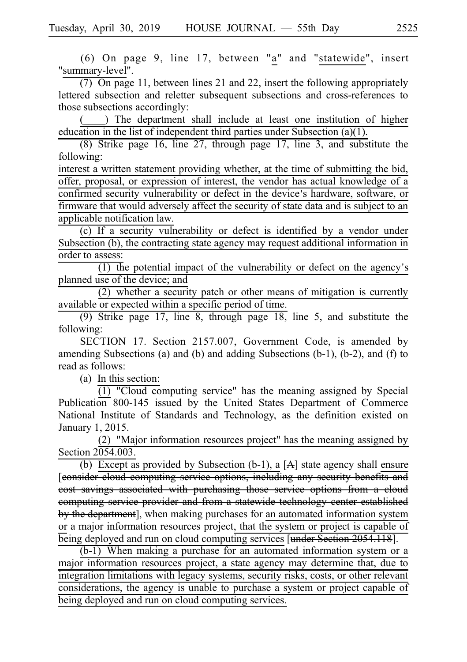(6) On page 9, line 17, between "a" and "statewide", insert "summary-level".

 $(7)$  On page 11, between lines 21 and 22, insert the following appropriately lettered subsection and reletter subsequent subsections and cross-references to those subsections accordingly:

) The department shall include at least one institution of higher education in the list of independent third parties under Subsection (a)(1).

 $(8)$  Strike page 16, line 27, through page 17, line 3, and substitute the following:

interest a written statement providing whether, at the time of submitting the bid, offer, proposal, or expression of interest, the vendor has actual knowledge of a confirmed security vulnerability or defect in the device's hardware, software, or firmware that would adversely affect the security of state data and is subject to an applicable notification law.

 $(c)$  If a security vulnerability or defect is identified by a vendor under Subsection (b), the contracting state agency may request additional information in order to assess:

 $(1)$  the potential impact of the vulnerability or defect on the agency's planned use of the device; and

 $(2)$  whether a security patch or other means of mitigation is currently available or expected within a specific period of time.

(9) Strike page 17, line 8, through page  $18$ , line 5, and substitute the following:

SECTION 17. Section 2157.007, Government Code, is amended by amending Subsections (a) and (b) and adding Subsections (b-1), (b-2), and (f) to read as follows:

 $(a)$  In this section:

 $(1)$  "Cloud computing service" has the meaning assigned by Special Publication 800-145 issued by the United States Department of Commerce National Institute of Standards and Technology, as the definition existed on January 1, 2015.

(2) "Major information resources project" has the meaning assigned by Section 2054.003.

(b) Except as provided by Subsection (b-1), a  $[A]$  state agency shall ensure [consider cloud computing service options, including any security benefits and cost savings associated with purchasing those service options from a cloud computing service provider and from a statewide technology center established by the department], when making purchases for an automated information system or a major information resources project, that the system or project is capable of being deployed and run on cloud computing services [under Section 2054.118].

 $(b-1)$  When making a purchase for an automated information system or a major information resources project, a state agency may determine that, due to integration limitations with legacy systems, security risks, costs, or other relevant considerations, the agency is unable to purchase a system or project capable of being deployed and run on cloud computing services.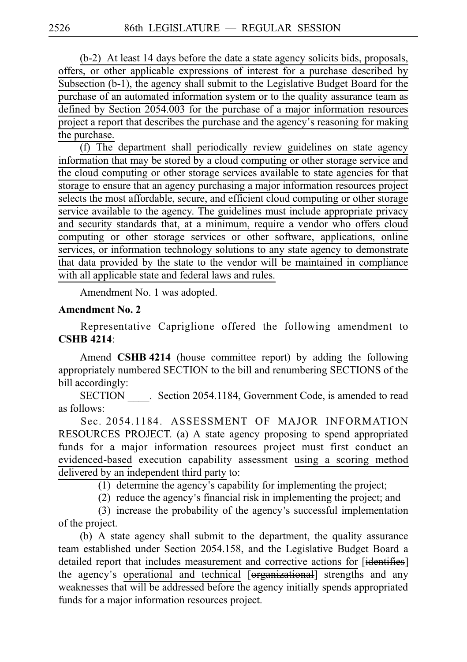$(b-2)$  At least 14 days before the date a state agency solicits bids, proposals, offers, or other applicable expressions of interest for a purchase described by Subsection (b-1), the agency shall submit to the Legislative Budget Board for the purchase of an automated information system or to the quality assurance team as defined by Section 2054.003 for the purchase of a major information resources project a report that describes the purchase and the agency's reasoning for making the purchase.

 $(f)$  The department shall periodically review guidelines on state agency information that may be stored by a cloud computing or other storage service and the cloud computing or other storage services available to state agencies for that storage to ensure that an agency purchasing a major information resources project selects the most affordable, secure, and efficient cloud computing or other storage service available to the agency. The guidelines must include appropriate privacy and security standards that, at a minimum, require a vendor who offers cloud computing or other storage services or other software, applications, online services, or information technology solutions to any state agency to demonstrate that data provided by the state to the vendor will be maintained in compliance with all applicable state and federal laws and rules.

Amendment No. 1 was adopted.

#### **Amendment No. 2**

Representative Capriglione offered the following amendment to **CSHB** 4214:

Amend **CSHB 4214** (house committee report) by adding the following appropriately numbered SECTION to the bill and renumbering SECTIONS of the bill accordingly:

SECTION Section 2054.1184, Government Code, is amended to read as follows:

Sec. 2054.1184. ASSESSMENT OF MAJOR INFORMATION RESOURCES PROJECT. (a) A state agency proposing to spend appropriated funds for a major information resources project must first conduct an evidenced-based execution capability assessment using a scoring method delivered by an independent third party to:

(1) determine the agency's capability for implementing the project;

 $(2)$  reduce the agency's financial risk in implementing the project; and

 $(3)$  increase the probability of the agency's successful implementation of the project.

(b) A state agency shall submit to the department, the quality assurance team established under Section 2054.158, and the Legislative Budget Board a detailed report that includes measurement and corrective actions for [identifies] the agency's operational and technical [<del>organizational</del>] strengths and any weaknesses that will be addressed before the agency initially spends appropriated funds for a major information resources project.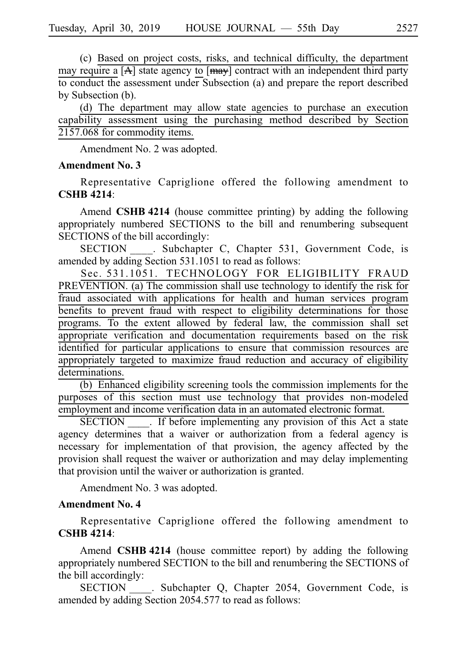(c) Based on project costs, risks, and technical difficulty, the department may require a  $[A]$  state agency to  $[may]$  contract with an independent third party to conduct the assessment under Subsection (a) and prepare the report described by Subsection (b).

(d) The department may allow state agencies to purchase an execution capability assessment using the purchasing method described by Section  $2157.068$  for commodity items.

Amendment No. 2 was adopted.

### **Amendment No. 3**

Representative Capriglione offered the following amendment to **CSHB** 4214:

Amend CSHB 4214 (house committee printing) by adding the following appropriately numbered SECTIONS to the bill and renumbering subsequent SECTIONS of the bill accordingly:

SECTION . Subchapter C, Chapter 531, Government Code, is amended by adding Section 531.1051 to read as follows:

Sec. 531.1051. TECHNOLOGY FOR ELIGIBILITY FRAUD PREVENTION. (a) The commission shall use technology to identify the risk for fraud associated with applications for health and human services program benefits to prevent fraud with respect to eligibility determinations for those programs. To the extent allowed by federal law, the commission shall set appropriate verification and documentation requirements based on the risk identified for particular applications to ensure that commission resources are appropriately targeted to maximize fraud reduction and accuracy of eligibility determinations.

 $(b)$  Enhanced eligibility screening tools the commission implements for the purposes of this section must use technology that provides non-modeled employment and income verification data in an automated electronic format.

SECTION . If before implementing any provision of this Act a state agency determines that a waiver or authorization from a federal agency is necessary for implementation of that provision, the agency affected by the provision shall request the waiver or authorization and may delay implementing that provision until the waiver or authorization is granted.

Amendment No. 3 was adopted.

#### **Amendment No. 4**

Representative Capriglione offered the following amendment to **CSHB** 4214:

Amend **CSHB 4214** (house committee report) by adding the following appropriately numbered SECTION to the bill and renumbering the SECTIONS of the bill accordingly:

SECTION . Subchapter Q, Chapter 2054, Government Code, is amended by adding Section 2054.577 to read as follows: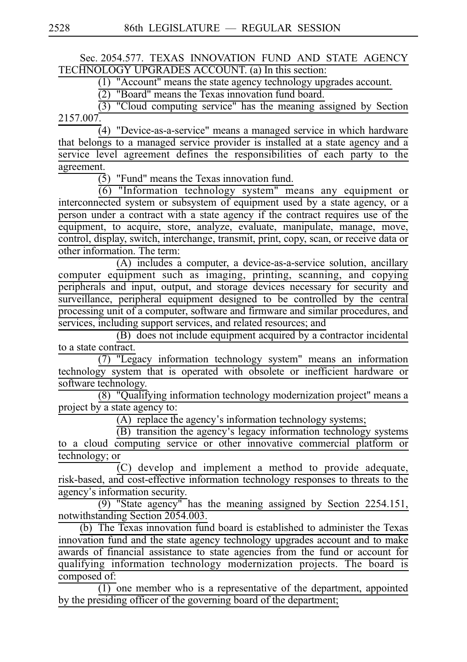# Sec. 2054.577. TEXAS INNOVATION FUND AND STATE AGENCY TECHNOLOGY UPGRADES ACCOUNT. (a) In this section:

(1) "Account" means the state agency technology upgrades account.

 $(2)$  "Board" means the Texas innovation fund board.

 $\overline{(3)}$  "Cloud computing service" has the meaning assigned by Section 2157.007.

 $(4)$  "Device-as-a-service" means a managed service in which hardware that belongs to a managed service provider is installed at a state agency and a service level agreement defines the responsibilities of each party to the agreement.

 $(5)$  "Fund" means the Texas innovation fund.

(6) I and the means are the contracted to the means any equipment or interconnected system or subsystem of equipment used by a state agency, or a person under a contract with a state agency if the contract requires use of the equipment, to acquire, store, analyze, evaluate, manipulate, manage, move, control, display, switch, interchange, transmit, print, copy, scan, or receive data or other information. The term:

(A) includes a computer, a device-as-a-service solution, ancillary computer equipment such as imaging, printing, scanning, and copying peripherals and input, output, and storage devices necessary for security and surveillance, peripheral equipment designed to be controlled by the central processing unit of a computer, software and firmware and similar procedures, and services, including support services, and related resources; and

 $(B)$  does not include equipment acquired by a contractor incidental to a state contract.

 $\overline{(7)}$  "Legacy information technology system" means an information technology system that is operated with obsolete or inefficient hardware or software technology.

(8) "Qualifying information technology modernization project" means a project by a state agency to:

 $(A)$  replace the agency's information technology systems;

(B) transition the agency's legacy information technology systems to a cloud computing service or other innovative commercial platform or technology; or

(C) develop and implement a method to provide adequate, risk-based, and cost-effective information technology responses to threats to the agency's information security.

 $(9)$  "State agency" has the meaning assigned by Section 2254.151, notwithstanding Section 2054.003.

(b) The Texas innovation fund board is established to administer the Texas innovation fund and the state agency technology upgrades account and to make awards of financial assistance to state agencies from the fund or account for qualifying information technology modernization projects. The board is composed of:

 $\overline{(1)}$  one member who is a representative of the department, appointed by the presiding officer of the governing board of the department;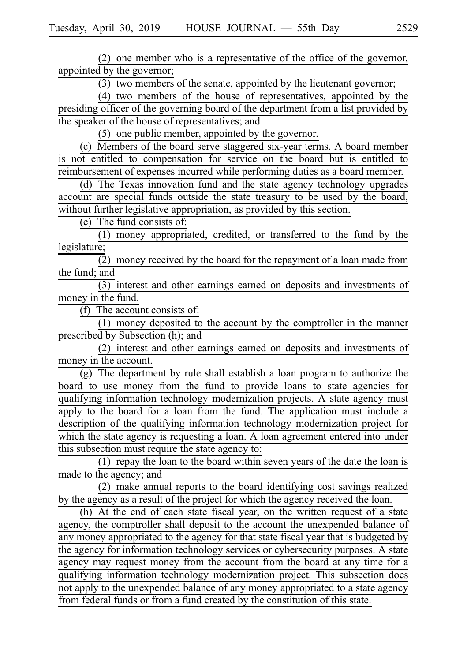$(2)$  one member who is a representative of the office of the governor, appointed by the governor;

 $(3)$  two members of the senate, appointed by the lieutenant governor;

 $(4)$  two members of the house of representatives, appointed by the presiding officer of the governing board of the department from a list provided by the speaker of the house of representatives; and

 $(5)$  one public member, appointed by the governor.

(c) Members of the board serve staggered six-year terms. A board member is not entitled to compensation for service on the board but is entitled to reimbursement of expenses incurred while performing duties as a board member.

(d) The Texas innovation fund and the state agency technology upgrades account are special funds outside the state treasury to be used by the board, without further legislative appropriation, as provided by this section.

 $(e)$  The fund consists of:

 $(1)$  money appropriated, credited, or transferred to the fund by the legislature;

 $\overline{2}$ ) money received by the board for the repayment of a loan made from the fund; and

(3) interest and other earnings earned on deposits and investments of money in the fund.

 $(f)$  The account consists of:

 $(1)$  money deposited to the account by the comptroller in the manner prescribed by Subsection (h); and

 $(2)$  interest and other earnings earned on deposits and investments of money in the account.

 $(g)$  The department by rule shall establish a loan program to authorize the board to use money from the fund to provide loans to state agencies for qualifying information technology modernization projects. A state agency must apply to the board for a loan from the fund. The application must include a description of the qualifying information technology modernization project for which the state agency is requesting a loan. A loan agreement entered into under this subsection must require the state agency to:

(1) repay the loan to the board within seven years of the date the loan is made to the agency; and

 $(2)$  make annual reports to the board identifying cost savings realized by the agency as a result of the project for which the agency received the loan.

(h) At the end of each state fiscal year, on the written request of a state agency, the comptroller shall deposit to the account the unexpended balance of any money appropriated to the agency for that state fiscal year that is budgeted by the agency for information technology services or cybersecurity purposes. A state agency may request money from the account from the board at any time for a qualifying information technology modernization project. This subsection does not apply to the unexpended balance of any money appropriated to a state agency from federal funds or from a fund created by the constitution of this state.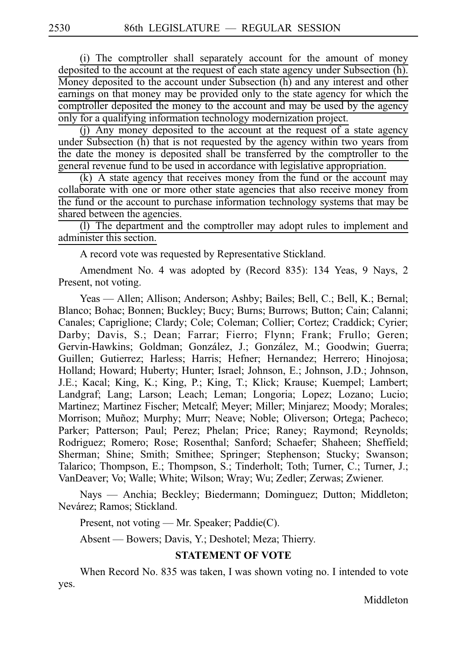(i) The comptroller shall separately account for the amount of money deposited to the account at the request of each state agency under Subsection (h). Money deposited to the account under Subsection (h) and any interest and other earnings on that money may be provided only to the state agency for which the comptroller deposited the money to the account and may be used by the agency only for a qualifying information technology modernization project.

 $(i)$  Any money deposited to the account at the request of a state agency under Subsection (h) that is not requested by the agency within two years from the date the money is deposited shall be transferred by the comptroller to the general revenue fund to be used in accordance with legislative appropriation.

 $(k)$  A state agency that receives money from the fund or the account may collaborate with one or more other state agencies that also receive money from the fund or the account to purchase information technology systems that may be shared between the agencies.

(I) The department and the comptroller may adopt rules to implement and administer this section.

A record vote was requested by Representative Stickland.

Amendment No. 4 was adopted by (Record 835): 134 Yeas, 9 Nays, 2 Present, not voting.

Yeas — Allen; Allison; Anderson; Ashby; Bailes; Bell, C.; Bell, K.; Bernal; Blanco; Bohac; Bonnen; Buckley; Bucy; Burns; Burrows; Button; Cain; Calanni; Canales; Capriglione; Clardy; Cole; Coleman; Collier; Cortez; Craddick; Cyrier; Darby; Davis, S.; Dean; Farrar; Fierro; Flynn; Frank; Frullo; Geren; Gervin-Hawkins; Goldman; González, J.; González, M.; Goodwin; Guerra; Guillen; Gutierrez; Harless; Harris; Hefner; Hernandez; Herrero; Hinojosa; Holland; Howard; Huberty; Hunter; Israel; Johnson, E.; Johnson, J.D.; Johnson, J.E.; Kacal; King, K.; King, P.; King, T.; Klick; Krause; Kuempel; Lambert; Landgraf; Lang; Larson; Leach; Leman; Longoria; Lopez; Lozano; Lucio; Martinez; Martinez Fischer; Metcalf; Meyer; Miller; Minjarez; Moody; Morales; Morrison; Muñoz; Murphy; Murr; Neave; Noble; Oliverson; Ortega; Pacheco; Parker; Patterson; Paul; Perez; Phelan; Price; Raney; Raymond; Reynolds; Rodriguez; Romero; Rose; Rosenthal; Sanford; Schaefer; Shaheen; Sheffield; Sherman; Shine; Smith; Smithee; Springer; Stephenson; Stucky; Swanson; Talarico; Thompson, E.; Thompson, S.; Tinderholt; Toth; Turner, C.; Turner, J.; VanDeaver; Vo; Walle; White; Wilson; Wray; Wu; Zedler; Zerwas; Zwiener.

Nays — Anchia; Beckley; Biedermann; Dominguez; Dutton; Middleton; Nevárez; Ramos; Stickland.

Present, not voting — Mr. Speaker; Paddie(C).

Absent — Bowers; Davis, Y.; Deshotel; Meza; Thierry.

### **STATEMENT OF VOTE**

When Record No. 835 was taken, I was shown voting no. I intended to vote yes.

Middleton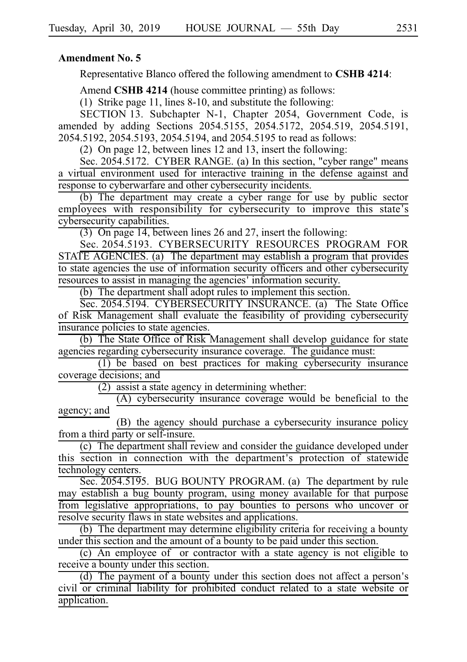### **Amendment No. 5**

Representative Blanco offered the following amendment to **CSHB 4214**:

Amend **CSHB 4214** (house committee printing) as follows:

(1) Strike page 11, lines 8-10, and substitute the following:

SECTION 13. Subchapter N-1, Chapter 2054, Government Code, is amended by adding Sections 2054.5155, 2054.5172, 2054.519, 2054.5191, 2054.5192, 2054.5193, 2054.5194, and 2054.5195 to read as follows:

(2) On page 12, between lines 12 and 13, insert the following:

Sec. 2054.5172. CYBER RANGE. (a) In this section, "cyber range" means a virtual environment used for interactive training in the defense against and response to cyberwarfare and other cybersecurity incidents.

(b) The department may create a cyber range for use by public sector employees with responsibility for cybersecurity to improve this state's cybersecurity capabilities.

(3) On page 14, between lines 26 and 27, insert the following:

Sec. 2054.5193. CYBERSECURITY RESOURCES PROGRAM FOR STATE AGENCIES. (a) The department may establish a program that provides to state agencies the use of information security officers and other cybersecurity resources to assist in managing the agencies 'information security.

 $(b)$  The department shall adopt rules to implement this section.

Sec. 2054.5194. CYBERSECURITY INSURANCE. (a) The State Office of Risk Management shall evaluate the feasibility of providing cybersecurity insurance policies to state agencies.

(b) The State Office of Risk Management shall develop guidance for state agencies regarding cybersecurity insurance coverage. The guidance must:

 $(1)$  be based on best practices for making cybersecurity insurance coverage decisions; and

 $(2)$  assist a state agency in determining whether:

 $(A)$  cybersecurity insurance coverage would be beneficial to the agency; and

(B) the agency should purchase a cybersecurity insurance policy from a third party or self-insure.

 $(c)$  The department shall review and consider the guidance developed under this section in connection with the department ' s protection of statewide technology centers.

Sec. 2054.5195. BUG BOUNTY PROGRAM. (a) The department by rule may establish a bug bounty program, using money available for that purpose from legislative appropriations, to pay bounties to persons who uncover or resolve security flaws in state websites and applications.

(b) The department may determine eligibility criteria for receiving a bounty under this section and the amount of a bounty to be paid under this section.

 $(c)$  An employee of or contractor with a state agency is not eligible to receive a bounty under this section.

 $(d)$  The payment of a bounty under this section does not affect a person's civil or criminal liability for prohibited conduct related to a state website or application.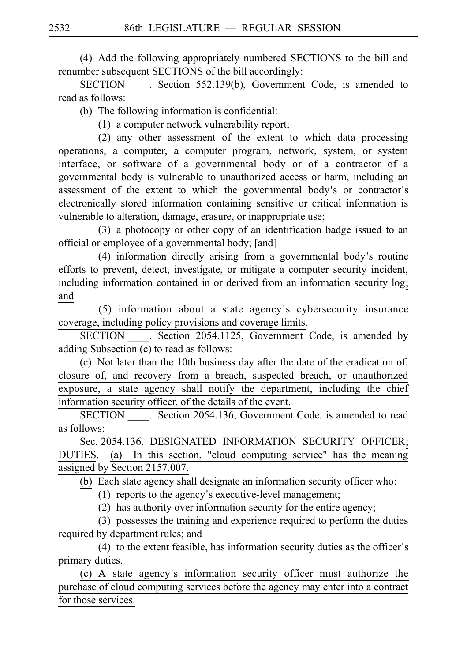(4) Add the following appropriately numbered SECTIONS to the bill and renumber subsequent SECTIONS of the bill accordingly:

SECTION . Section 552.139(b), Government Code, is amended to read as follows:

 $(b)$  The following information is confidential:

 $(1)$  a computer network vulnerability report;

 $(2)$  any other assessment of the extent to which data processing operations, a computer, a computer program, network, system, or system interface, or software of a governmental body or of a contractor of a governmental body is vulnerable to unauthorized access or harm, including an assessment of the extent to which the governmental body's or contractor's electronically stored information containing sensitive or critical information is vulnerable to alteration, damage, erasure, or inappropriate use;

 $(3)$  a photocopy or other copy of an identification badge issued to an official or employee of a governmental body; [and]

 $(4)$  information directly arising from a governmental body's routine efforts to prevent, detect, investigate, or mitigate a computer security incident, including information contained in or derived from an information security log; and

(5) information about a state agency's cybersecurity insurance coverage, including policy provisions and coverage limits.

SECTION Section 2054.1125, Government Code, is amended by adding Subsection (c) to read as follows:

(c) Not later than the 10th business day after the date of the eradication of, closure of, and recovery from a breach, suspected breach, or unauthorized exposure, a state agency shall notify the department, including the chief information security officer, of the details of the event.

SECTION Section 2054.136, Government Code, is amended to read as follows:

Sec. 2054.136. DESIGNATED INFORMATION SECURITY OFFICER; DUTIES. (a) In this section, "cloud computing service" has the meaning assigned by Section 2157.007.

 $(b)$  Each state agency shall designate an information security officer who:

 $(1)$  reports to the agency's executive-level management;

 $(2)$  has authority over information security for the entire agency;

 $(3)$  possesses the training and experience required to perform the duties required by department rules; and

 $(4)$  to the extent feasible, has information security duties as the officer's primary duties.

(c) A state agency's information security officer must authorize the purchase of cloud computing services before the agency may enter into a contract for those services.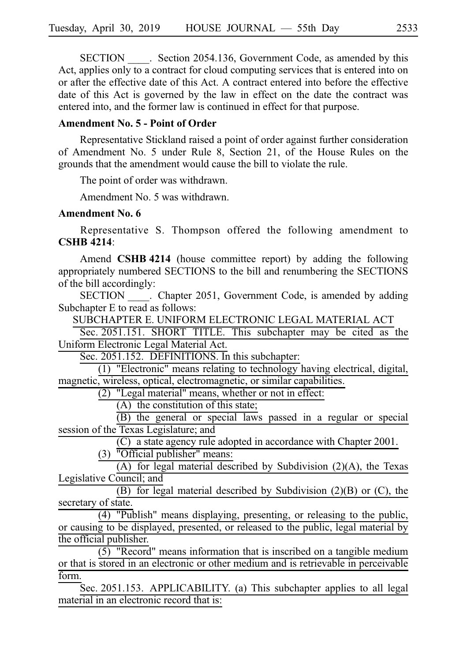SECTION Section 2054.136, Government Code, as amended by this Act, applies only to a contract for cloud computing services that is entered into on or after the effective date of this Act. A contract entered into before the effective date of this Act is governed by the law in effect on the date the contract was entered into, and the former law is continued in effect for that purpose.

# **Amendment No. 5 - Point of Order**

Representative Stickland raised a point of order against further consideration of Amendment No. 5 under Rule 8, Section 21, of the House Rules on the grounds that the amendment would cause the bill to violate the rule.

The point of order was withdrawn.

Amendment No. 5 was withdrawn.

#### **Amendment No. 6**

Representative S. Thompson offered the following amendment to **CSHB** 4214:

Amend **CSHB 4214** (house committee report) by adding the following appropriately numbered SECTIONS to the bill and renumbering the SECTIONS of the bill accordingly:

SECTION \_\_\_\_. Chapter 2051, Government Code, is amended by adding Subchapter E to read as follows:

SUBCHAPTER E. UNIFORM ELECTRONIC LEGAL MATERIAL ACT

Sec. 2051.151. SHORT TITLE. This subchapter may be cited as the Uniform Electronic Legal Material Act.

Sec. 2051.152. DEFINITIONS. In this subchapter:

 $(1)$  "Electronic" means relating to technology having electrical, digital, magnetic, wireless, optical, electromagnetic, or similar capabilities.

 $(2)$  "Legal material" means, whether or not in effect:

 $(A)$  the constitution of this state;

(B) the general or special laws passed in a regular or special session of the Texas Legislature; and

 $(C)$  a state agency rule adopted in accordance with Chapter 2001.  $(3)$  <sup>"</sup>Official publisher" means:

(A) for legal material described by Subdivision (2)(A), the Texas Legislative Council; and

(B) for legal material described by Subdivision (2)(B) or (C), the secretary of state.

 $\overline{(4)}$  "Publish" means displaying, presenting, or releasing to the public, or causing to be displayed, presented, or released to the public, legal material by the official publisher.

 $(5)$  "Record" means information that is inscribed on a tangible medium or that is stored in an electronic or other medium and is retrievable in perceivable form.

Sec. 2051.153. APPLICABILITY. (a) This subchapter applies to all legal material in an electronic record that is: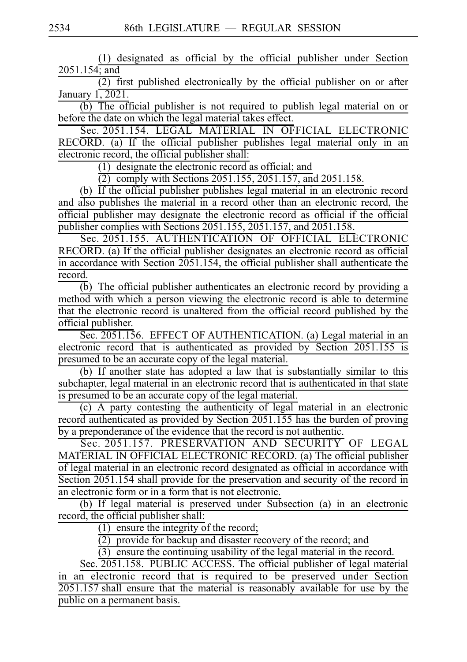$(1)$  designated as official by the official publisher under Section 2051.154; and

 $\overline{(2)}$  first published electronically by the official publisher on or after January 1, 2021.

(b) The official publisher is not required to publish legal material on or before the date on which the legal material takes effect.

Sec. 2051.154. LEGAL MATERIAL IN OFFICIAL ELECTRONIC RECORD. (a) If the official publisher publishes legal material only in an electronic record, the official publisher shall:

 $(1)$  designate the electronic record as official; and

 $(2)$  comply with Sections 2051.155, 2051.157, and 2051.158.

(b) If the official publisher publishes legal material in an electronic record and also publishes the material in a record other than an electronic record, the official publisher may designate the electronic record as official if the official publisher complies with Sections 2051.155, 2051.157, and 2051.158.

Sec. 2051.155. AUTHENTICATION OF OFFICIAL ELECTRONIC RECORD. (a) If the official publisher designates an electronic record as official in accordance with Section 2051.154, the official publisher shall authenticate the record.

 $\overline{(b)}$  The official publisher authenticates an electronic record by providing a method with which a person viewing the electronic record is able to determine that the electronic record is unaltered from the official record published by the official publisher.

Sec. 2051.156. EFFECT OF AUTHENTICATION. (a) Legal material in an electronic record that is authenticated as provided by Section 2051.155 is presumed to be an accurate copy of the legal material.

(b) If another state has adopted a law that is substantially similar to this subchapter, legal material in an electronic record that is authenticated in that state is presumed to be an accurate copy of the legal material.

 $(c)$  A party contesting the authenticity of legal material in an electronic record authenticated as provided by Section 2051.155 has the burden of proving by a preponderance of the evidence that the record is not authentic.

Sec. 2051.157. PRESERVATION AND SECURITY OF LEGAL MATERIAL IN OFFICIAL ELECTRONIC RECORD. (a) The official publisher of legal material in an electronic record designated as official in accordance with Section 2051.154 shall provide for the preservation and security of the record in an electronic form or in a form that is not electronic.

(b) If legal material is preserved under Subsection (a) in an electronic record, the official publisher shall:

(1) ensure the integrity of the record;

 $\overline{(2)}$  provide for backup and disaster recovery of the record; and

 $\overline{(3)}$  ensure the continuing usability of the legal material in the record.

Sec. 2051.158. PUBLIC ACCESS. The official publisher of legal material in an electronic record that is required to be preserved under Section  $2051.157$  shall ensure that the material is reasonably available for use by the public on a permanent basis.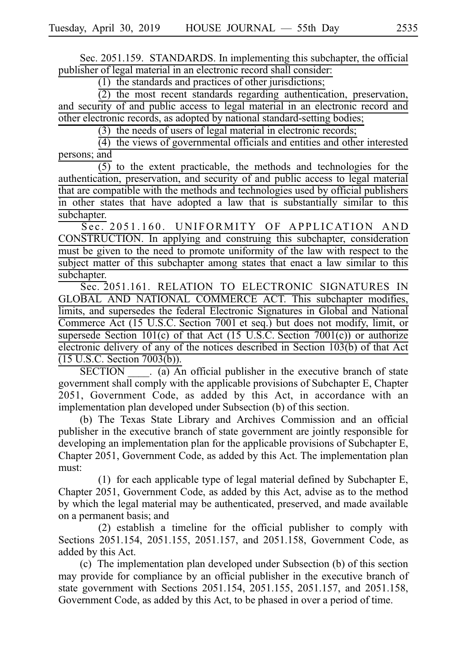Sec. 2051.159. STANDARDS. In implementing this subchapter, the official publisher of legal material in an electronic record shall consider:

 $(1)$  the standards and practices of other jurisdictions;

 $(2)$  the most recent standards regarding authentication, preservation, and security of and public access to legal material in an electronic record and other electronic records, as adopted by national standard-setting bodies;

 $(3)$  the needs of users of legal material in electronic records;

 $(4)$  the views of governmental officials and entities and other interested persons; and

 $\overline{(5)}$  to the extent practicable, the methods and technologies for the authentication, preservation, and security of and public access to legal material that are compatible with the methods and technologies used by official publishers in other states that have adopted a law that is substantially similar to this subchapter.

Sec. 2051.160. UNIFORMITY OF APPLICATION AND CONSTRUCTION. In applying and construing this subchapter, consideration must be given to the need to promote uniformity of the law with respect to the subject matter of this subchapter among states that enact a law similar to this subchapter.

Sec. 2051.161. RELATION TO ELECTRONIC SIGNATURES IN GLOBAL AND NATIONAL COMMERCE ACT. This subchapter modifies, limits, and supersedes the federal Electronic Signatures in Global and National Commerce Act (15 U.S.C. Section 7001 et seq.) but does not modify, limit, or supersede Section 101(c) of that Act  $(15 \text{ U.S.C.}$  Section 7001(c)) or authorize electronic delivery of any of the notices described in Section 103(b) of that Act  $(15 \text{ U.S.C. Section } 7003(b))$ .

 $SECTION \t{a}$  (a) An official publisher in the executive branch of state government shall comply with the applicable provisions of Subchapter E, Chapter 2051, Government Code, as added by this Act, in accordance with an implementation plan developed under Subsection (b) of this section.

(b) The Texas State Library and Archives Commission and an official publisher in the executive branch of state government are jointly responsible for developing an implementation plan for the applicable provisions of Subchapter E, Chapter 2051, Government Code, as added by this Act. The implementation plan must:

(1) for each applicable type of legal material defined by Subchapter E, Chapter 2051, Government Code, as added by this Act, advise as to the method by which the legal material may be authenticated, preserved, and made available on a permanent basis; and

 $(2)$  establish a timeline for the official publisher to comply with Sections 2051.154, 2051.155, 2051.157, and 2051.158, Government Code, as added by this Act.

(c) The implementation plan developed under Subsection (b) of this section may provide for compliance by an official publisher in the executive branch of state government with Sections 2051.154, 2051.155, 2051.157, and 2051.158, Government Code, as added by this Act, to be phased in over a period of time.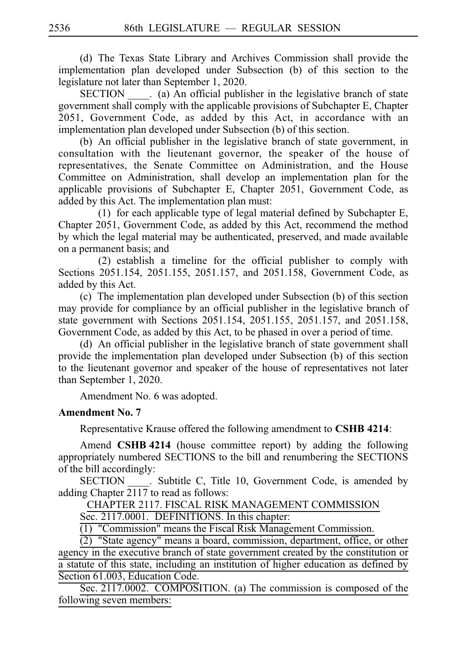(d) The Texas State Library and Archives Commission shall provide the implementation plan developed under Subsection (b) of this section to the legislature not later than September 1, 2020.

 $SECTION \t (a)$  An official publisher in the legislative branch of state government shall comply with the applicable provisions of Subchapter E, Chapter 2051, Government Code, as added by this Act, in accordance with an implementation plan developed under Subsection (b) of this section.

(b) An official publisher in the legislative branch of state government, in consultation with the lieutenant governor, the speaker of the house of representatives, the Senate Committee on Administration, and the House Committee on Administration, shall develop an implementation plan for the applicable provisions of Subchapter E, Chapter 2051, Government Code, as added by this Act. The implementation plan must:

(1) for each applicable type of legal material defined by Subchapter E, Chapter 2051, Government Code, as added by this Act, recommend the method by which the legal material may be authenticated, preserved, and made available on a permanent basis; and

 $(2)$  establish a timeline for the official publisher to comply with Sections 2051.154, 2051.155, 2051.157, and 2051.158, Government Code, as added by this Act.

(c) The implementation plan developed under Subsection (b) of this section may provide for compliance by an official publisher in the legislative branch of state government with Sections 2051.154, 2051.155, 2051.157, and 2051.158, Government Code, as added by this Act, to be phased in over a period of time.

(d) An official publisher in the legislative branch of state government shall provide the implementation plan developed under Subsection (b) of this section to the lieutenant governor and speaker of the house of representatives not later than September 1, 2020.

Amendment No. 6 was adopted.

# **Amendment No. 7**

Representative Krause offered the following amendment to **CSHB 4214**:

Amend **CSHB 4214** (house committee report) by adding the following appropriately numbered SECTIONS to the bill and renumbering the SECTIONS of the bill accordingly:

SECTION Subtitle C, Title 10, Government Code, is amended by adding Chapter 2117 to read as follows:

# CHAPTER 2117. FISCAL RISK MANAGEMENT COMMISSION

Sec. 2117.0001. DEFINITIONS. In this chapter:

 $(1)$  "Commission" means the Fiscal Risk Management Commission.

 $\overline{(2)}$  "State agency" means a board, commission, department, office, or other agency in the executive branch of state government created by the constitution or a statute of this state, including an institution of higher education as defined by

Section 61.003, Education Code.

Sec. 2117.0002. COMPOSITION. (a) The commission is composed of the following seven members: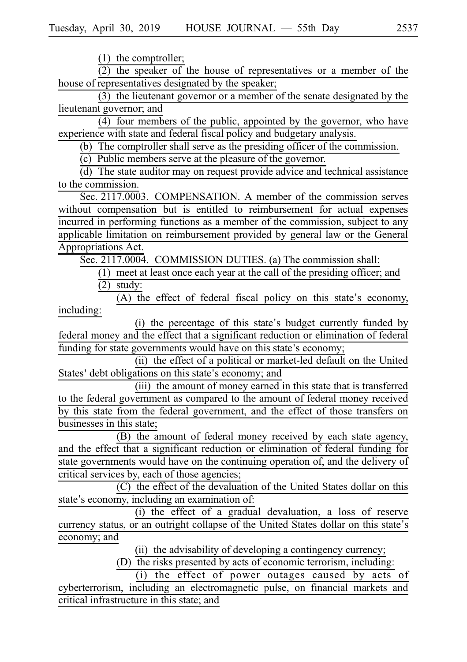$(1)$  the comptroller;

 $(2)$  the speaker of the house of representatives or a member of the house of representatives designated by the speaker;

 $(3)$  the lieutenant governor or a member of the senate designated by the lieutenant governor; and

(4) four members of the public, appointed by the governor, who have experience with state and federal fiscal policy and budgetary analysis.

(b) The comptroller shall serve as the presiding officer of the commission.

 $(c)$  Public members serve at the pleasure of the governor.

 $(d)$  The state auditor may on request provide advice and technical assistance to the commission.

Sec. 2117.0003. COMPENSATION. A member of the commission serves without compensation but is entitled to reimbursement for actual expenses incurred in performing functions as a member of the commission, subject to any applicable limitation on reimbursement provided by general law or the General Appropriations Act.

Sec. 2117.0004. COMMISSION DUTIES. (a) The commission shall:

 $(1)$  meet at least once each year at the call of the presiding officer; and  $(2)$  study:

 $(A)$  the effect of federal fiscal policy on this state's economy, including:

(i) the percentage of this state's budget currently funded by federal money and the effect that a significant reduction or elimination of federal funding for state governments would have on this state's economy;

(ii) the effect of a political or market-led default on the United States' debt obligations on this state's economy; and

(iii) the amount of money earned in this state that is transferred to the federal government as compared to the amount of federal money received by this state from the federal government, and the effect of those transfers on businesses in this state;

(B) the amount of federal money received by each state agency, and the effect that a significant reduction or elimination of federal funding for state governments would have on the continuing operation of, and the delivery of critical services by, each of those agencies;

(C) the effect of the devaluation of the United States dollar on this state's economy, including an examination of:

(i) the effect of a gradual devaluation, a loss of reserve currency status, or an outright collapse of the United States dollar on this state's economy; and

(ii) the advisability of developing a contingency currency;

(D) the risks presented by acts of economic terrorism, including:

(i) the effect of power outages caused by acts of cyberterrorism, including an electromagnetic pulse, on financial markets and critical infrastructure in this state; and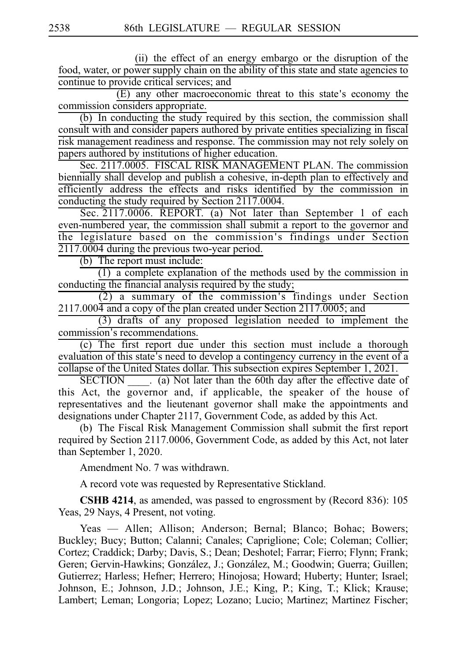(ii) the effect of an energy embargo or the disruption of the food, water, or power supply chain on the ability of this state and state agencies to continue to provide critical services; and

 $(E)$  any other macroeconomic threat to this state's economy the commission considers appropriate.

 $(b)$  In conducting the study required by this section, the commission shall consult with and consider papers authored by private entities specializing in fiscal risk management readiness and response. The commission may not rely solely on papers authored by institutions of higher education.

Sec. 2117.0005. FISCAL RISK MANAGEMENT PLAN. The commission biennially shall develop and publish a cohesive, in-depth plan to effectively and efficiently address the effects and risks identified by the commission in conducting the study required by Section 2117.0004.

Sec. 2117.0006. REPORT. (a) Not later than September 1 of each even-numbered year, the commission shall submit a report to the governor and the legislature based on the commission 's findings under Section  $2117.0004$  during the previous two-year period.

 $(b)$  The report must include:

 $(1)$  a complete explanation of the methods used by the commission in conducting the financial analysis required by the study;

 $(2)$  a summary of the commission's findings under Section 2117.0004 and a copy of the plan created under Section 2117.0005; and

 $(3)$  drafts of any proposed legislation needed to implement the commission's recommendations.

(c) The first report due under this section must include a thorough evaluation of this state's need to develop a contingency currency in the event of a collapse of the United States dollar. This subsection expires September 1, 2021.

 $SECTION$  (a) Not later than the 60th day after the effective date of this Act, the governor and, if applicable, the speaker of the house of representatives and the lieutenant governor shall make the appointments and designations under Chapter 2117, Government Code, as added by this Act.

(b) The Fiscal Risk Management Commission shall submit the first report required by Section 2117.0006, Government Code, as added by this Act, not later than September 1, 2020.

Amendment No. 7 was withdrawn.

A record vote was requested by Representative Stickland.

**CSHB 4214**, as amended, was passed to engrossment by (Record 836): 105 Yeas, 29 Nays, 4 Present, not voting.

Yeas — Allen; Allison; Anderson; Bernal; Blanco; Bohac; Bowers; Buckley; Bucy; Button; Calanni; Canales; Capriglione; Cole; Coleman; Collier; Cortez; Craddick; Darby; Davis, S.; Dean; Deshotel; Farrar; Fierro; Flynn; Frank; Geren; Gervin-Hawkins; González, J.; González, M.; Goodwin; Guerra; Guillen; Gutierrez; Harless; Hefner; Herrero; Hinojosa; Howard; Huberty; Hunter; Israel; Johnson, E.; Johnson, J.D.; Johnson, J.E.; King, P.; King, T.; Klick; Krause; Lambert; Leman; Longoria; Lopez; Lozano; Lucio; Martinez; Martinez Fischer;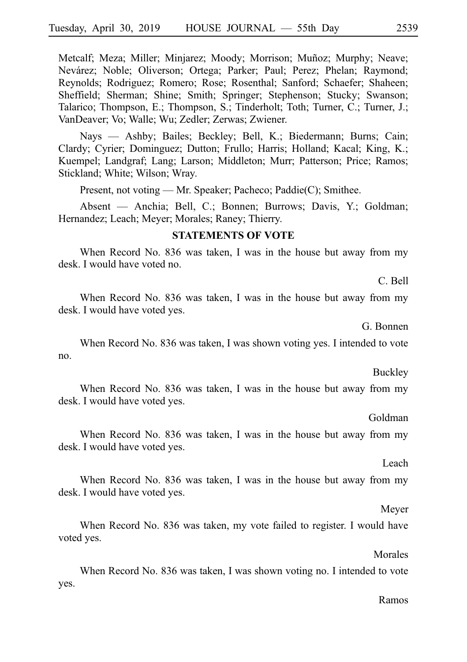Metcalf; Meza; Miller; Minjarez; Moody; Morrison; Muñoz; Murphy; Neave; Nevárez; Noble; Oliverson; Ortega; Parker; Paul; Perez; Phelan; Raymond; Reynolds; Rodriguez; Romero; Rose; Rosenthal; Sanford; Schaefer; Shaheen; Sheffield; Sherman; Shine; Smith; Springer; Stephenson; Stucky; Swanson; Talarico; Thompson, E.; Thompson, S.; Tinderholt; Toth; Turner, C.; Turner, J.; VanDeaver; Vo; Walle; Wu; Zedler; Zerwas; Zwiener.

Nays — Ashby; Bailes; Beckley; Bell, K.; Biedermann; Burns; Cain; Clardy; Cyrier; Dominguez; Dutton; Frullo; Harris; Holland; Kacal; King, K.; Kuempel; Landgraf; Lang; Larson; Middleton; Murr; Patterson; Price; Ramos; Stickland; White; Wilson; Wray.

Present, not voting — Mr. Speaker; Pacheco; Paddie(C); Smithee.

Absent — Anchia; Bell, C.; Bonnen; Burrows; Davis, Y.; Goldman; Hernandez; Leach; Meyer; Morales; Raney; Thierry.

#### **STATEMENTS OF VOTE**

When Record No. 836 was taken, I was in the house but away from my desk. I would have voted no.

C. Bell

When Record No. 836 was taken, I was in the house but away from my desk. I would have voted yes.

G. Bonnen

When Record No. 836 was taken, I was shown voting yes. I intended to vote no.

#### **Buckley**

When Record No. 836 was taken, I was in the house but away from my desk. I would have voted yes.

Goldman

When Record No. 836 was taken, I was in the house but away from my desk. I would have voted yes.

#### Leach

When Record No. 836 was taken, I was in the house but away from my desk. I would have voted yes.

#### Meyer

When Record No. 836 was taken, my vote failed to register. I would have voted yes.

Morales

When Record No. 836 was taken, I was shown voting no. I intended to vote yes.

#### Ramos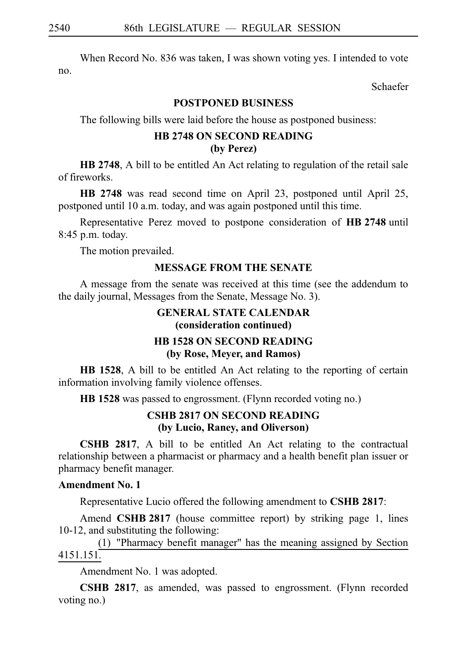When Record No. 836 was taken, I was shown voting yes. I intended to vote no.

Schaefer

## **POSTPONED BUSINESS**

The following bills were laid before the house as postponed business:

## **HB 2748 ON SECOND READING (by Perez)**

**HB 2748**, A bill to be entitled An Act relating to regulation of the retail sale of fireworks.

**HB 2748** was read second time on April 23, postponed until April 25, postponed until 10 a.m. today, and was again postponed until this time.

Representative Perez moved to postpone consideration of **HB 2748** until  $8:45$  p.m. today.

The motion prevailed.

## **MESSAGE FROM THE SENATE**

A message from the senate was received at this time (see the addendum to the daily journal, Messages from the Senate, Message No. 3).

## **GENERAL STATE CALENDAR (consideration continued)**

### **HB 1528 ON SECOND READING (by Rose, Meyer, and Ramos)**

**HB 1528**, A bill to be entitled An Act relating to the reporting of certain information involving family violence offenses.

**HB** 1528 was passed to engrossment. (Flynn recorded voting no.)

## **CSHB 2817 ON SECOND READING (by Lucio, Raney, and Oliverson)**

**CSHB 2817**, A bill to be entitled An Act relating to the contractual relationship between a pharmacist or pharmacy and a health benefit plan issuer or pharmacy benefit manager.

## **Amendment No. 1**

Representative Lucio offered the following amendment to **CSHB 2817**:

Amend **CSHB 2817** (house committee report) by striking page 1, lines 10-12, and substituting the following:

(1) "Pharmacy benefit manager" has the meaning assigned by Section 4151.151.

Amendment No. 1 was adopted.

**CSHB 2817**, as amended, was passed to engrossment. (Flynn recorded voting no.)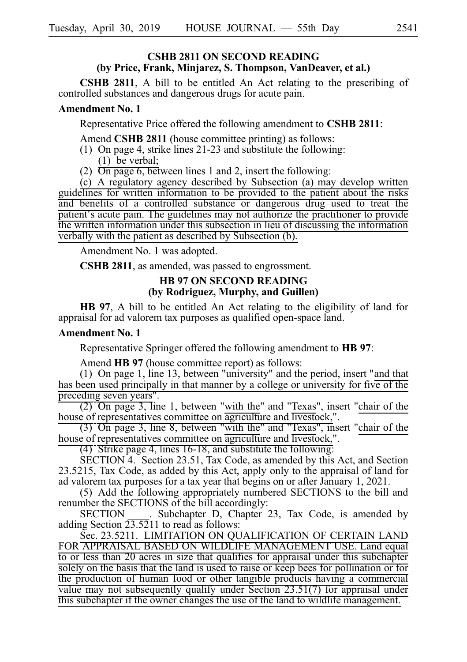### **CSHB 2811 ON SECOND READING (by Price, Frank, Minjarez, S. Thompson, VanDeaver, et al.)**

**CSHB 2811**, A bill to be entitled An Act relating to the prescribing of controlled substances and dangerous drugs for acute pain.

#### **Amendment No. 1**

Representative Price offered the following amendment to **CSHB 2811**:

Amend **CSHB 2811** (house committee printing) as follows:

- (1) On page 4, strike lines  $21-23$  and substitute the following:  $(1)$  be verbal:
- (2)  $\overline{On}$  page 6, between lines 1 and 2, insert the following:

(c) A regulatory agency described by Subsection (a) may develop written guidelines for written information to be provided to the patient about the risks and benefits of a controlled substance or dangerous drug used to treat the patient's acute pain. The guidelines may not authorize the practitioner to provide the written information under this subsection in lieu of discussing the information verbally with the patient as described by Subsection (b).

Amendment No. 1 was adopted.

**CSHB 2811**, as amended, was passed to engrossment.

### **HB 97 ON SECOND READING (by Rodriguez, Murphy, and Guillen)**

**HB 97**, A bill to be entitled An Act relating to the eligibility of land for appraisal for ad valorem tax purposes as qualified open-space land.

#### **Amendment No. 1**

Representative Springer offered the following amendment to **HB 97**:

Amend **HB 97** (house committee report) as follows:

(1) On page 1, line 13, between "university" and the period, insert "and that has been used principally in that manner by a college or university for five of the preceding seven years".

 $(2)$  On page 3, line 1, between "with the" and "Texas", insert "chair of the house of representatives committee on agriculture and livestock,".

 $(3)$  On page 3, line 8, between "with the" and "Texas", insert "chair of the house of representatives committee on agriculture and livestock,".

 $(4)$  Strike page 4, lines 16-18, and substitute the following:

 $SECTION 4.$  Section 23.51, Tax Code, as amended by this Act, and Section 23.5215, Tax Code, as added by this Act, apply only to the appraisal of land for ad valorem tax purposes for a tax year that begins on or after January 1, 2021.

(5) Add the following appropriately numbered SECTIONS to the bill and renumber the SECTIONS of the bill accordingly:

SECTION Subchapter D, Chapter 23, Tax Code, is amended by adding Section  $2\overline{3.52}11$  to read as follows:

Sec. 23.5211. LIMITATION ON QUALIFICATION OF CERTAIN LAND FOR APPRAISAL BASED ON WILDLIFE MANAGEMENT USE. Land equal to or less than 20 acres in size that qualifies for appraisal under this subchapter solely on the basis that the land is used to raise or keep bees for pollination or for the production of human food or other tangible products having a commercial value may not subsequently qualify under Section 23.51(7) for appraisal under this subchapter if the owner changes the use of the land to wildlife management.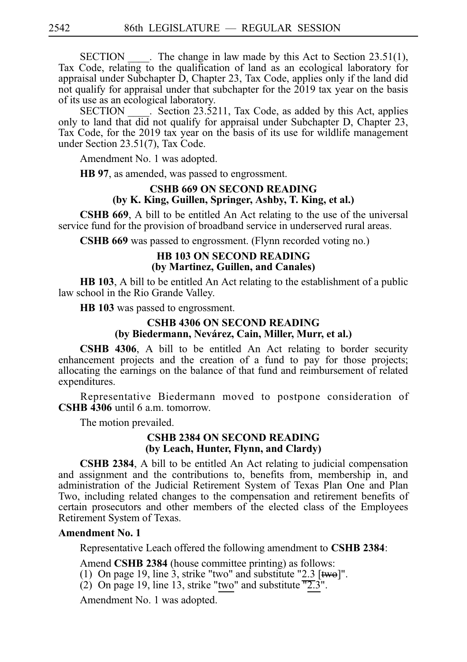SECTION \_\_\_\_\_. The change in law made by this Act to Section 23.51(1), Tax Code, relating to the qualification of land as an ecological laboratory for appraisal under Subchapter D, Chapter 23, Tax Code, applies only if the land did not qualify for appraisal under that subchapter for the 2019 tax year on the basis

of its use as an ecological laboratory.<br>SECTION . Section 23.52  $\sim$  Section 23.5211, Tax Code, as added by this Act, applies only to land that did not qualify for appraisal under Subchapter D, Chapter 23, Tax Code, for the 2019 tax year on the basis of its use for wildlife management under Section 23.51(7), Tax Code.

Amendment No. 1 was adopted.

**HB 97**, as amended, was passed to engrossment.

## **CSHB 669 ON SECOND READING (by K. King, Guillen, Springer, Ashby, T. King, et al.)**

**CSHB 669**, A bill to be entitled An Act relating to the use of the universal service fund for the provision of broadband service in underserved rural areas.

**CSHB 669** was passed to engrossment. (Flynn recorded voting no.)

#### **HB 103 ON SECOND READING (by Martinez, Guillen, and Canales)**

**HB 103**, A bill to be entitled An Act relating to the establishment of a public law school in the Rio Grande Valley.

**HB 103** was passed to engrossment.

### **CSHB 4306 ON SECOND READING (by Biedermann, Neva´rez, Cain, Miller, Murr, et al.)**

**CSHB 4306**, A bill to be entitled An Act relating to border security enhancement projects and the creation of a fund to pay for those projects; allocating the earnings on the balance of that fund and reimbursement of related expenditures.

Representative Biedermann moved to postpone consideration of **CSHB 4306** until 6 a.m. tomorrow.

The motion prevailed.

#### **CSHB 2384 ON SECOND READING (by Leach, Hunter, Flynn, and Clardy)**

**CSHB 2384**, A bill to be entitled An Act relating to judicial compensation and assignment and the contributions to, benefits from, membership in, and administration of the Judicial Retirement System of Texas Plan One and Plan Two, including related changes to the compensation and retirement benefits of certain prosecutors and other members of the elected class of the Employees Retirement System of Texas.

#### **Amendment No. 1**

Representative Leach offered the following amendment to **CSHB 2384**:

Amend **CSHB 2384** (house committee printing) as follows:

- (1) On page 19, line 3, strike "two" and substitute "2.3 [ $twe$ ]".
- (2) On page 19, line 13, strike "two" and substitute  $\overline{2.3}$ ".

Amendment No. 1 was adopted.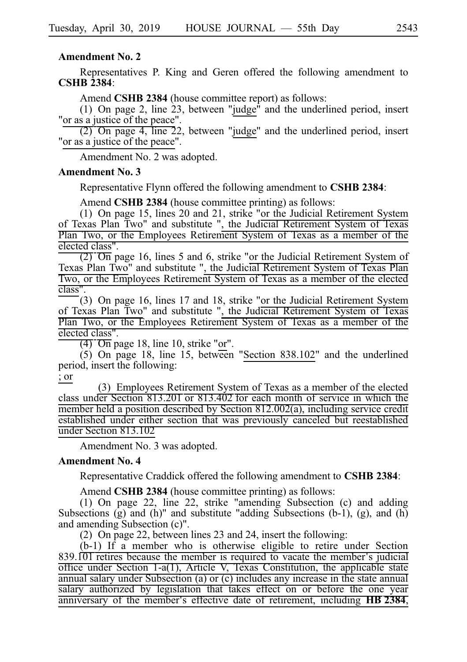#### **Amendment No. 2**

Representatives P. King and Geren offered the following amendment to **CSHBi2384**:

Amend **CSHB 2384** (house committee report) as follows:

(1) On page 2, line 23, between "judge" and the underlined period, insert "or as a justice of the peace".

 $(2)$  On page 4, line 22, between "judge" and the underlined period, insert "or as a justice of the peace".

Amendment No. 2 was adopted.

#### **Amendment No. 3**

Representative Flynn offered the following amendment to **CSHB 2384**:

Amend **CSHB 2384** (house committee printing) as follows:

(1) On page 15, lines 20 and 21, strike "or the Judicial Retirement System of Texas Plan Two" and substitute ", the Judicial Retirement System of Texas Plan Two, or the Employees Retirement System of Texas as a member of the elected class".

 $\overline{(2)}$   $\overline{On}$  page 16, lines 5 and 6, strike "or the Judicial Retirement System of Texas Plan Two" and substitute ", the Judicial Retirement System of Texas Plan Two, or the Employees Retirement System of Texas as a member of the elected class".

(3) On page 16, lines 17 and 18, strike "or the Judicial Retirement System of Texas Plan Two" and substitute ", the Judicial Retirement System of Texas Plan Two, or the Employees Retirement System of Texas as a member of the elected class".

 $\overline{(4)}$   $\overline{On}$  page 18, line 10, strike "or".

 $(5)$  On page 18, line 15, between "Section 838.102" and the underlined period, insert the following:

; or

(3) Employees Retirement System of Texas as a member of the elected class under Section  $813.20\overline{1}$  or  $813.40\overline{2}$  for each month of service in which the member held a position described by Section 812.002(a), including service credit established under either section that was previously canceled but reestablished under Section 813.102

Amendment No. 3 was adopted.

#### **Amendment No. 4**

Representative Craddick offered the following amendment to **CSHBi2384**:

Amend **CSHB 2384** (house committee printing) as follows:

(1) On page 22, line 22, strike "amending Subsection (c) and adding Subsections  $(g)$  and  $(h)$ " and substitute "adding Subsections  $(b-1)$ ,  $(g)$ , and  $(h)$ and amending Subsection (c)".

(2) On page 22, between lines 23 and 24, insert the following:

 $(b-1)$  If a member who is otherwise eligible to retire under Section  $839.101$  retires because the member is required to vacate the member's judicial office under Section 1-a(1), Article V, Texas Constitution, the applicable state annual salary under Subsection (a) or (c) includes any increase in the state annual salary authorized by legislation that takes effect on or before the one year anniversary of the member's effective date of retirement, including **HB** 2384,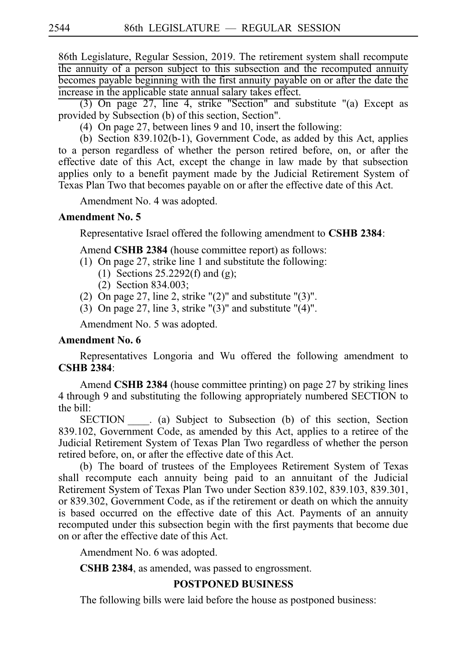86th Legislature, Regular Session, 2019. The retirement system shall recompute the annuity of a person subject to this subsection and the recomputed annuity becomes payable beginning with the first annuity payable on or after the date the increase in the applicable state annual salary takes effect.

 $(3)$  On page 27, line 4, strike "Section" and substitute " $(a)$  Except as provided by Subsection (b) of this section, Section".

(4)  $\overline{On}$  page 27, between lines 9 and 10, insert the following:

(b) Section 839.102(b-1), Government Code, as added by this Act, applies to a person regardless of whether the person retired before, on, or after the effective date of this Act, except the change in law made by that subsection applies only to a benefit payment made by the Judicial Retirement System of Texas Plan Two that becomes payable on or after the effective date of this Act.

Amendment No. 4 was adopted.

### **Amendment No. 5**

Representative Israel offered the following amendment to **CSHB 2384**:

Amend **CSHB 2384** (house committee report) as follows:

- (1) On page 27, strike line 1 and substitute the following:
	- (1) Sections  $25.2292(f)$  and (g);
	- $(2)$  Section 834.003;
- (2) On page 27, line 2, strike " $(2)$ " and substitute " $(3)$ ".
- (3) On page 27, line 3, strike " $(3)$ " and substitute " $(4)$ ".

Amendment No. 5 was adopted.

## **Amendment No. 6**

Representatives Longoria and Wu offered the following amendment to **CSHBi2384**:

Amend **CSHB 2384** (house committee printing) on page 27 by striking lines 4 through 9 and substituting the following appropriately numbered SECTION to the bill:

SECTION (a) Subject to Subsection (b) of this section, Section 839.102, Government Code, as amended by this Act, applies to a retiree of the Judicial Retirement System of Texas Plan Two regardless of whether the person retired before, on, or after the effective date of this Act.

(b) The board of trustees of the Employees Retirement System of Texas shall recompute each annuity being paid to an annuitant of the Judicial Retirement System of Texas Plan Two under Section 839.102, 839.103, 839.301, or 839.302, Government Code, as if the retirement or death on which the annuity is based occurred on the effective date of this Act. Payments of an annuity recomputed under this subsection begin with the first payments that become due on or after the effective date of this Act.

Amendment No. 6 was adopted.

**CSHB 2384**, as amended, was passed to engrossment.

## **POSTPONED BUSINESS**

The following bills were laid before the house as postponed business: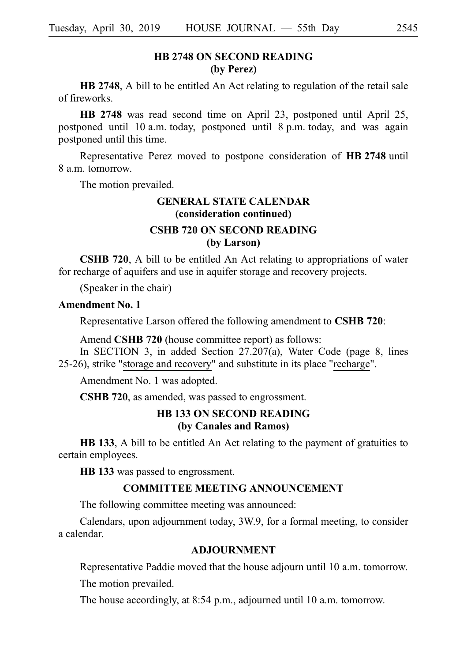## **HB 2748 ON SECOND READING (by Perez)**

**HB 2748**, A bill to be entitled An Act relating to regulation of the retail sale of fireworks.

**HB 2748** was read second time on April 23, postponed until April 25, postponed until 10 a.m. today, postponed until 8 p.m. today, and was again postponed until this time.

Representative Perez moved to postpone consideration of HB 2748 until 8 a.m. tomorrow.

The motion prevailed.

## **GENERAL STATE CALENDAR (consideration continued) CSHB 720 ON SECOND READING (by Larson)**

**CSHB 720**, A bill to be entitled An Act relating to appropriations of water for recharge of aquifers and use in aquifer storage and recovery projects.

(Speaker in the chair)

### **Amendment No. 1**

Representative Larson offered the following amendment to **CSHB** 720:

Amend **CSHB 720** (house committee report) as follows:

In SECTION 3, in added Section 27.207(a), Water Code (page 8, lines 25-26), strike "storage and recovery" and substitute in its place "recharge".

Amendment No. 1 was adopted.

**CSHB 720**, as amended, was passed to engrossment.

## **HB 133 ON SECOND READING (by Canales and Ramos)**

**HB 133**, A bill to be entitled An Act relating to the payment of gratuities to certain employees.

**HB** 133 was passed to engrossment.

### **COMMITTEE MEETING ANNOUNCEMENT**

The following committee meeting was announced:

Calendars, upon adjournment today, 3W.9, for a formal meeting, to consider a calendar.

### **ADJOURNMENT**

Representative Paddie moved that the house adjourn until 10 a.m. tomorrow.

The motion prevailed.

The house accordingly, at 8:54 p.m., adjourned until 10 a.m. tomorrow.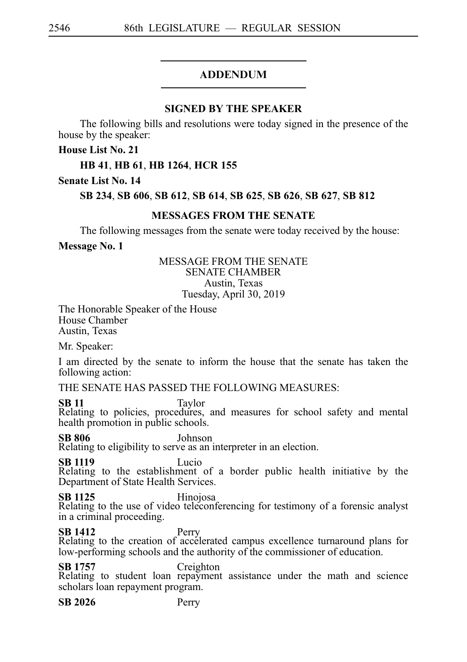## ADDENDUM

## **SIGNED BY THE SPEAKER**

The following bills and resolutions were today signed in the presence of the house by the speaker:

**House List No. 21**

## **HB**i**41**, **HB**i**61**, **HB**i**1264**, **HCR**i**155**

### **Senate List No. 14**

### **SB**i**234**, **SB**i**606**, **SB**i**612**, **SB**i**614**, **SB**i**625**, **SB**i**626**, **SB**i**627**, **SB**i**812**

### **MESSAGES FROM THE SENATE**

The following messages from the senate were today received by the house:

### **Message No. 1**

### MESSAGE FROM THE SENATE SENATE CHAMBER Austin, Texas Tuesday, April 30, 2019

The Honorable Speaker of the House House Chamber Austin, Texas

Mr. Speaker:

I am directed by the senate to inform the house that the senate has taken the following action:

THE SENATE HAS PASSED THE FOLLOWING MEASURES:

**SB 11** Taylor Taylor<br>Relating to policies, procedures, and measures for school safety and mental health promotion in public schools.

**SB 806** Johnson Relating to eligibility to serve as an interpreter in an election.

**SB 1119** Lucio Relating to the establishment of a border public health initiative by the Department of State Health Services.

**SB 1125** Hinojosa<br>
Relating to the use of video teleconferencing for testimony of a forensic analyst in a criminal proceeding.

**SB 1412** Perry<br>
Relating to the creation of accelerated campus excellence turnaround plans for low-performing schools and the authority of the commissioner of education.

**SB 1757** Creighton<br>Relating to student loan repayment assistance under the math and science scholars loan repayment program.

**SB 2026** Perry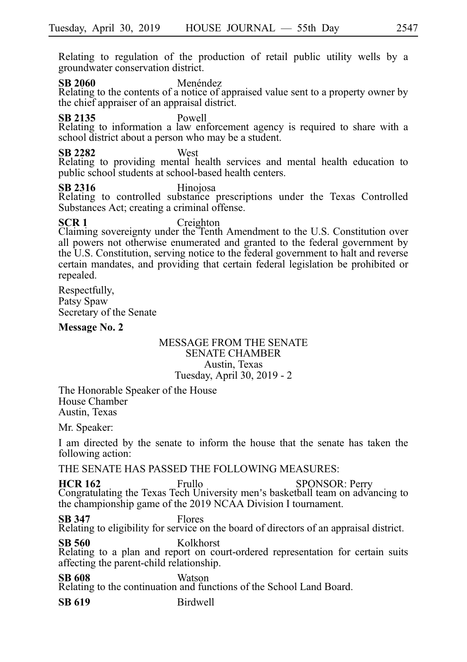Relating to regulation of the production of retail public utility wells by a groundwater conservation district.

**SB 2060** Menéndez

Relating to the contents of a notice of appraised value sent to a property owner by the chief appraiser of an appraisal district.

**SB 2135** Powell

Relating to information a law enforcement agency is required to share with a school district about a person who may be a student.

**SB 2282** West Relating to providing mental health services and mental health education to public school students at school-based health centers.

**SB 2316** Hinojosa<br>
Relating to controlled substance prescriptions under the Texas Controlled Substances Act; creating a criminal offense.

**SCR 1** Creighton Claiming sovereignty under the Tenth Amendment to the U.S. Constitution over all powers not otherwise enumerated and granted to the federal government by the U.S. Constitution, serving notice to the federal government to halt and reverse certain mandates, and providing that certain federal legislation be prohibited or repealed.

Respectfully, Patsy Spaw Secretary of the Senate

### **Message No. 2**

### MESSAGE FROM THE SENATE SENATE CHAMBER Austin, Texas Tuesday, April 30, 2019 - 2

The Honorable Speaker of the House House Chamber Austin, Texas

Mr. Speaker:

I am directed by the senate to inform the house that the senate has taken the following action:

THE SENATE HAS PASSED THE FOLLOWING MEASURES:

**HCR 162** Frullo SPONSOR: Perry Congratulating the Texas Tech University men's basketball team on advancing to the championship game of the 2019 NCAA Division I tournament.

**SB 347** Flores Relating to eligibility for service on the board of directors of an appraisal district.

**SB 560** Kolkhorst Relating to a plan and report on court-ordered representation for certain suits affecting the parent-child relationship.

**SB 608** Watson Relating to the continuation and functions of the School Land Board.

**SB 619** Birdwell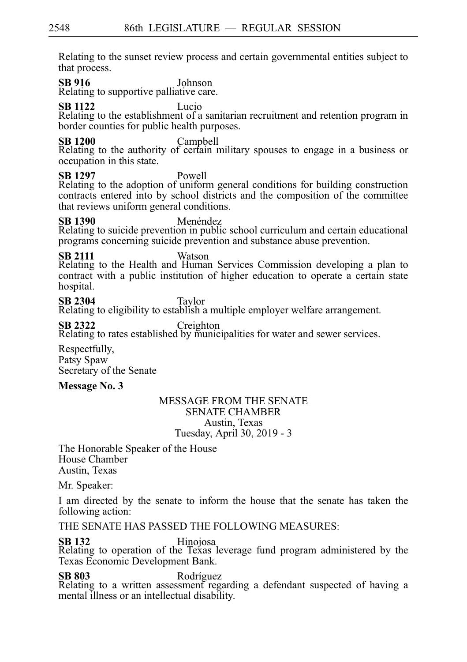Relating to the sunset review process and certain governmental entities subject to that process.

**SB 916** Johnson Relating to supportive palliative care.

**SB 1122** Lucio

Relating to the establishment of a sanitarian recruitment and retention program in border counties for public health purposes.

**SB 1200** Campbell<br>Relating to the authority of certain military spouses to engage in a business or occupation in this state.

**SB 1297** Powell Relating to the adoption of uniform general conditions for building construction contracts entered into by school districts and the composition of the committee that reviews uniform general conditions.

**SB 1390** Menéndez<br>Relating to suicide prevention in public school curriculum and certain educational programs concerning suicide prevention and substance abuse prevention.

**SB 2111** Watson Relating to the Health and Human Services Commission developing a plan to contract with a public institution of higher education to operate a certain state hospital.

**SB 2304** Taylor<br>Relating to eligibility to establish a multiple employer welfare arrangement.

**SB 2322** Creighton Creighton Relating to rates established by municipalities for water and sewer services.

Respectfully, Patsy Spaw Secretary of the Senate

## **Message No. 3**

#### MESSAGE FROM THE SENATE SENATE CHAMBER Austin, Texas Tuesday, April 30, 2019 - 3

The Honorable Speaker of the House House Chamber Austin, Texas

Mr. Speaker:

I am directed by the senate to inform the house that the senate has taken the following action:

THE SENATE HAS PASSED THE FOLLOWING MEASURES:

# **SB 132** Hinojosa<br>
Relating to operation of the Texas leverage fund program administered by the Texas Economic Development Bank.

**SB 803** Rodríguez<br>Relating to a written assessment regarding a defendant suspected of having a mental illness or an intellectual disability.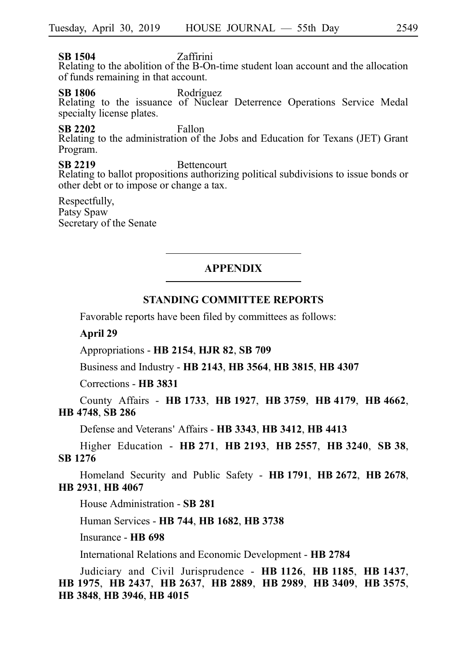## **SB 1504** Zaffirini

Relating to the abolition of the B-On-time student loan account and the allocation of funds remaining in that account.

**SB 1806** Rodríguez<br>
Relating to the issuance of Nuclear Deterrence Operations Service Medal specialty license plates.

## **SB 2202** Fallon

Relating to the administration of the Jobs and Education for Texans (JET) Grant Program.

## **SB 2219** Bettencourt

Relating to ballot propositions authorizing political subdivisions to issue bonds or other debt or to impose or change a tax.

Respectfully, Patsy Spaw Secretary of the Senate

## **APPENDIX**

### **STANDING COMMITTEE REPORTS**

Favorable reports have been filed by committees as follows:

### **April 29**

Appropriations - **HB**i**2154**, **HJR**i**82**, **SB**i**709**

Business and Industry - **HB**i**2143**, **HB**i**3564**, **HB**i**3815**, **HB**i**4307**

Corrections - **HB**i**3831**

County Affairs - **HB**i**1733**, **HB**i**1927**, **HB**i**3759**, **HB**i**4179**, **HB**i**4662**, **HB**i**4748**, **SB**i**286**

Defense and Veterans 'Affairs - **HB**i**3343**, **HB**i**3412**, **HB**i**4413**

Higher Education - **HB**i**271**, **HB**i**2193**, **HB**i**2557**, **HB**i**3240**, **SB**i**38**, **SB**i**1276**

Homeland Security and Public Safety - **HB**i**1791**, **HB**i**2672**, **HB**i**2678**, **HB**i**2931**, **HB**i**4067**

House Administration - **SB**i**281**

Human Services - **HB**i**744**, **HB**i**1682**, **HB**i**3738**

Insurance - **HB**i**698**

International Relations and Economic Development - **HB**i**2784**

Judiciary and Civil Jurisprudence - **HB**i**1126**, **HB**i**1185**, **HB**i**1437**, **HB**i**1975**, **HB**i**2437**, **HB**i**2637**, **HB**i**2889**, **HB**i**2989**, **HB**i**3409**, **HB**i**3575**, **HB**i**3848**, **HB**i**3946**, **HB**i**4015**